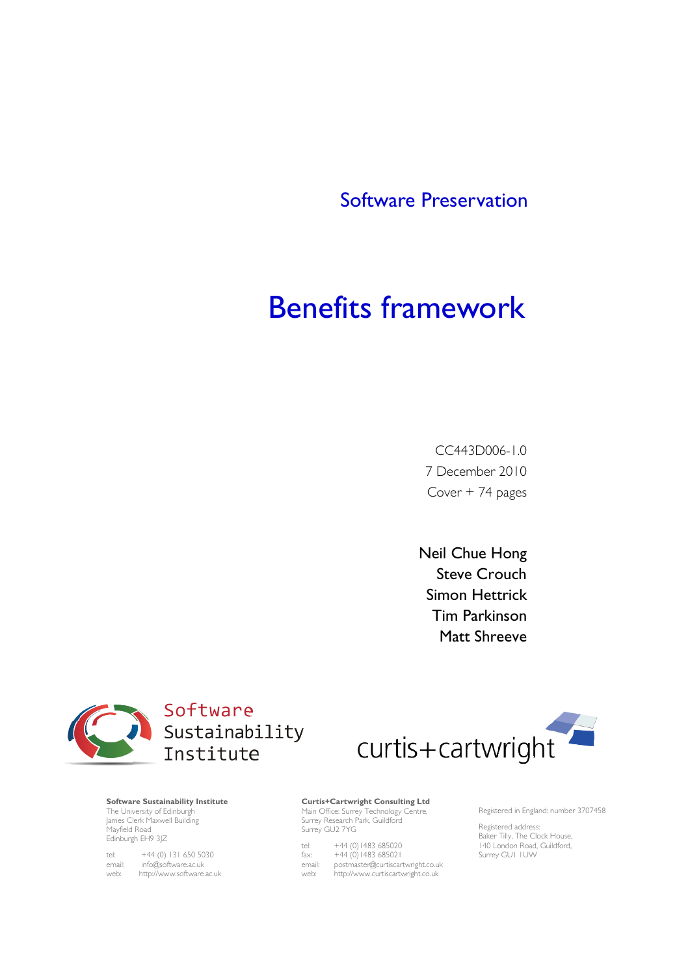Software Preservation

# Benefits framework

CC443D006 CC443D006-1.0 7 December 2010 Cover + 74 pages

Neil Chue Hong Steve Crouch Simon Hettrick Tim Parkinson Matt Shreeve



curtis+cartwright

**Software Sustainability Institute** The University of Edinburgh

James Clerk Maxwell Building Mayfield Road Edinburgh EH9 3|Z

tel: +44 (0) 131 650 5030 email: info@software.ac.uk<br>web: http://www.software.a http://www.software.ac.uk  **Curtis+Cartwright Consulting Ltd**

Main Office: Surrey Technology Centre, Surrey Research Park, Guildford Surrey GU2 7YG

tel: +44 (0)1483 685020<br>fax: +44 (0)1483 685021 fax: +44 (0)1483 685021 email: postmaster@curtiscartwright.co.uk web: http://www.curtiscartwright.co.uk

Registered in England: number 3707458

Registered address: Baker Tilly, The Clock House, 140 London Road, Guildford, Surrey GU1 1UW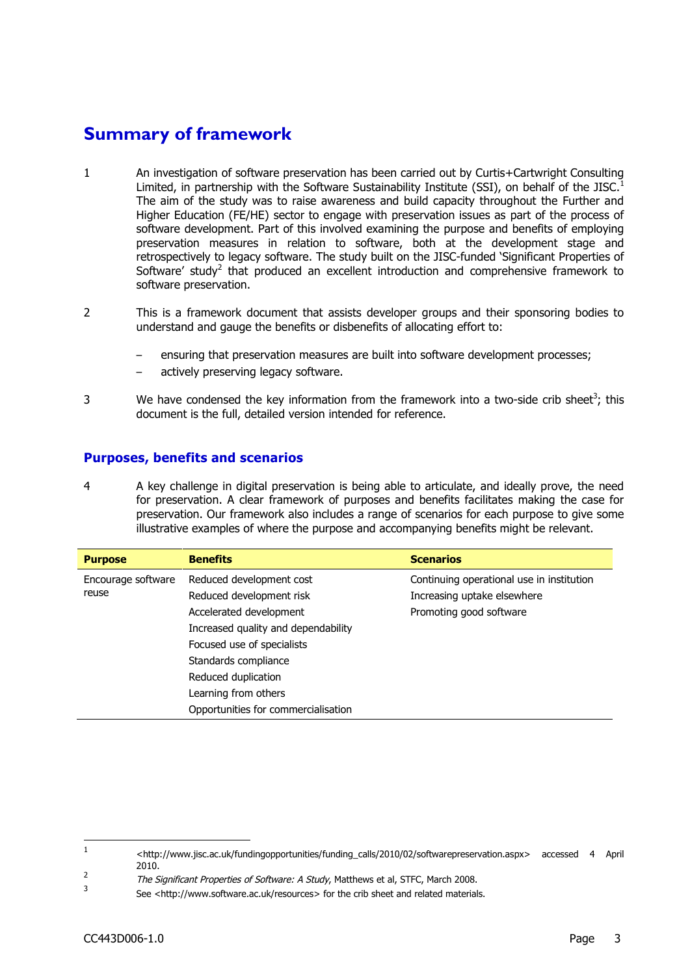## **Summary of framework**

- 1 An investigation of software preservation has been carried out by Curtis+Cartwright Consulting Limited, in partnership with the Software Sustainability Institute (SSI), on behalf of the JISC.<sup>1</sup> The aim of the study was to raise awareness and build capacity throughout the Further and Higher Education (FE/HE) sector to engage with preservation issues as part of the process of software development. Part of this involved examining the purpose and benefits of employing preservation measures in relation to software, both at the development stage and retrospectively to legacy software. The study built on the JISC-funded 'Significant Properties of Software' study<sup>2</sup> that produced an excellent introduction and comprehensive framework to software preservation.
- 2 This is a framework document that assists developer groups and their sponsoring bodies to understand and gauge the benefits or disbenefits of allocating effort to:
	- ensuring that preservation measures are built into software development processes;
	- actively preserving legacy software.
- 3 We have condensed the key information from the framework into a two-side crib sheet<sup>3</sup>; this document is the full, detailed version intended for reference.

## **Purposes, benefits and scenarios**

4 A key challenge in digital preservation is being able to articulate, and ideally prove, the need for preservation. A clear framework of purposes and benefits facilitates making the case for preservation. Our framework also includes a range of scenarios for each purpose to give some illustrative examples of where the purpose and accompanying benefits might be relevant.

| <b>Purpose</b>              | <b>Benefits</b>                     | <b>Scenarios</b>                          |
|-----------------------------|-------------------------------------|-------------------------------------------|
| Encourage software<br>reuse | Reduced development cost            | Continuing operational use in institution |
|                             | Reduced development risk            | Increasing uptake elsewhere               |
|                             | Accelerated development             | Promoting good software                   |
|                             | Increased quality and dependability |                                           |
|                             | Focused use of specialists          |                                           |
|                             | Standards compliance                |                                           |
|                             | Reduced duplication                 |                                           |
|                             | Learning from others                |                                           |
|                             | Opportunities for commercialisation |                                           |

 $\frac{1}{1}$  <http://www.jisc.ac.uk/fundingopportunities/funding\_calls/2010/02/softwarepreservation.aspx> accessed 4 April 2010.

 $\overline{2}$ The Significant Properties of Software: A Study, Matthews et al, STFC, March 2008.

<sup>3</sup> See <http://www.software.ac.uk/resources> for the crib sheet and related materials.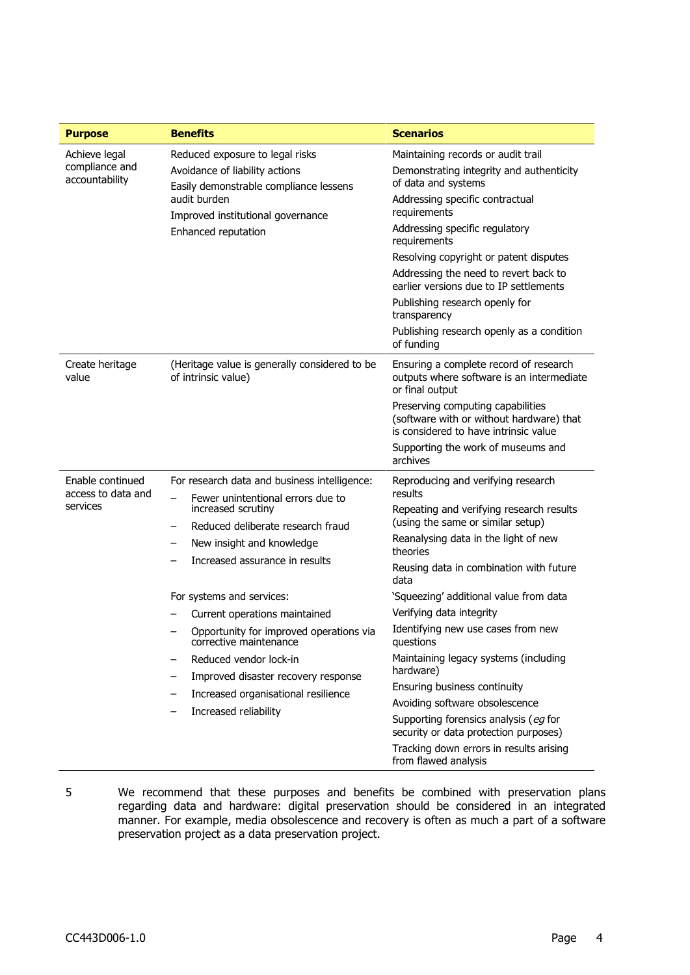| <b>Purpose</b>                                     | <b>Benefits</b>                                                                                                                                                                                                                                                                                                                                                                                                                                                                                                                  | <b>Scenarios</b>                                                                                                                                                                                                                                                                                                                                                                                                                                                                                                                                                                                                                            |
|----------------------------------------------------|----------------------------------------------------------------------------------------------------------------------------------------------------------------------------------------------------------------------------------------------------------------------------------------------------------------------------------------------------------------------------------------------------------------------------------------------------------------------------------------------------------------------------------|---------------------------------------------------------------------------------------------------------------------------------------------------------------------------------------------------------------------------------------------------------------------------------------------------------------------------------------------------------------------------------------------------------------------------------------------------------------------------------------------------------------------------------------------------------------------------------------------------------------------------------------------|
| Achieve legal<br>compliance and<br>accountability  | Reduced exposure to legal risks<br>Avoidance of liability actions<br>Easily demonstrable compliance lessens<br>audit burden<br>Improved institutional governance<br>Enhanced reputation                                                                                                                                                                                                                                                                                                                                          | Maintaining records or audit trail<br>Demonstrating integrity and authenticity<br>of data and systems<br>Addressing specific contractual<br>requirements<br>Addressing specific regulatory<br>requirements                                                                                                                                                                                                                                                                                                                                                                                                                                  |
|                                                    |                                                                                                                                                                                                                                                                                                                                                                                                                                                                                                                                  | Resolving copyright or patent disputes<br>Addressing the need to revert back to<br>earlier versions due to IP settlements<br>Publishing research openly for<br>transparency<br>Publishing research openly as a condition<br>of funding                                                                                                                                                                                                                                                                                                                                                                                                      |
| Create heritage<br>value                           | (Heritage value is generally considered to be<br>of intrinsic value)                                                                                                                                                                                                                                                                                                                                                                                                                                                             | Ensuring a complete record of research<br>outputs where software is an intermediate<br>or final output<br>Preserving computing capabilities<br>(software with or without hardware) that<br>is considered to have intrinsic value<br>Supporting the work of museums and<br>archives                                                                                                                                                                                                                                                                                                                                                          |
| Enable continued<br>access to data and<br>services | For research data and business intelligence:<br>Fewer unintentional errors due to<br>$\qquad \qquad -$<br>increased scrutiny<br>Reduced deliberate research fraud<br>$\overline{\phantom{m}}$<br>New insight and knowledge<br>Increased assurance in results<br>For systems and services:<br>Current operations maintained<br>Opportunity for improved operations via<br>corrective maintenance<br>Reduced vendor lock-in<br>Improved disaster recovery response<br>Increased organisational resilience<br>Increased reliability | Reproducing and verifying research<br>results<br>Repeating and verifying research results<br>(using the same or similar setup)<br>Reanalysing data in the light of new<br>theories<br>Reusing data in combination with future<br>data<br>'Squeezing' additional value from data<br>Verifying data integrity<br>Identifying new use cases from new<br>questions<br>Maintaining legacy systems (including<br>hardware)<br>Ensuring business continuity<br>Avoiding software obsolescence<br>Supporting forensics analysis (eg for<br>security or data protection purposes)<br>Tracking down errors in results arising<br>from flawed analysis |

5 We recommend that these purposes and benefits be combined with preservation plans regarding data and hardware: digital preservation should be considered in an integrated manner. For example, media obsolescence and recovery is often as much a part of a software preservation project as a data preservation project.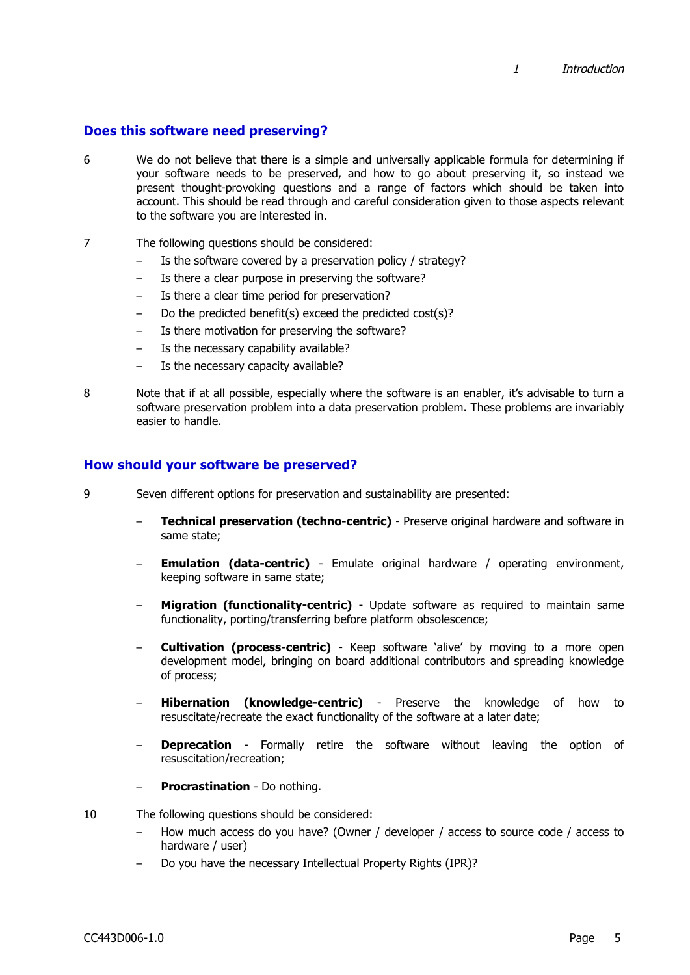#### **Does this software need preserving?**

- 6 We do not believe that there is a simple and universally applicable formula for determining if your software needs to be preserved, and how to go about preserving it, so instead we present thought-provoking questions and a range of factors which should be taken into account. This should be read through and careful consideration given to those aspects relevant to the software you are interested in.
- 7 The following questions should be considered:
	- Is the software covered by a preservation policy / strategy?
	- Is there a clear purpose in preserving the software?
	- Is there a clear time period for preservation?
	- Do the predicted benefit(s) exceed the predicted cost(s)?
	- Is there motivation for preserving the software?
	- Is the necessary capability available?
	- Is the necessary capacity available?
- 8 Note that if at all possible, especially where the software is an enabler, it's advisable to turn a software preservation problem into a data preservation problem. These problems are invariably easier to handle.

#### **How should your software be preserved?**

- 9 Seven different options for preservation and sustainability are presented:
	- **Technical preservation (techno-centric)** Preserve original hardware and software in same state;
	- **Emulation (data-centric)** Emulate original hardware / operating environment, keeping software in same state;
	- **Migration (functionality-centric)** Update software as required to maintain same functionality, porting/transferring before platform obsolescence;
	- **Cultivation (process-centric)** Keep software 'alive' by moving to a more open development model, bringing on board additional contributors and spreading knowledge of process;
	- **Hibernation (knowledge-centric)** Preserve the knowledge of how to resuscitate/recreate the exact functionality of the software at a later date;
	- **Deprecation** Formally retire the software without leaving the option of resuscitation/recreation;
	- **Procrastination** Do nothing.

10 The following questions should be considered:

- How much access do you have? (Owner / developer / access to source code / access to hardware / user)
- Do you have the necessary Intellectual Property Rights (IPR)?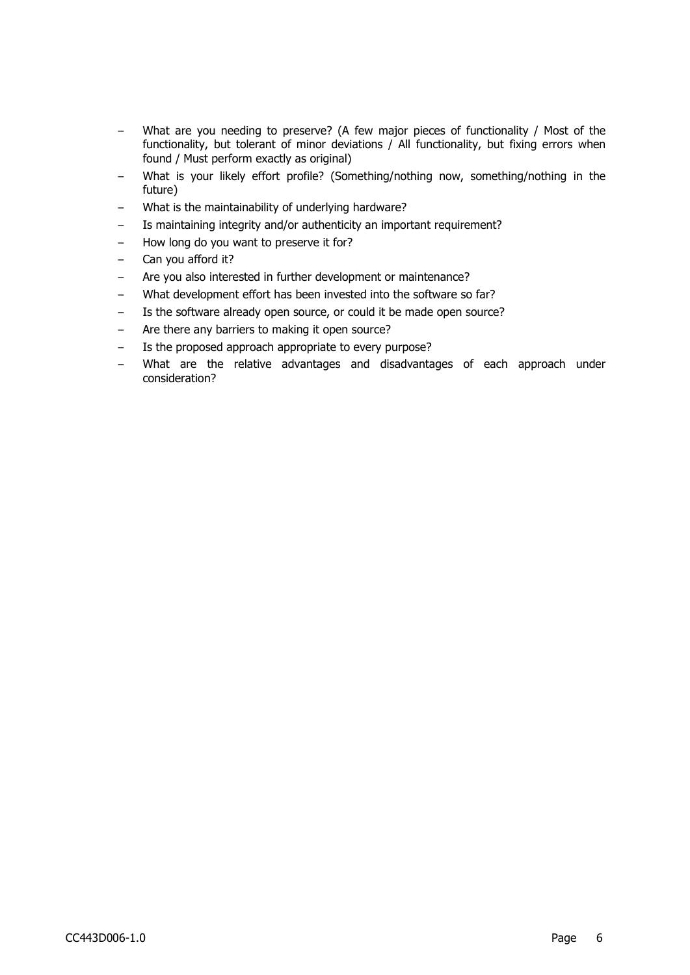- What are you needing to preserve? (A few major pieces of functionality / Most of the functionality, but tolerant of minor deviations / All functionality, but fixing errors when found / Must perform exactly as original)
- What is your likely effort profile? (Something/nothing now, something/nothing in the future)
- What is the maintainability of underlying hardware?
- Is maintaining integrity and/or authenticity an important requirement?
- How long do you want to preserve it for?
- Can you afford it?
- Are you also interested in further development or maintenance?
- What development effort has been invested into the software so far?
- Is the software already open source, or could it be made open source?
- Are there any barriers to making it open source?
- Is the proposed approach appropriate to every purpose?
- What are the relative advantages and disadvantages of each approach under consideration?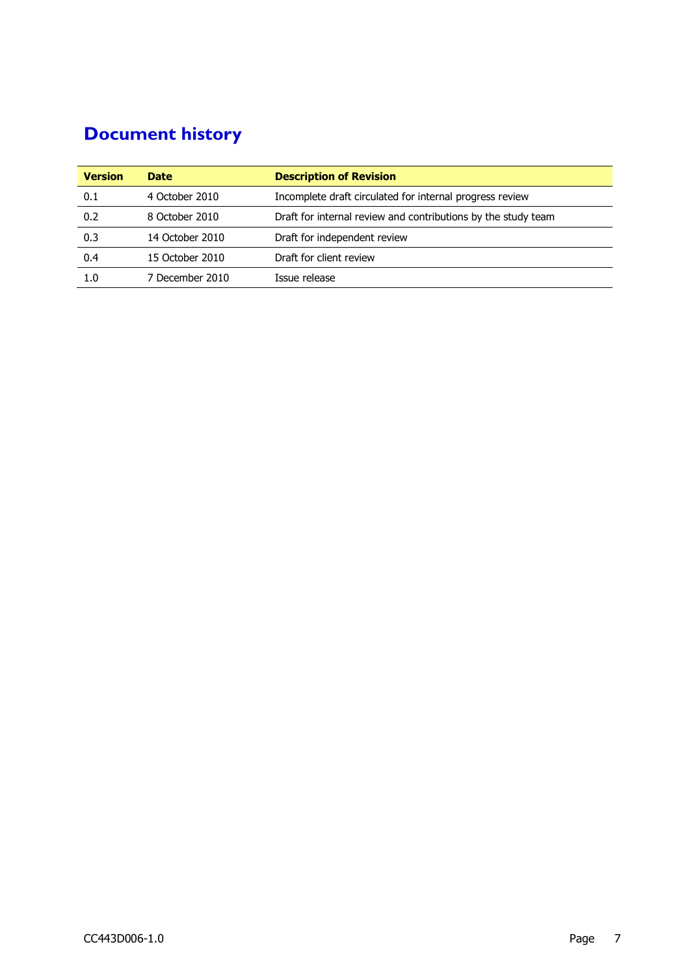## **Document history**

| <b>Version</b> | <b>Date</b>     | <b>Description of Revision</b>                                |
|----------------|-----------------|---------------------------------------------------------------|
| 0.1            | 4 October 2010  | Incomplete draft circulated for internal progress review      |
| 0.2            | 8 October 2010  | Draft for internal review and contributions by the study team |
| 0.3            | 14 October 2010 | Draft for independent review                                  |
| 0.4            | 15 October 2010 | Draft for client review                                       |
| 1.0            | 7 December 2010 | Issue release                                                 |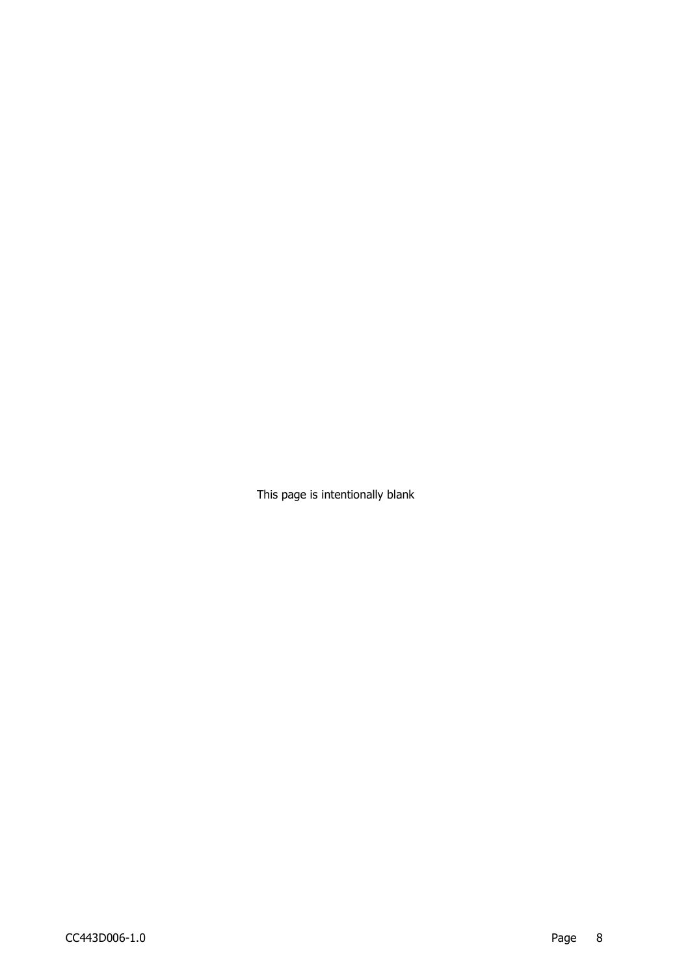This page is intentionally blank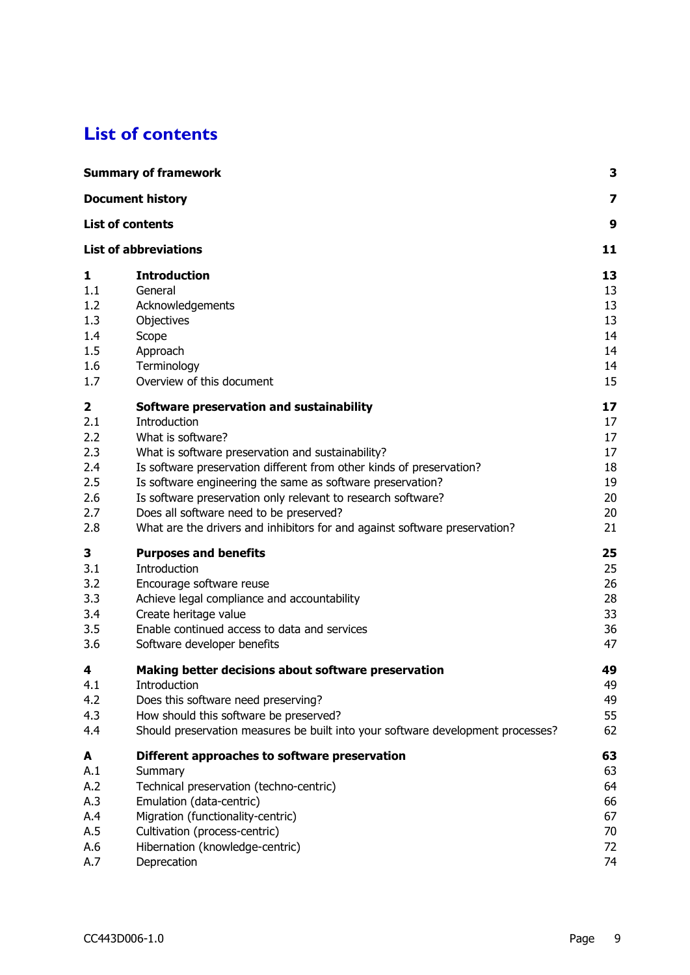## **List of contents**

|              | <b>Summary of framework</b>                                                     | 3        |
|--------------|---------------------------------------------------------------------------------|----------|
|              | <b>Document history</b>                                                         | 7        |
|              | <b>List of contents</b>                                                         | 9        |
|              | <b>List of abbreviations</b>                                                    | 11       |
| 1            | <b>Introduction</b>                                                             | 13       |
| 1.1          | General                                                                         | 13       |
| 1.2          | Acknowledgements                                                                | 13       |
| 1.3          | Objectives                                                                      | 13       |
| 1.4          | Scope                                                                           | 14       |
| 1.5          | Approach                                                                        | 14       |
| 1.6          | Terminology                                                                     | 14       |
| 1.7          | Overview of this document                                                       | 15       |
| $\mathbf{2}$ | Software preservation and sustainability                                        | 17       |
| 2.1          | Introduction                                                                    | 17       |
| 2.2          | What is software?                                                               | 17       |
| 2.3          | What is software preservation and sustainability?                               | 17       |
| 2.4          | Is software preservation different from other kinds of preservation?            | 18       |
| 2.5          | Is software engineering the same as software preservation?                      | 19       |
| 2.6          | Is software preservation only relevant to research software?                    | 20       |
| 2.7          | Does all software need to be preserved?                                         | 20       |
| 2.8          | What are the drivers and inhibitors for and against software preservation?      | 21       |
| 3            | <b>Purposes and benefits</b>                                                    | 25       |
| 3.1          | Introduction                                                                    | 25       |
| 3.2          | Encourage software reuse                                                        | 26       |
| 3.3          | Achieve legal compliance and accountability                                     | 28       |
| 3.4          | Create heritage value                                                           | 33       |
| 3.5          | Enable continued access to data and services                                    | 36       |
| 3.6          | Software developer benefits                                                     | 47       |
| 4            | Making better decisions about software preservation                             | 49       |
| 4.1          | Introduction                                                                    | 49       |
| 4.2          | Does this software need preserving?                                             | 49       |
| 4.3<br>4.4   | How should this software be preserved?                                          | 55<br>62 |
|              | Should preservation measures be built into your software development processes? |          |
| A            | Different approaches to software preservation                                   | 63       |
| A.1<br>A.2   | Summary                                                                         | 63<br>64 |
| A.3          | Technical preservation (techno-centric)<br>Emulation (data-centric)             | 66       |
| A.4          | Migration (functionality-centric)                                               | 67       |
| A.5          | Cultivation (process-centric)                                                   | 70       |
| A.6          | Hibernation (knowledge-centric)                                                 | 72       |
| A.7          | Deprecation                                                                     | 74       |
|              |                                                                                 |          |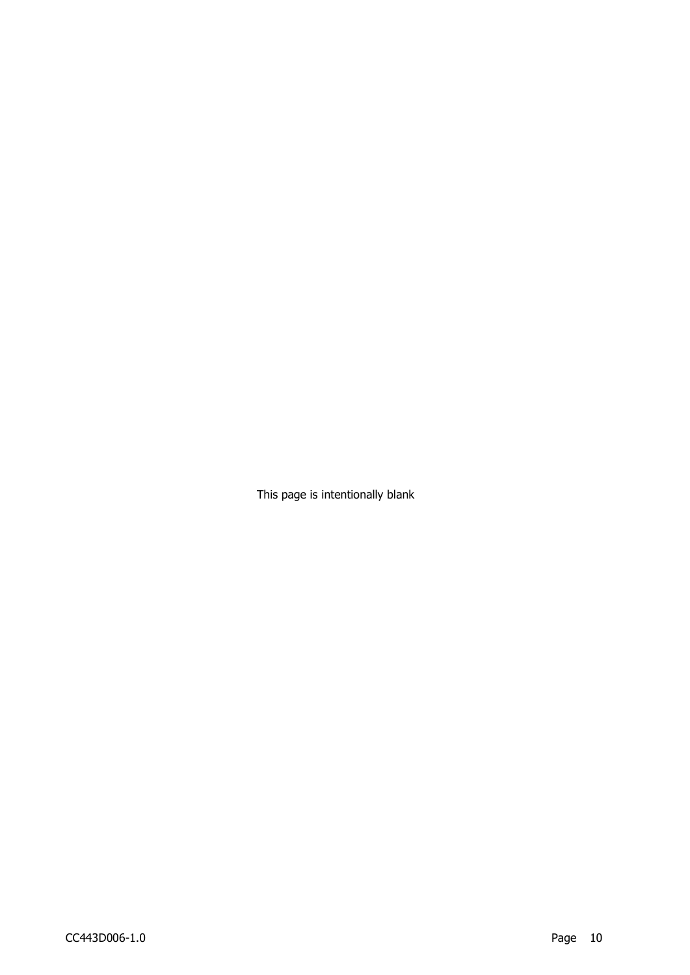This page is intentionally blank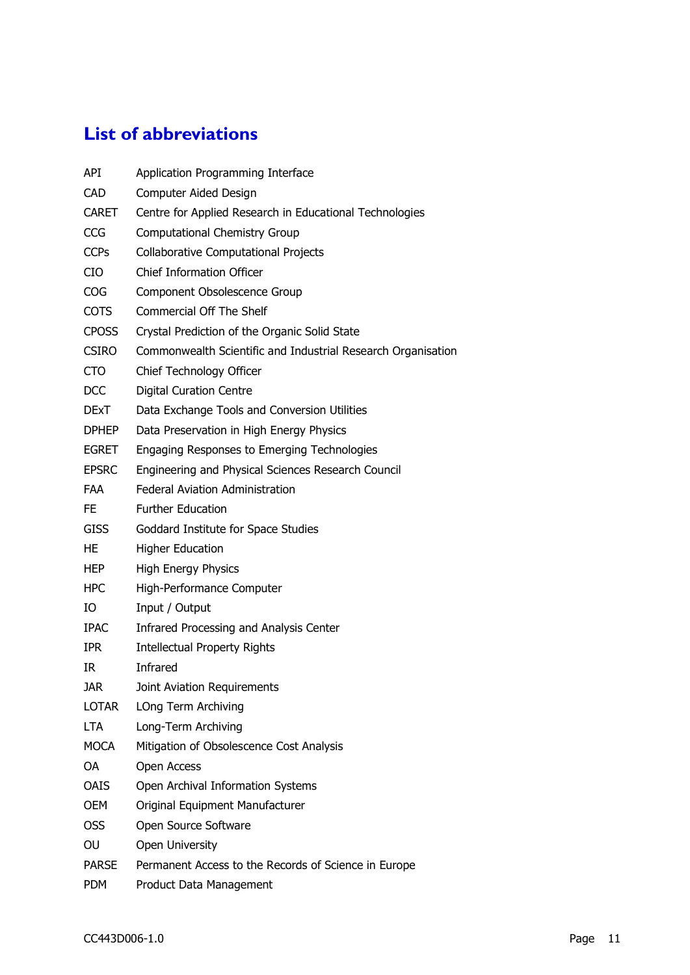## **List of abbreviations**

| API          | Application Programming Interface                            |
|--------------|--------------------------------------------------------------|
| <b>CAD</b>   | Computer Aided Design                                        |
| <b>CARET</b> | Centre for Applied Research in Educational Technologies      |
| <b>CCG</b>   | <b>Computational Chemistry Group</b>                         |
| <b>CCPs</b>  | Collaborative Computational Projects                         |
| <b>CIO</b>   | <b>Chief Information Officer</b>                             |
| <b>COG</b>   | Component Obsolescence Group                                 |
| COTS         | <b>Commercial Off The Shelf</b>                              |
| <b>CPOSS</b> | Crystal Prediction of the Organic Solid State                |
| <b>CSIRO</b> | Commonwealth Scientific and Industrial Research Organisation |
| <b>CTO</b>   | Chief Technology Officer                                     |
| <b>DCC</b>   | <b>Digital Curation Centre</b>                               |
| <b>DExT</b>  | Data Exchange Tools and Conversion Utilities                 |
| DPHEP        | Data Preservation in High Energy Physics                     |
| <b>EGRET</b> | Engaging Responses to Emerging Technologies                  |
| <b>EPSRC</b> | Engineering and Physical Sciences Research Council           |
| <b>FAA</b>   | <b>Federal Aviation Administration</b>                       |
| FE           | <b>Further Education</b>                                     |
| <b>GISS</b>  | Goddard Institute for Space Studies                          |
| HE           | <b>Higher Education</b>                                      |
| HEP          | <b>High Energy Physics</b>                                   |
| <b>HPC</b>   | High-Performance Computer                                    |
| IO           | Input / Output                                               |
| <b>IPAC</b>  | <b>Infrared Processing and Analysis Center</b>               |
| <b>IPR</b>   | <b>Intellectual Property Rights</b>                          |
| IR           | Infrared                                                     |
| <b>JAR</b>   | Joint Aviation Requirements                                  |
| LOTAR        | LOng Term Archiving                                          |
| LTA          | Long-Term Archiving                                          |
| <b>MOCA</b>  | Mitigation of Obsolescence Cost Analysis                     |
| OA           | Open Access                                                  |
| <b>OAIS</b>  | Open Archival Information Systems                            |
| <b>OEM</b>   | Original Equipment Manufacturer                              |
| <b>OSS</b>   | Open Source Software                                         |
| OU           | Open University                                              |
| <b>PARSE</b> | Permanent Access to the Records of Science in Europe         |
| <b>PDM</b>   | Product Data Management                                      |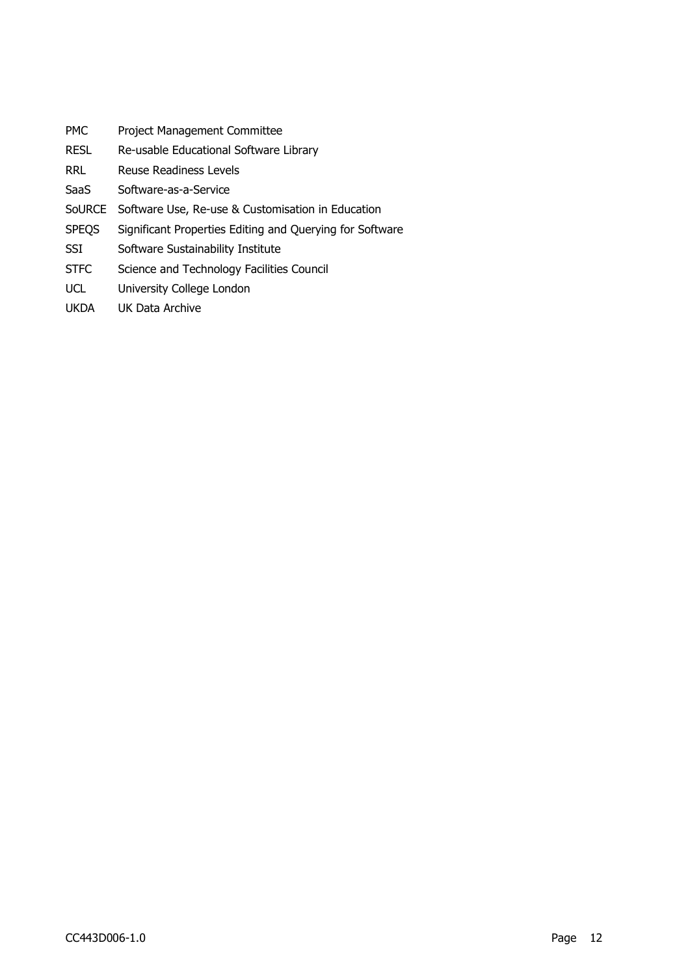- PMC Project Management Committee
- RESL Re-usable Educational Software Library
- RRL Reuse Readiness Levels
- SaaS Software-as-a-Service
- SoURCE Software Use, Re-use & Customisation in Education
- SPEQS Significant Properties Editing and Querying for Software
- SSI Software Sustainability Institute
- STFC Science and Technology Facilities Council
- UCL University College London
- UKDA UK Data Archive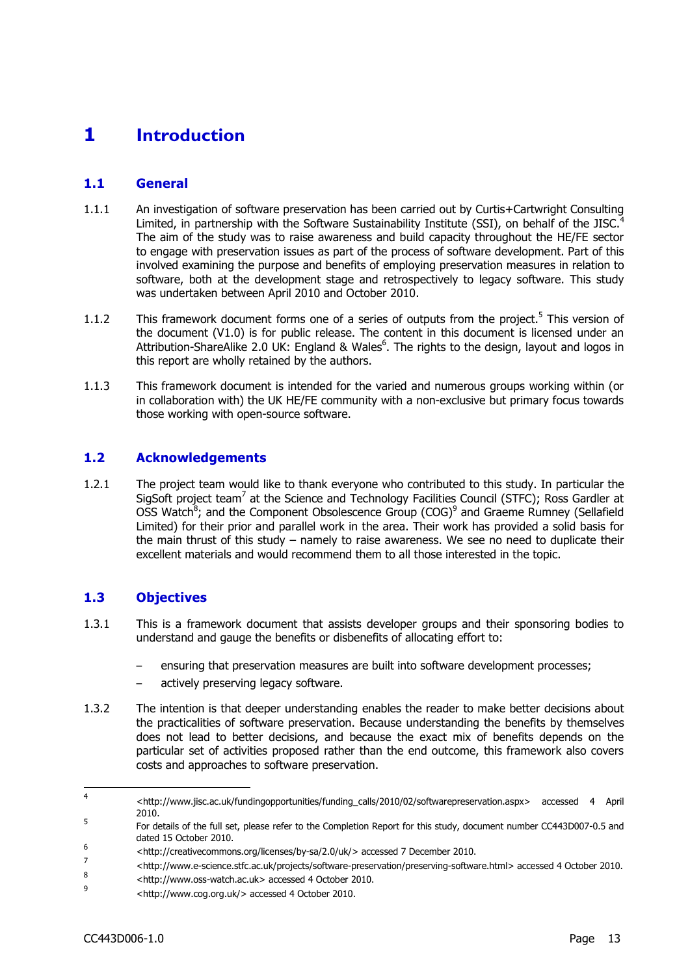## **1 Introduction**

## **1.1 General**

- 1.1.1 An investigation of software preservation has been carried out by Curtis+Cartwright Consulting Limited, in partnership with the Software Sustainability Institute (SSI), on behalf of the JISC.<sup>4</sup> The aim of the study was to raise awareness and build capacity throughout the HE/FE sector to engage with preservation issues as part of the process of software development. Part of this involved examining the purpose and benefits of employing preservation measures in relation to software, both at the development stage and retrospectively to legacy software. This study was undertaken between April 2010 and October 2010.
- 1.1.2 This framework document forms one of a series of outputs from the project.<sup>5</sup> This version of the document (V1.0) is for public release. The content in this document is licensed under an Attribution-ShareAlike 2.0 UK: England & Wales<sup>6</sup>. The rights to the design, layout and logos in this report are wholly retained by the authors.
- 1.1.3 This framework document is intended for the varied and numerous groups working within (or in collaboration with) the UK HE/FE community with a non-exclusive but primary focus towards those working with open-source software.

### **1.2 Acknowledgements**

1.2.1 The project team would like to thank everyone who contributed to this study. In particular the SigSoft project team<sup>7</sup> at the Science and Technology Facilities Council (STFC); Ross Gardler at OSS Watch $^8$ ; and the Component Obsolescence Group (COG) $^9$  and Graeme Rumney (Sellafield Limited) for their prior and parallel work in the area. Their work has provided a solid basis for the main thrust of this study – namely to raise awareness. We see no need to duplicate their excellent materials and would recommend them to all those interested in the topic.

## **1.3 Objectives**

- 1.3.1 This is a framework document that assists developer groups and their sponsoring bodies to understand and gauge the benefits or disbenefits of allocating effort to:
	- ensuring that preservation measures are built into software development processes;
	- actively preserving legacy software.
- 1.3.2 The intention is that deeper understanding enables the reader to make better decisions about the practicalities of software preservation. Because understanding the benefits by themselves does not lead to better decisions, and because the exact mix of benefits depends on the particular set of activities proposed rather than the end outcome, this framework also covers costs and approaches to software preservation.

8 <http://www.oss-watch.ac.uk> accessed 4 October 2010.

 $\frac{1}{4}$  <http://www.jisc.ac.uk/fundingopportunities/funding\_calls/2010/02/softwarepreservation.aspx> accessed 4 April 2010. 5

For details of the full set, please refer to the Completion Report for this study, document number CC443D007-0.5 and dated 15 October 2010. 6

 <sup>&</sup>lt;http://creativecommons.org/licenses/by-sa/2.0/uk/> accessed 7 December 2010.

<sup>7</sup> <http://www.e-science.stfc.ac.uk/projects/software-preservation/preserving-software.html> accessed 4 October 2010.

 $\overline{9}$ <http://www.cog.org.uk/> accessed 4 October 2010.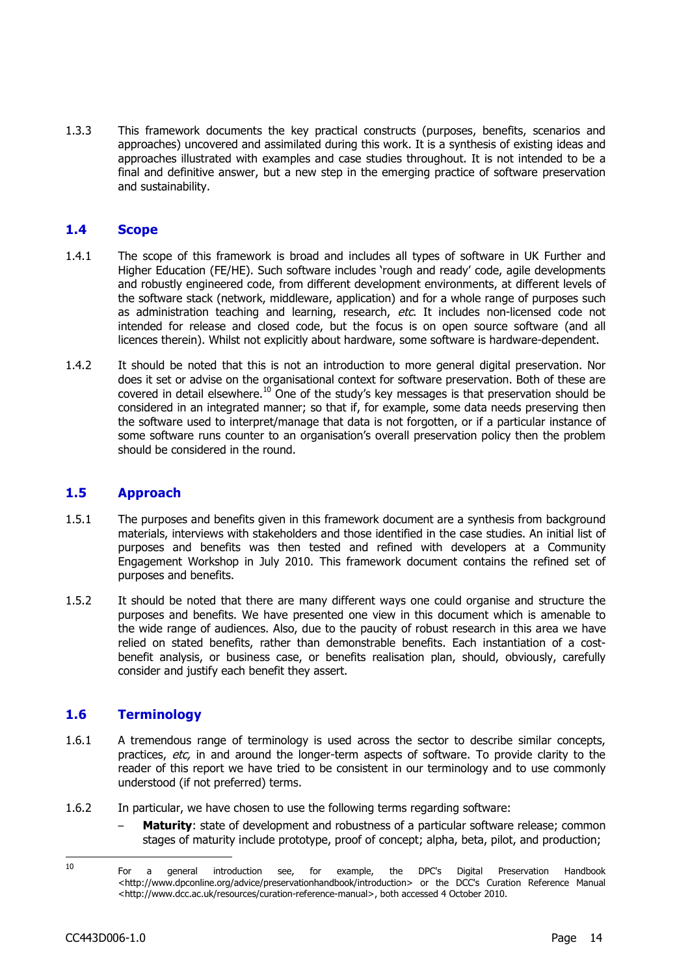1.3.3 This framework documents the key practical constructs (purposes, benefits, scenarios and approaches) uncovered and assimilated during this work. It is a synthesis of existing ideas and approaches illustrated with examples and case studies throughout. It is not intended to be a final and definitive answer, but a new step in the emerging practice of software preservation and sustainability.

### **1.4 Scope**

- 1.4.1 The scope of this framework is broad and includes all types of software in UK Further and Higher Education (FE/HE). Such software includes 'rough and ready' code, agile developments and robustly engineered code, from different development environments, at different levels of the software stack (network, middleware, application) and for a whole range of purposes such as administration teaching and learning, research, etc. It includes non-licensed code not intended for release and closed code, but the focus is on open source software (and all licences therein). Whilst not explicitly about hardware, some software is hardware-dependent.
- 1.4.2 It should be noted that this is not an introduction to more general digital preservation. Nor does it set or advise on the organisational context for software preservation. Both of these are covered in detail elsewhere.<sup>10</sup> One of the study's key messages is that preservation should be considered in an integrated manner; so that if, for example, some data needs preserving then the software used to interpret/manage that data is not forgotten, or if a particular instance of some software runs counter to an organisation's overall preservation policy then the problem should be considered in the round.

#### **1.5 Approach**

- 1.5.1 The purposes and benefits given in this framework document are a synthesis from background materials, interviews with stakeholders and those identified in the case studies. An initial list of purposes and benefits was then tested and refined with developers at a Community Engagement Workshop in July 2010. This framework document contains the refined set of purposes and benefits.
- 1.5.2 It should be noted that there are many different ways one could organise and structure the purposes and benefits. We have presented one view in this document which is amenable to the wide range of audiences. Also, due to the paucity of robust research in this area we have relied on stated benefits, rather than demonstrable benefits. Each instantiation of a costbenefit analysis, or business case, or benefits realisation plan, should, obviously, carefully consider and justify each benefit they assert.

### **1.6 Terminology**

- 1.6.1 A tremendous range of terminology is used across the sector to describe similar concepts, practices, etc, in and around the longer-term aspects of software. To provide clarity to the reader of this report we have tried to be consistent in our terminology and to use commonly understood (if not preferred) terms.
- 1.6.2 In particular, we have chosen to use the following terms regarding software:
	- **Maturity**: state of development and robustness of a particular software release; common stages of maturity include prototype, proof of concept; alpha, beta, pilot, and production;

 $\frac{1}{10}$ 

For a general introduction see, for example, the DPC's Digital Preservation Handbook <http://www.dpconline.org/advice/preservationhandbook/introduction> or the DCC's Curation Reference Manual <http://www.dcc.ac.uk/resources/curation-reference-manual>, both accessed 4 October 2010.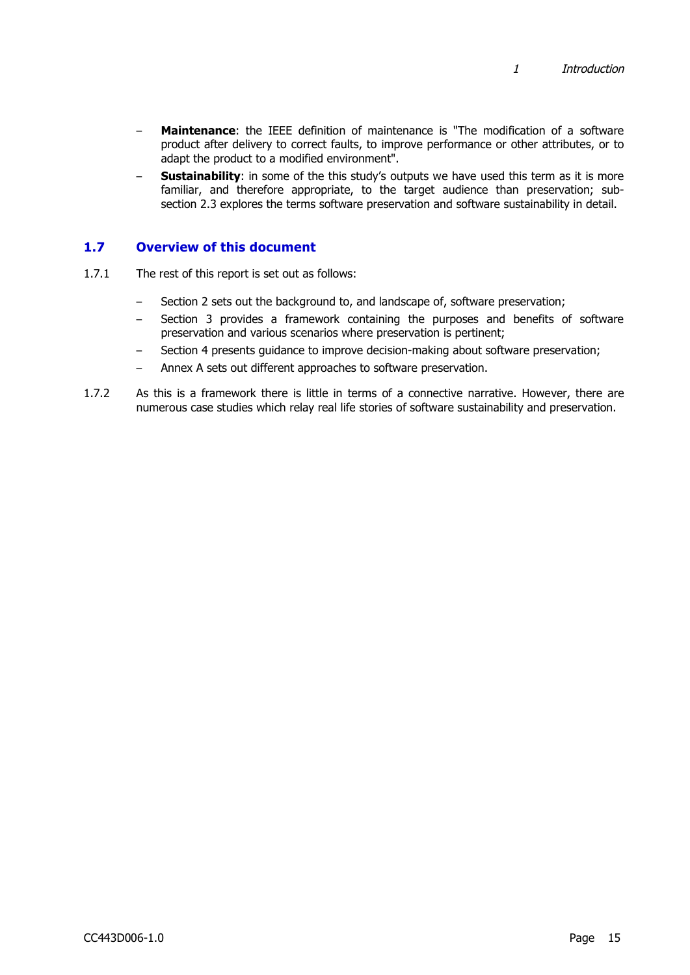- **Maintenance**: the IEEE definition of maintenance is "The modification of a software product after delivery to correct faults, to improve performance or other attributes, or to adapt the product to a modified environment".
- **Sustainability:** in some of the this study's outputs we have used this term as it is more familiar, and therefore appropriate, to the target audience than preservation; subsection 2.3 explores the terms software preservation and software sustainability in detail.

## **1.7 Overview of this document**

- 1.7.1 The rest of this report is set out as follows:
	- Section 2 sets out the background to, and landscape of, software preservation;
	- Section 3 provides a framework containing the purposes and benefits of software preservation and various scenarios where preservation is pertinent;
	- Section 4 presents guidance to improve decision-making about software preservation;
	- Annex A sets out different approaches to software preservation.
- 1.7.2 As this is a framework there is little in terms of a connective narrative. However, there are numerous case studies which relay real life stories of software sustainability and preservation.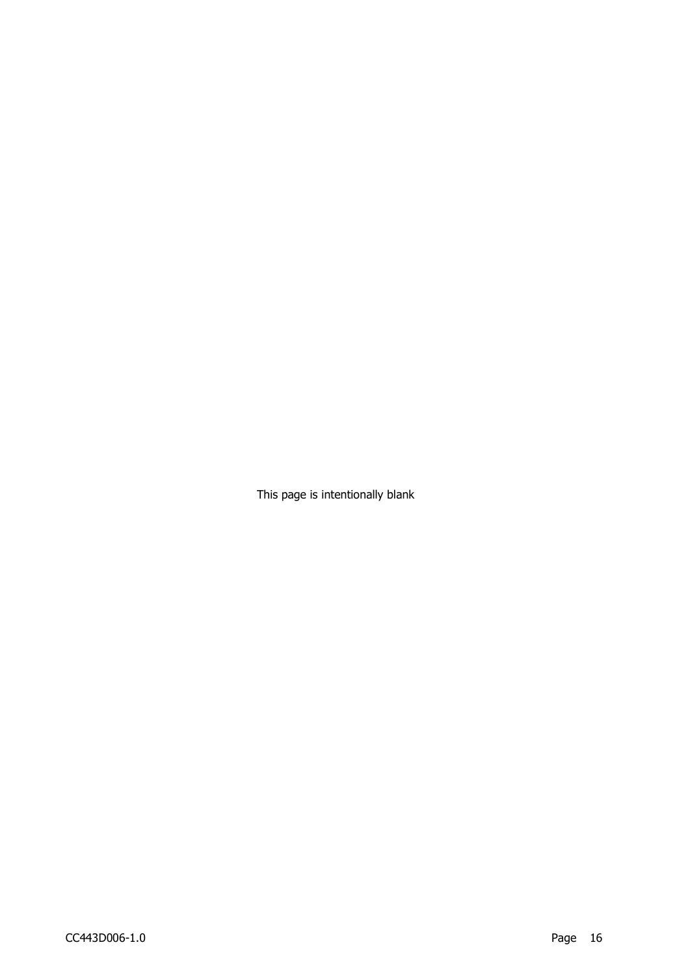This page is intentionally blank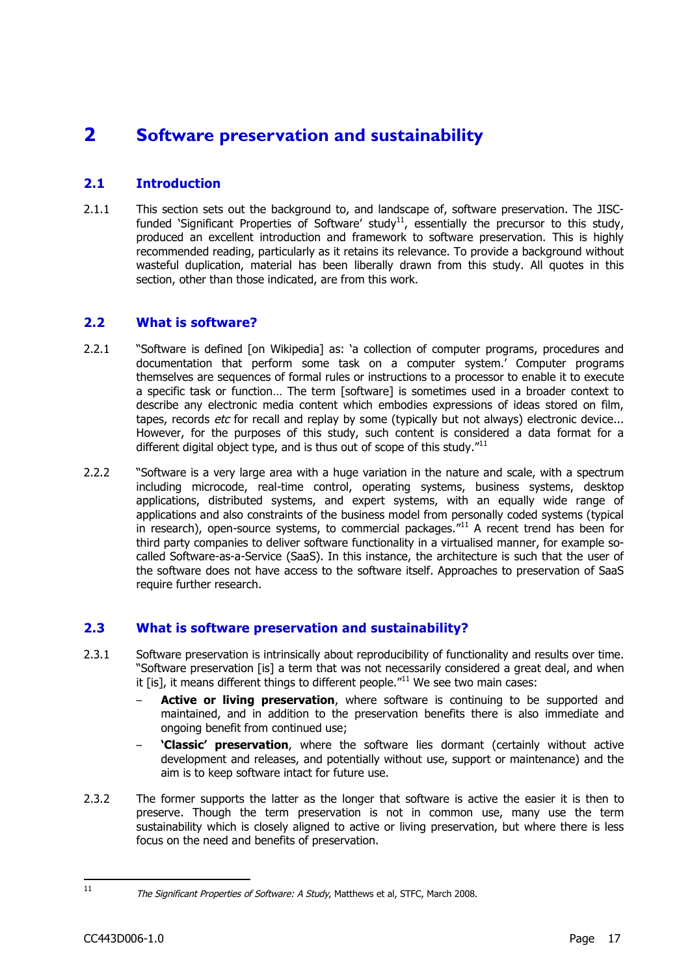## **2 Software preservation and sustainability**

## **2.1 Introduction**

2.1.1 This section sets out the background to, and landscape of, software preservation. The JISCfunded 'Significant Properties of Software' study<sup>11</sup>, essentially the precursor to this study, produced an excellent introduction and framework to software preservation. This is highly recommended reading, particularly as it retains its relevance. To provide a background without wasteful duplication, material has been liberally drawn from this study. All quotes in this section, other than those indicated, are from this work.

## **2.2 What is software?**

- 2.2.1 "Software is defined [on Wikipedia] as: 'a collection of computer programs, procedures and documentation that perform some task on a computer system.' Computer programs themselves are sequences of formal rules or instructions to a processor to enable it to execute a specific task or function… The term [software] is sometimes used in a broader context to describe any electronic media content which embodies expressions of ideas stored on film, tapes, records *etc* for recall and replay by some (typically but not always) electronic device... However, for the purposes of this study, such content is considered a data format for a different digital object type, and is thus out of scope of this study." $11$
- 2.2.2 "Software is a very large area with a huge variation in the nature and scale, with a spectrum including microcode, real-time control, operating systems, business systems, desktop applications, distributed systems, and expert systems, with an equally wide range of applications and also constraints of the business model from personally coded systems (typical in research), open-source systems, to commercial packages."<sup>11</sup> A recent trend has been for third party companies to deliver software functionality in a virtualised manner, for example socalled Software-as-a-Service (SaaS). In this instance, the architecture is such that the user of the software does not have access to the software itself. Approaches to preservation of SaaS require further research.

## **2.3 What is software preservation and sustainability?**

- 2.3.1 Software preservation is intrinsically about reproducibility of functionality and results over time. "Software preservation [is] a term that was not necessarily considered a great deal, and when it  $[$ is], it means different things to different people. $"^{11}$  We see two main cases:
	- Active or living preservation, where software is continuing to be supported and maintained, and in addition to the preservation benefits there is also immediate and ongoing benefit from continued use;
	- **'Classic' preservation**, where the software lies dormant (certainly without active development and releases, and potentially without use, support or maintenance) and the aim is to keep software intact for future use.
- 2.3.2 The former supports the latter as the longer that software is active the easier it is then to preserve. Though the term preservation is not in common use, many use the term sustainability which is closely aligned to active or living preservation, but where there is less focus on the need and benefits of preservation.

 $\frac{1}{11}$ 

The Significant Properties of Software: A Study, Matthews et al, STFC, March 2008.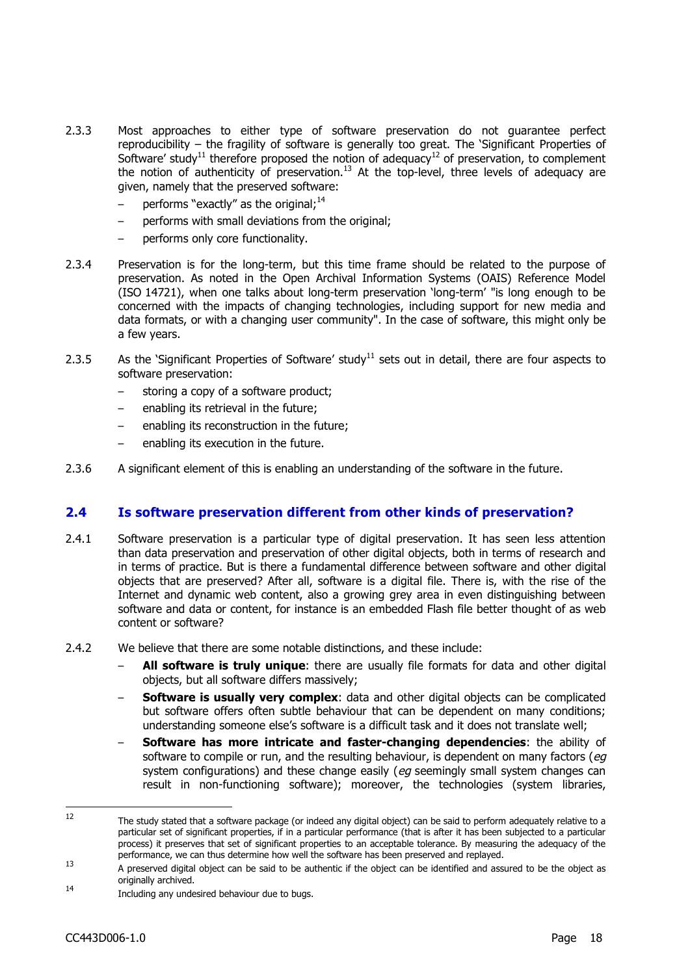- 2.3.3 Most approaches to either type of software preservation do not guarantee perfect reproducibility – the fragility of software is generally too great. The 'Significant Properties of Software' study<sup>11</sup> therefore proposed the notion of adequacy<sup>12</sup> of preservation, to complement the notion of authenticity of preservation.<sup>13</sup> At the top-level, three levels of adequacy are given, namely that the preserved software:
	- performs "exactly" as the original; $^{14}$
	- performs with small deviations from the original;
	- performs only core functionality.
- 2.3.4 Preservation is for the long-term, but this time frame should be related to the purpose of preservation. As noted in the Open Archival Information Systems (OAIS) Reference Model (ISO 14721), when one talks about long-term preservation 'long-term' "is long enough to be concerned with the impacts of changing technologies, including support for new media and data formats, or with a changing user community". In the case of software, this might only be a few years.
- 2.3.5 As the 'Significant Properties of Software' study<sup>11</sup> sets out in detail, there are four aspects to software preservation:
	- storing a copy of a software product;
	- enabling its retrieval in the future;
	- enabling its reconstruction in the future;
	- enabling its execution in the future.
- 2.3.6 A significant element of this is enabling an understanding of the software in the future.

### **2.4 Is software preservation different from other kinds of preservation?**

- 2.4.1 Software preservation is a particular type of digital preservation. It has seen less attention than data preservation and preservation of other digital objects, both in terms of research and in terms of practice. But is there a fundamental difference between software and other digital objects that are preserved? After all, software is a digital file. There is, with the rise of the Internet and dynamic web content, also a growing grey area in even distinguishing between software and data or content, for instance is an embedded Flash file better thought of as web content or software?
- 2.4.2 We believe that there are some notable distinctions, and these include:
	- **All software is truly unique**: there are usually file formats for data and other digital objects, but all software differs massively;
	- **Software is usually very complex**: data and other digital objects can be complicated but software offers often subtle behaviour that can be dependent on many conditions; understanding someone else's software is a difficult task and it does not translate well;
	- **Software has more intricate and faster-changing dependencies**: the ability of software to compile or run, and the resulting behaviour, is dependent on many factors (eq. system configurations) and these change easily (eg seemingly small system changes can result in non-functioning software); moreover, the technologies (system libraries,

 $\frac{1}{12}$  The study stated that a software package (or indeed any digital object) can be said to perform adequately relative to a particular set of significant properties, if in a particular performance (that is after it has been subjected to a particular process) it preserves that set of significant properties to an acceptable tolerance. By measuring the adequacy of the performance, we can thus determine how well the software has been preserved and replayed.

<sup>13</sup> A preserved digital object can be said to be authentic if the object can be identified and assured to be the object as originally archived.

<sup>14</sup> Including any undesired behaviour due to bugs.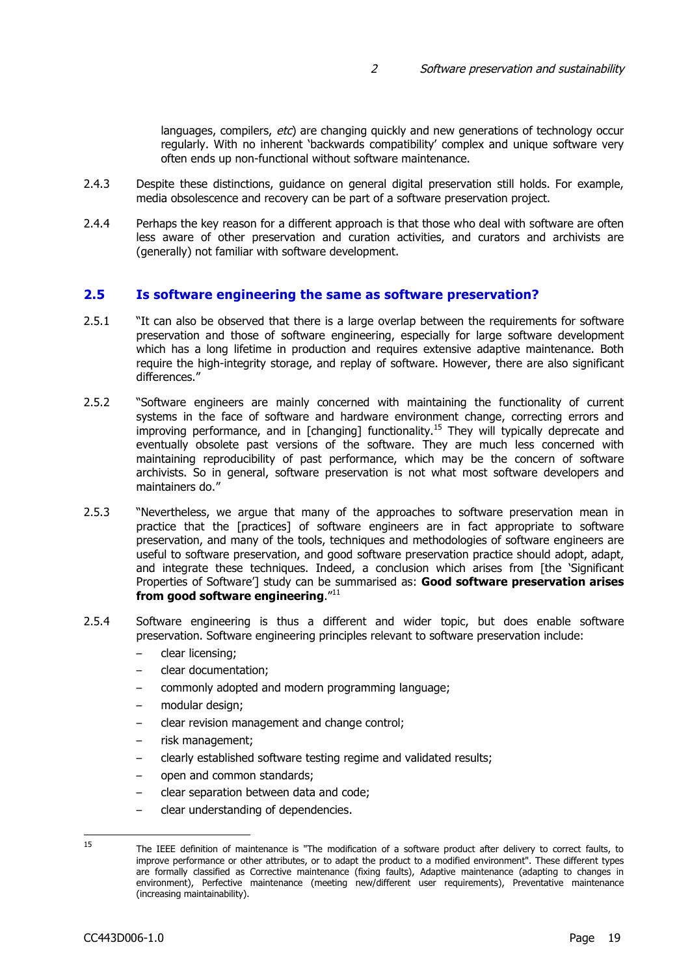languages, compilers, etc) are changing quickly and new generations of technology occur regularly. With no inherent 'backwards compatibility' complex and unique software very often ends up non-functional without software maintenance.

- 2.4.3 Despite these distinctions, guidance on general digital preservation still holds. For example, media obsolescence and recovery can be part of a software preservation project.
- 2.4.4 Perhaps the key reason for a different approach is that those who deal with software are often less aware of other preservation and curation activities, and curators and archivists are (generally) not familiar with software development.

### **2.5 Is software engineering the same as software preservation?**

- 2.5.1 "It can also be observed that there is a large overlap between the requirements for software preservation and those of software engineering, especially for large software development which has a long lifetime in production and requires extensive adaptive maintenance. Both require the high-integrity storage, and replay of software. However, there are also significant differences."
- 2.5.2 "Software engineers are mainly concerned with maintaining the functionality of current systems in the face of software and hardware environment change, correcting errors and improving performance, and in  $[changing]$  functionality.<sup>15</sup> They will typically deprecate and eventually obsolete past versions of the software. They are much less concerned with maintaining reproducibility of past performance, which may be the concern of software archivists. So in general, software preservation is not what most software developers and maintainers do."
- 2.5.3 "Nevertheless, we argue that many of the approaches to software preservation mean in practice that the [practices] of software engineers are in fact appropriate to software preservation, and many of the tools, techniques and methodologies of software engineers are useful to software preservation, and good software preservation practice should adopt, adapt, and integrate these techniques. Indeed, a conclusion which arises from [the 'Significant Properties of Software'] study can be summarised as: **Good software preservation arises from good software engineering**."<sup>11</sup>
- 2.5.4 Software engineering is thus a different and wider topic, but does enable software preservation. Software engineering principles relevant to software preservation include:
	- clear licensing;
	- clear documentation;
	- commonly adopted and modern programming language;
	- modular design;
	- clear revision management and change control;
	- risk management;
	- clearly established software testing regime and validated results;
	- open and common standards;
	- clear separation between data and code;
	- clear understanding of dependencies.

 $\frac{1}{15}$ 

The IEEE definition of maintenance is "The modification of a software product after delivery to correct faults, to improve performance or other attributes, or to adapt the product to a modified environment". These different types are formally classified as Corrective maintenance (fixing faults), Adaptive maintenance (adapting to changes in environment), Perfective maintenance (meeting new/different user requirements), Preventative maintenance (increasing maintainability).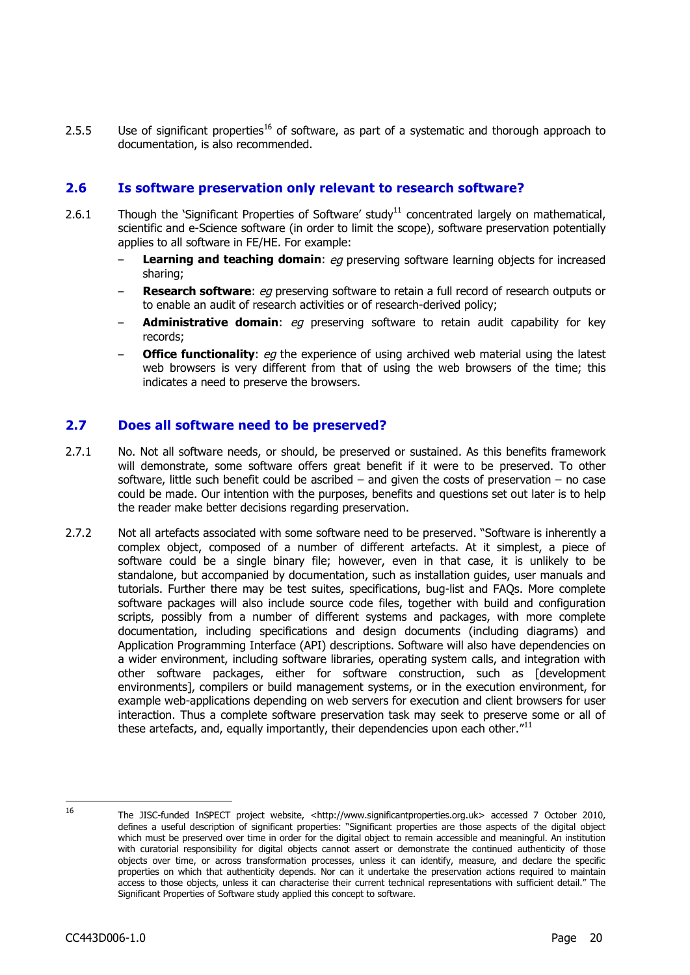2.5.5 Use of significant properties<sup>16</sup> of software, as part of a systematic and thorough approach to documentation, is also recommended.

### **2.6 Is software preservation only relevant to research software?**

- 2.6.1 Though the 'Significant Properties of Software' study<sup>11</sup> concentrated largely on mathematical, scientific and e-Science software (in order to limit the scope), software preservation potentially applies to all software in FE/HE. For example:
	- **Learning and teaching domain:** eg preserving software learning objects for increased sharing;
	- **Research software**: eg preserving software to retain a full record of research outputs or to enable an audit of research activities or of research-derived policy;
	- **Administrative domain**: eg preserving software to retain audit capability for key records;
	- **Office functionality**: eg the experience of using archived web material using the latest web browsers is very different from that of using the web browsers of the time; this indicates a need to preserve the browsers.

#### **2.7 Does all software need to be preserved?**

- 2.7.1 No. Not all software needs, or should, be preserved or sustained. As this benefits framework will demonstrate, some software offers great benefit if it were to be preserved. To other software, little such benefit could be ascribed  $-$  and given the costs of preservation  $-$  no case could be made. Our intention with the purposes, benefits and questions set out later is to help the reader make better decisions regarding preservation.
- 2.7.2 Not all artefacts associated with some software need to be preserved. "Software is inherently a complex object, composed of a number of different artefacts. At it simplest, a piece of software could be a single binary file; however, even in that case, it is unlikely to be standalone, but accompanied by documentation, such as installation guides, user manuals and tutorials. Further there may be test suites, specifications, bug-list and FAQs. More complete software packages will also include source code files, together with build and configuration scripts, possibly from a number of different systems and packages, with more complete documentation, including specifications and design documents (including diagrams) and Application Programming Interface (API) descriptions. Software will also have dependencies on a wider environment, including software libraries, operating system calls, and integration with other software packages, either for software construction, such as [development environments], compilers or build management systems, or in the execution environment, for example web-applications depending on web servers for execution and client browsers for user interaction. Thus a complete software preservation task may seek to preserve some or all of these artefacts, and, equally importantly, their dependencies upon each other. $"^{11}$
- $\frac{1}{16}$

The JISC-funded InSPECT project website, <http://www.significantproperties.org.uk> accessed 7 October 2010, defines a useful description of significant properties: "Significant properties are those aspects of the digital object which must be preserved over time in order for the digital object to remain accessible and meaningful. An institution with curatorial responsibility for digital objects cannot assert or demonstrate the continued authenticity of those objects over time, or across transformation processes, unless it can identify, measure, and declare the specific properties on which that authenticity depends. Nor can it undertake the preservation actions required to maintain access to those objects, unless it can characterise their current technical representations with sufficient detail." The Significant Properties of Software study applied this concept to software.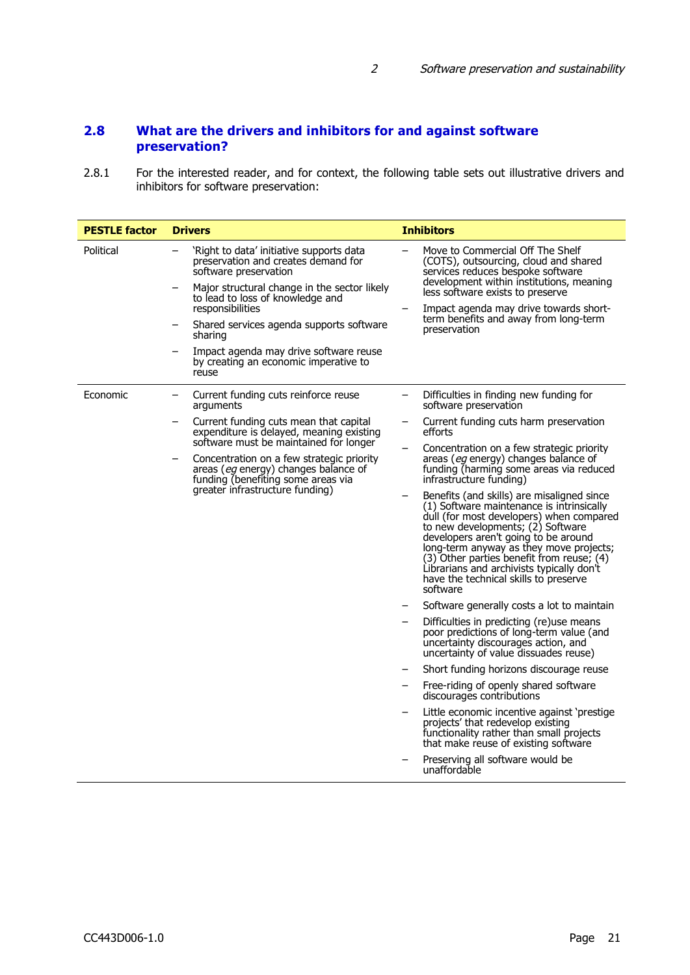## **2.8 What are the drivers and inhibitors for and against software preservation?**

2.8.1 For the interested reader, and for context, the following table sets out illustrative drivers and inhibitors for software preservation:

| <b>PESTLE factor</b> | <b>Drivers</b>                                                                                                                                                    | <b>Inhibitors</b>                                                                                                                                                                                                                                                                                                                                                                                          |  |  |
|----------------------|-------------------------------------------------------------------------------------------------------------------------------------------------------------------|------------------------------------------------------------------------------------------------------------------------------------------------------------------------------------------------------------------------------------------------------------------------------------------------------------------------------------------------------------------------------------------------------------|--|--|
| Political            | 'Right to data' initiative supports data<br>preservation and creates demand for<br>software preservation<br>Major structural change in the sector likely          | Move to Commercial Off The Shelf<br>(COTS), outsourcing, cloud and shared<br>services reduces bespoke software<br>development within institutions, meaning                                                                                                                                                                                                                                                 |  |  |
|                      | to lead to loss of knowledge and<br>responsibilities                                                                                                              | less software exists to preserve<br>Impact agenda may drive towards short-                                                                                                                                                                                                                                                                                                                                 |  |  |
|                      | Shared services agenda supports software<br>sharing                                                                                                               | term benefits and away from long-term<br>preservation                                                                                                                                                                                                                                                                                                                                                      |  |  |
|                      | Impact agenda may drive software reuse<br>by creating an economic imperative to<br>reuse                                                                          |                                                                                                                                                                                                                                                                                                                                                                                                            |  |  |
| Economic             | Current funding cuts reinforce reuse<br>arguments                                                                                                                 | Difficulties in finding new funding for<br>—<br>software preservation                                                                                                                                                                                                                                                                                                                                      |  |  |
|                      | Current funding cuts mean that capital<br>expenditure is delayed, meaning existing                                                                                | Current funding cuts harm preservation<br>efforts                                                                                                                                                                                                                                                                                                                                                          |  |  |
|                      | software must be maintained for longer<br>Concentration on a few strategic priority<br>areas (eg energy) changes balance of<br>funding (benefiting some areas via | Concentration on a few strategic priority<br>areas (eg energy) changes balance of<br>funding (harming some areas via reduced<br>infrastructure funding)                                                                                                                                                                                                                                                    |  |  |
|                      | greater infrastructure funding)                                                                                                                                   | Benefits (and skills) are misaligned since<br>(1) Software maintenance is intrinsically<br>dull (for most developers) when compared<br>to new developments; (2) Software<br>developers aren't going to be around<br>long-term anyway as they move projects;<br>(3) Other parties benefit from reuse; (4)<br>Librarians and archivists typically don't<br>have the technical skills to preserve<br>software |  |  |
|                      |                                                                                                                                                                   | Software generally costs a lot to maintain                                                                                                                                                                                                                                                                                                                                                                 |  |  |
|                      |                                                                                                                                                                   | Difficulties in predicting (re)use means<br>poor predictions of long-term value (and<br>uncertainty discourages action, and<br>uncertainty of value dissuades reuse)                                                                                                                                                                                                                                       |  |  |
|                      |                                                                                                                                                                   | Short funding horizons discourage reuse                                                                                                                                                                                                                                                                                                                                                                    |  |  |
|                      |                                                                                                                                                                   | Free-riding of openly shared software<br>discourages contributions                                                                                                                                                                                                                                                                                                                                         |  |  |
|                      |                                                                                                                                                                   | Little economic incentive against 'prestige<br>projects' that redevelop existing<br>functionality rather than small projects<br>that make reuse of existing software                                                                                                                                                                                                                                       |  |  |
|                      |                                                                                                                                                                   | Preserving all software would be<br>unaffordable                                                                                                                                                                                                                                                                                                                                                           |  |  |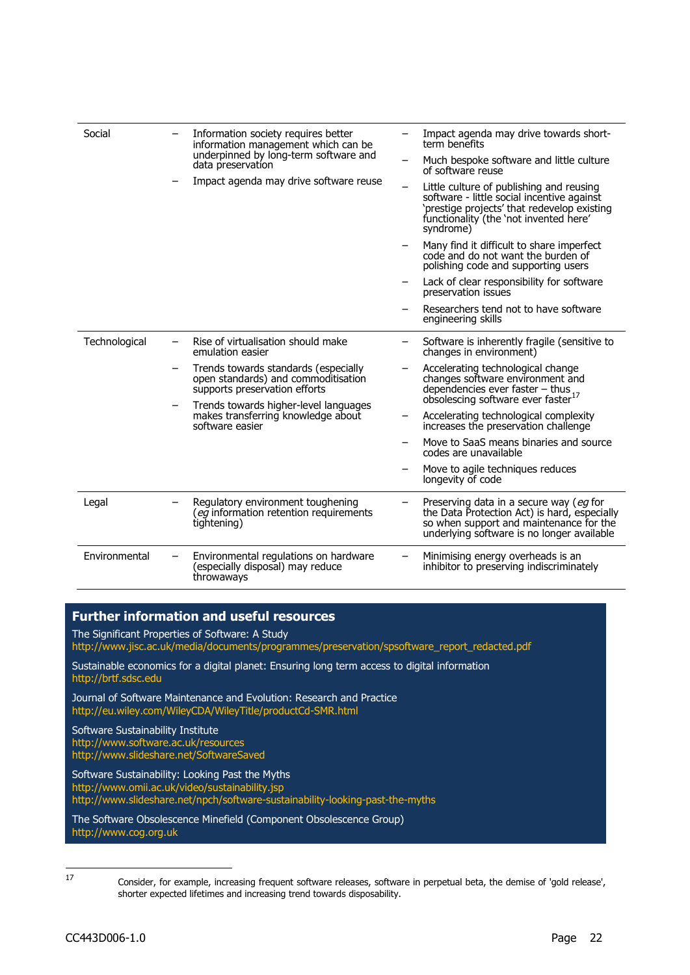| Social        |                 | Information society requires better<br>information management which can be<br>underpinned by long-term software and<br>data preservation<br>Impact agenda may drive software reuse | Impact agenda may drive towards short-<br>term benefits                                                                                                                                      |
|---------------|-----------------|------------------------------------------------------------------------------------------------------------------------------------------------------------------------------------|----------------------------------------------------------------------------------------------------------------------------------------------------------------------------------------------|
|               |                 |                                                                                                                                                                                    | Much bespoke software and little culture<br>of software reuse                                                                                                                                |
|               |                 |                                                                                                                                                                                    | Little culture of publishing and reusing<br>software - little social incentive against<br>'prestige projects' that redevelop existing<br>functionality (the 'not invented here'<br>syndrome) |
|               |                 |                                                                                                                                                                                    | Many find it difficult to share imperfect<br>code and do not want the burden of<br>polishing code and supporting users                                                                       |
|               |                 |                                                                                                                                                                                    | Lack of clear responsibility for software<br>preservation issues                                                                                                                             |
|               |                 |                                                                                                                                                                                    | Researchers tend not to have software<br>engineering skills                                                                                                                                  |
| Technological |                 | Rise of virtualisation should make<br>emulation easier                                                                                                                             | Software is inherently fragile (sensitive to<br>changes in environment)                                                                                                                      |
|               | software easier | Trends towards standards (especially<br>open standards) and commoditisation<br>supports preservation efforts                                                                       | Accelerating technological change<br>changes software environment and<br>dependencies ever faster $-$ thus<br>obsolescing software ever faster <sup>17</sup>                                 |
|               |                 | Trends towards higher-level languages<br>makes transferring knowledge about                                                                                                        | Accelerating technological complexity                                                                                                                                                        |
|               |                 |                                                                                                                                                                                    | increases the preservation challenge                                                                                                                                                         |
|               |                 |                                                                                                                                                                                    | Move to SaaS means binaries and source<br>codes are unavailable                                                                                                                              |
|               |                 |                                                                                                                                                                                    | Move to agile techniques reduces<br>longevity of code                                                                                                                                        |
| Legal         |                 | Regulatory environment toughening<br>(eg information retention requirements<br>tightening)                                                                                         | Preserving data in a secure way (eg for<br>the Data Protection Act) is hard, especially<br>so when support and maintenance for the<br>underlying software is no longer available             |
| Environmental |                 | Environmental regulations on hardware<br>(especially disposal) may reduce<br>throwaways                                                                                            | Minimising energy overheads is an<br>inhibitor to preserving indiscriminately                                                                                                                |

## **Further information and useful resources**  The Significant Properties of Software: A Study http://www.jisc.ac.uk/media/documents/programmes/preservation/spsoftware\_report\_redacted.pdf Sustainable economics for a digital planet: Ensuring long term access to digital information http://brtf.sdsc.edu Journal of Software Maintenance and Evolution: Research and Practice http://eu.wiley.com/WileyCDA/WileyTitle/productCd-SMR.html Software Sustainability Institute http://www.software.ac.uk/resources http://www.slideshare.net/SoftwareSaved Software Sustainability: Looking Past the Myths http://www.omii.ac.uk/video/sustainability.jsp http://www.slideshare.net/npch/software-sustainability-looking-past-the-myths The Software Obsolescence Minefield (Component Obsolescence Group) http://www.cog.org.uk

 $\frac{1}{17}$ 

Consider, for example, increasing frequent software releases, software in perpetual beta, the demise of 'gold release', shorter expected lifetimes and increasing trend towards disposability.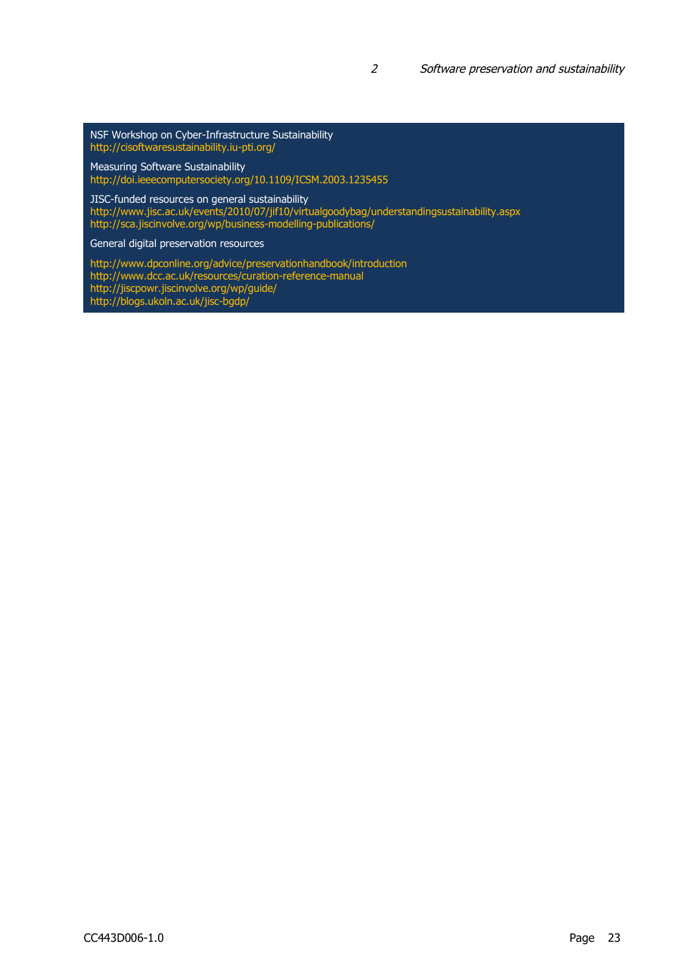NSF Workshop on Cyber-Infrastructure Sustainability http://cisoftwaresustainability.iu-pti.org/

Measuring Software Sustainability http://doi.ieeecomputersociety.org/10.1109/ICSM.2003.1235455

JISC-funded resources on general sustainability http://www.jisc.ac.uk/events/2010/07/jif10/virtualgoodybag/understandingsustainability.aspx http://sca.jiscinvolve.org/wp/business-modelling-publications/

General digital preservation resources

http://www.dpconline.org/advice/preservationhandbook/introduction http://www.dcc.ac.uk/resources/curation-reference-manual http://jiscpowr.jiscinvolve.org/wp/guide/ http://blogs.ukoln.ac.uk/jisc-bgdp/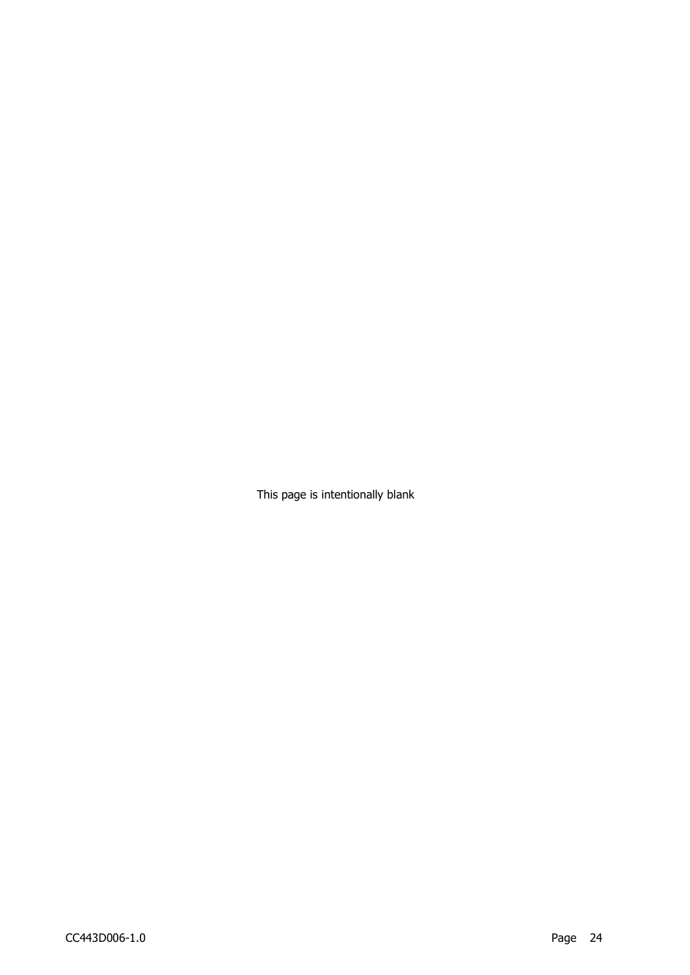This page is intentionally blank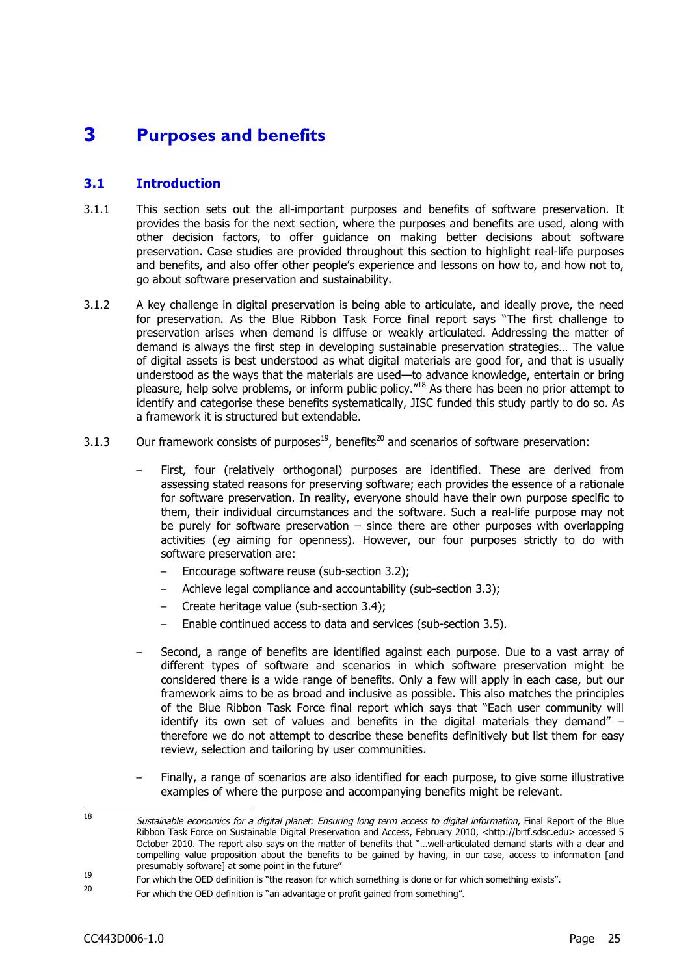## **3 Purposes and benefits**

## **3.1 Introduction**

- 3.1.1 This section sets out the all-important purposes and benefits of software preservation. It provides the basis for the next section, where the purposes and benefits are used, along with other decision factors, to offer guidance on making better decisions about software preservation. Case studies are provided throughout this section to highlight real-life purposes and benefits, and also offer other people's experience and lessons on how to, and how not to, go about software preservation and sustainability.
- 3.1.2 A key challenge in digital preservation is being able to articulate, and ideally prove, the need for preservation. As the Blue Ribbon Task Force final report says "The first challenge to preservation arises when demand is diffuse or weakly articulated. Addressing the matter of demand is always the first step in developing sustainable preservation strategies… The value of digital assets is best understood as what digital materials are good for, and that is usually understood as the ways that the materials are used—to advance knowledge, entertain or bring pleasure, help solve problems, or inform public policy."<sup>18</sup> As there has been no prior attempt to identify and categorise these benefits systematically, JISC funded this study partly to do so. As a framework it is structured but extendable.
- 3.1.3 Our framework consists of purposes<sup>19</sup>, benefits<sup>20</sup> and scenarios of software preservation:
	- First, four (relatively orthogonal) purposes are identified. These are derived from assessing stated reasons for preserving software; each provides the essence of a rationale for software preservation. In reality, everyone should have their own purpose specific to them, their individual circumstances and the software. Such a real-life purpose may not be purely for software preservation  $-$  since there are other purposes with overlapping activities (eq aiming for openness). However, our four purposes strictly to do with software preservation are:
		- Encourage software reuse (sub-section 3.2);
		- Achieve legal compliance and accountability (sub-section 3.3);
		- Create heritage value (sub-section 3.4);
		- Enable continued access to data and services (sub-section 3.5).
	- Second, a range of benefits are identified against each purpose. Due to a vast array of different types of software and scenarios in which software preservation might be considered there is a wide range of benefits. Only a few will apply in each case, but our framework aims to be as broad and inclusive as possible. This also matches the principles of the Blue Ribbon Task Force final report which says that "Each user community will identify its own set of values and benefits in the digital materials they demand"  $$ therefore we do not attempt to describe these benefits definitively but list them for easy review, selection and tailoring by user communities.
	- Finally, a range of scenarios are also identified for each purpose, to give some illustrative examples of where the purpose and accompanying benefits might be relevant.

 $\frac{1}{18}$ Sustainable economics for a digital planet: Ensuring long term access to digital information, Final Report of the Blue Ribbon Task Force on Sustainable Digital Preservation and Access, February 2010, <http://brtf.sdsc.edu> accessed 5 October 2010. The report also says on the matter of benefits that "…well-articulated demand starts with a clear and compelling value proposition about the benefits to be gained by having, in our case, access to information [and presumably software] at some point in the future" 19

For which the OED definition is "the reason for which something is done or for which something exists".

 $20$ For which the OED definition is "an advantage or profit gained from something".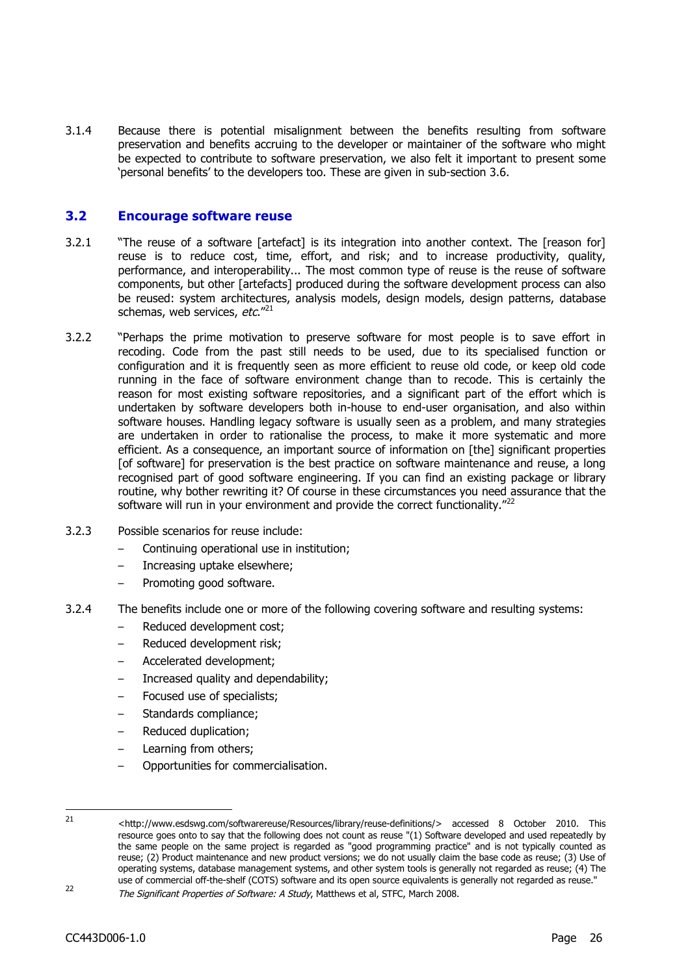3.1.4 Because there is potential misalignment between the benefits resulting from software preservation and benefits accruing to the developer or maintainer of the software who might be expected to contribute to software preservation, we also felt it important to present some 'personal benefits' to the developers too. These are given in sub-section 3.6.

#### **3.2 Encourage software reuse**

- 3.2.1 "The reuse of a software [artefact] is its integration into another context. The [reason for] reuse is to reduce cost, time, effort, and risk; and to increase productivity, quality, performance, and interoperability... The most common type of reuse is the reuse of software components, but other [artefacts] produced during the software development process can also be reused: system architectures, analysis models, design models, design patterns, database schemas, web services, etc."<sup>21</sup>
- 3.2.2 "Perhaps the prime motivation to preserve software for most people is to save effort in recoding. Code from the past still needs to be used, due to its specialised function or configuration and it is frequently seen as more efficient to reuse old code, or keep old code running in the face of software environment change than to recode. This is certainly the reason for most existing software repositories, and a significant part of the effort which is undertaken by software developers both in-house to end-user organisation, and also within software houses. Handling legacy software is usually seen as a problem, and many strategies are undertaken in order to rationalise the process, to make it more systematic and more efficient. As a consequence, an important source of information on [the] significant properties [of software] for preservation is the best practice on software maintenance and reuse, a long recognised part of good software engineering. If you can find an existing package or library routine, why bother rewriting it? Of course in these circumstances you need assurance that the software will run in your environment and provide the correct functionality." $^{22}$
- 3.2.3 Possible scenarios for reuse include:
	- Continuing operational use in institution;
	- Increasing uptake elsewhere;
	- Promoting good software.
- 3.2.4 The benefits include one or more of the following covering software and resulting systems:
	- Reduced development cost;
	- Reduced development risk;
	- Accelerated development;
	- Increased quality and dependability;
	- Focused use of specialists;
	- Standards compliance;
	- Reduced duplication;
	- Learning from others;
	- Opportunities for commercialisation.

 $\frac{1}{21}$ 

 <sup>&</sup>lt;http://www.esdswg.com/softwarereuse/Resources/library/reuse-definitions/> accessed 8 October 2010. This resource goes onto to say that the following does not count as reuse "(1) Software developed and used repeatedly by the same people on the same project is regarded as "good programming practice" and is not typically counted as reuse; (2) Product maintenance and new product versions; we do not usually claim the base code as reuse; (3) Use of operating systems, database management systems, and other system tools is generally not regarded as reuse; (4) The use of commercial off-the-shelf (COTS) software and its open source equivalents is generally not regarded as reuse."

 $22$ The Significant Properties of Software: A Study, Matthews et al, STFC, March 2008.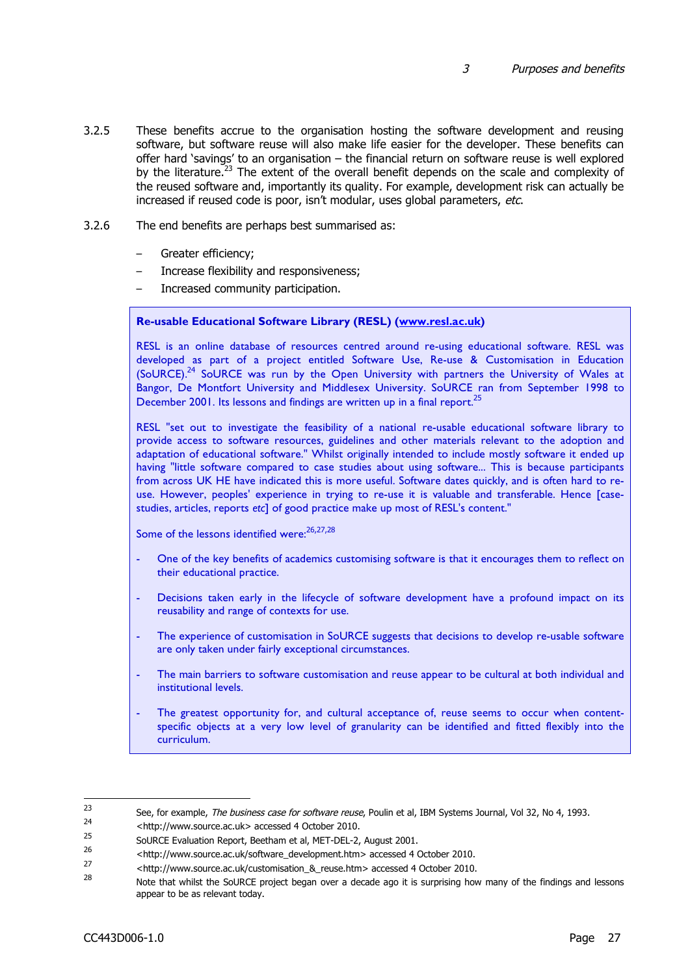- 3.2.5 These benefits accrue to the organisation hosting the software development and reusing software, but software reuse will also make life easier for the developer. These benefits can offer hard 'savings' to an organisation – the financial return on software reuse is well explored by the literature.<sup>23</sup> The extent of the overall benefit depends on the scale and complexity of the reused software and, importantly its quality. For example, development risk can actually be increased if reused code is poor, isn't modular, uses global parameters, etc.
- 3.2.6 The end benefits are perhaps best summarised as:
	- Greater efficiency;
	- Increase flexibility and responsiveness;
	- Increased community participation.

#### **Re-usable Educational Software Library (RESL) [\(www.resl.ac.uk\)](http://www.resl.ac.uk/)**

RESL is an online database of resources centred around re-using educational software. RESL was developed as part of a project entitled Software Use, Re-use & Customisation in Education (SoURCE).<sup>24</sup> SoURCE was run by the Open University with partners the University of Wales at Bangor, De Montfort University and Middlesex University. SoURCE ran from September 1998 to December 2001. Its lessons and findings are written up in a final report.<sup>25</sup>

RESL "set out to investigate the feasibility of a national re-usable educational software library to provide access to software resources, guidelines and other materials relevant to the adoption and adaptation of educational software." Whilst originally intended to include mostly software it ended up having "little software compared to case studies about using software... This is because participants from across UK HE have indicated this is more useful. Software dates quickly, and is often hard to reuse. However, peoples' experience in trying to re-use it is valuable and transferable. Hence [casestudies, articles, reports *etc*] of good practice make up most of RESL's content."

Some of the lessons identified were:<sup>26,27,28</sup>

- One of the key benefits of academics customising software is that it encourages them to reflect on their educational practice.
- Decisions taken early in the lifecycle of software development have a profound impact on its reusability and range of contexts for use.
- The experience of customisation in SoURCE suggests that decisions to develop re-usable software are only taken under fairly exceptional circumstances.
- The main barriers to software customisation and reuse appear to be cultural at both individual and institutional levels.
- The greatest opportunity for, and cultural acceptance of, reuse seems to occur when contentspecific objects at a very low level of granularity can be identified and fitted flexibly into the curriculum.

 $\frac{1}{23}$ See, for example, The business case for software reuse, Poulin et al, IBM Systems Journal, Vol 32, No 4, 1993.

 $24$ <http://www.source.ac.uk> accessed 4 October 2010.

<sup>25</sup> SoURCE Evaluation Report, Beetham et al, MET-DEL-2, August 2001.

<sup>26</sup> <http://www.source.ac.uk/software\_development.htm> accessed 4 October 2010.

<sup>27</sup> <http://www.source.ac.uk/customisation\_&\_reuse.htm> accessed 4 October 2010.

<sup>28</sup> Note that whilst the SoURCE project began over a decade ago it is surprising how many of the findings and lessons appear to be as relevant today.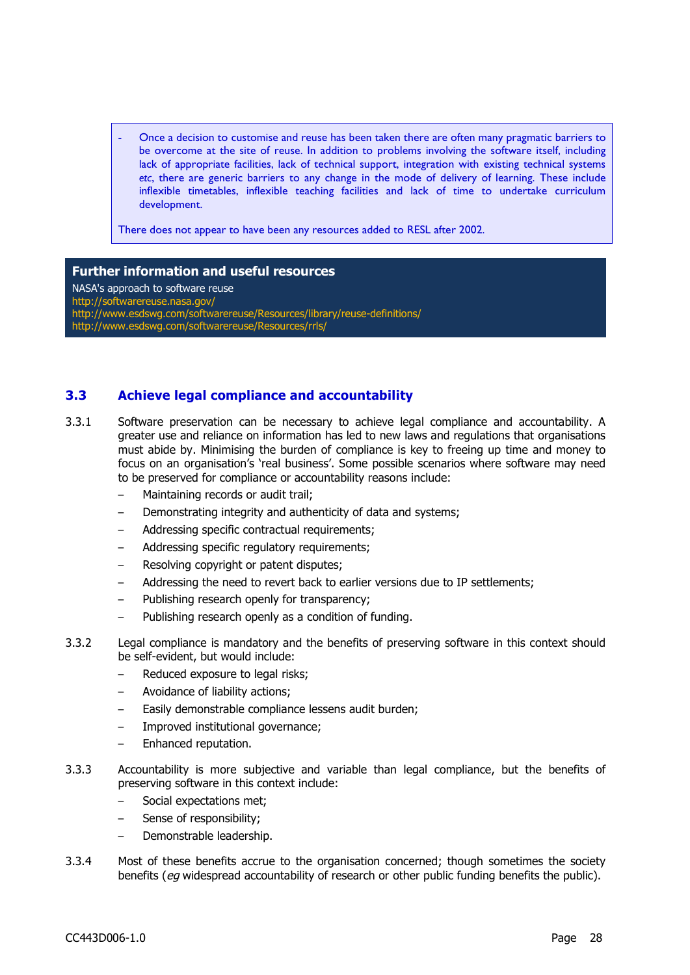Once a decision to customise and reuse has been taken there are often many pragmatic barriers to be overcome at the site of reuse. In addition to problems involving the software itself, including lack of appropriate facilities, lack of technical support, integration with existing technical systems *etc*, there are generic barriers to any change in the mode of delivery of learning. These include inflexible timetables, inflexible teaching facilities and lack of time to undertake curriculum development.

There does not appear to have been any resources added to RESL after 2002.

#### **Further information and useful resources**

NASA's approach to software reuse http://softwarereuse.nasa.gov/ http://www.esdswg.com/softwarereuse/Resources/library/reuse-definitions/ http://www.esdswg.com/softwarereuse/Resources/rrls/

### **3.3 Achieve legal compliance and accountability**

- 3.3.1 Software preservation can be necessary to achieve legal compliance and accountability. A greater use and reliance on information has led to new laws and regulations that organisations must abide by. Minimising the burden of compliance is key to freeing up time and money to focus on an organisation's 'real business'. Some possible scenarios where software may need to be preserved for compliance or accountability reasons include:
	- Maintaining records or audit trail;
	- Demonstrating integrity and authenticity of data and systems;
	- Addressing specific contractual requirements;
	- Addressing specific regulatory requirements;
	- Resolving copyright or patent disputes;
	- Addressing the need to revert back to earlier versions due to IP settlements;
	- Publishing research openly for transparency;
	- Publishing research openly as a condition of funding.
- 3.3.2 Legal compliance is mandatory and the benefits of preserving software in this context should be self-evident, but would include:
	- Reduced exposure to legal risks;
	- Avoidance of liability actions;
	- Easily demonstrable compliance lessens audit burden;
	- Improved institutional governance;
	- Enhanced reputation.
- 3.3.3 Accountability is more subjective and variable than legal compliance, but the benefits of preserving software in this context include:
	- Social expectations met;
	- Sense of responsibility;
	- Demonstrable leadership.
- 3.3.4 Most of these benefits accrue to the organisation concerned; though sometimes the society benefits (eg widespread accountability of research or other public funding benefits the public).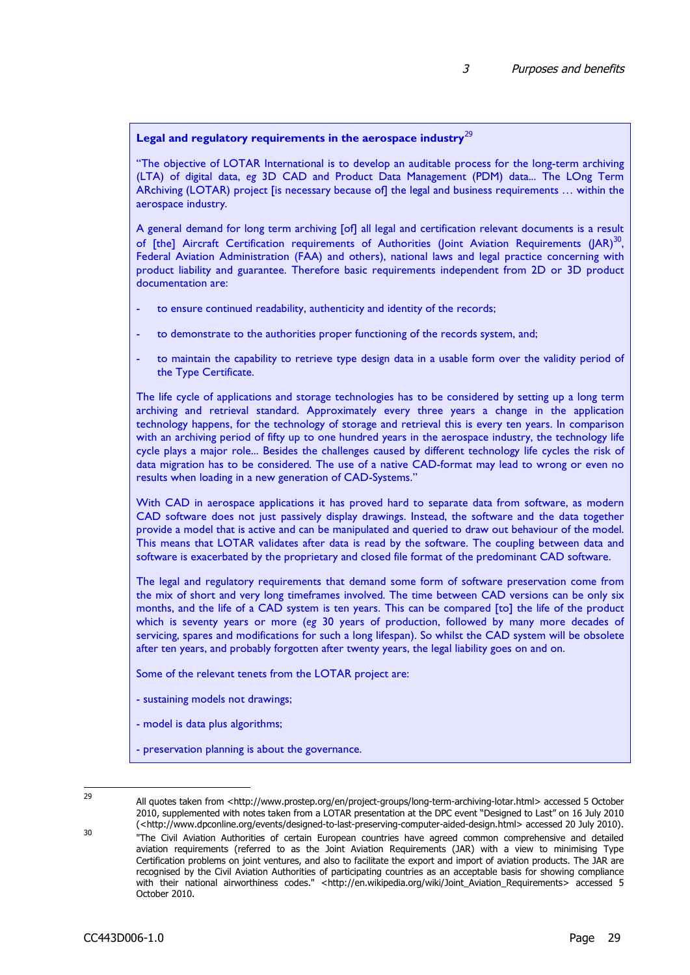#### **Legal and regulatory requirements in the aerospace industry**<sup>29</sup>

"The objective of LOTAR International is to develop an auditable process for the long-term archiving (LTA) of digital data, *eg* 3D CAD and Product Data Management (PDM) data... The LOng Term ARchiving (LOTAR) project [is necessary because of] the legal and business requirements ... within the aerospace industry.

A general demand for long term archiving [of] all legal and certification relevant documents is a result of [the] Aircraft Certification requirements of Authorities (Joint Aviation Requirements  $(JAR)^{30}$ , Federal Aviation Administration (FAA) and others), national laws and legal practice concerning with product liability and guarantee. Therefore basic requirements independent from 2D or 3D product documentation are:

- to ensure continued readability, authenticity and identity of the records;
- to demonstrate to the authorities proper functioning of the records system, and;
- to maintain the capability to retrieve type design data in a usable form over the validity period of the Type Certificate.

The life cycle of applications and storage technologies has to be considered by setting up a long term archiving and retrieval standard. Approximately every three years a change in the application technology happens, for the technology of storage and retrieval this is every ten years. In comparison with an archiving period of fifty up to one hundred years in the aerospace industry, the technology life cycle plays a major role... Besides the challenges caused by different technology life cycles the risk of data migration has to be considered. The use of a native CAD-format may lead to wrong or even no results when loading in a new generation of CAD-Systems."

With CAD in aerospace applications it has proved hard to separate data from software, as modern CAD software does not just passively display drawings. Instead, the software and the data together provide a model that is active and can be manipulated and queried to draw out behaviour of the model. This means that LOTAR validates after data is read by the software. The coupling between data and software is exacerbated by the proprietary and closed file format of the predominant CAD software.

The legal and regulatory requirements that demand some form of software preservation come from the mix of short and very long timeframes involved. The time between CAD versions can be only six months, and the life of a CAD system is ten years. This can be compared [to] the life of the product which is seventy years or more (*eg* 30 years of production, followed by many more decades of servicing, spares and modifications for such a long lifespan). So whilst the CAD system will be obsolete after ten years, and probably forgotten after twenty years, the legal liability goes on and on.

Some of the relevant tenets from the LOTAR project are:

- sustaining models not drawings;
- model is data plus algorithms;
- preservation planning is about the governance.

30

 $\frac{1}{29}$ 

All quotes taken from <http://www.prostep.org/en/project-groups/long-term-archiving-lotar.html> accessed 5 October 2010, supplemented with notes taken from a LOTAR presentation at the DPC event "Designed to Last" on 16 July 2010 (<http://www.dpconline.org/events/designed-to-last-preserving-computer-aided-design.html> accessed 20 July 2010). "The Civil Aviation Authorities of certain European countries have agreed common comprehensive and detailed aviation requirements (referred to as the Joint Aviation Requirements (JAR) with a view to minimising Type Certification problems on joint ventures, and also to facilitate the export and import of aviation products. The JAR are recognised by the Civil Aviation Authorities of participating countries as an acceptable basis for showing compliance with their national airworthiness codes." <http://en.wikipedia.org/wiki/Joint\_Aviation\_Requirements> accessed 5 October 2010.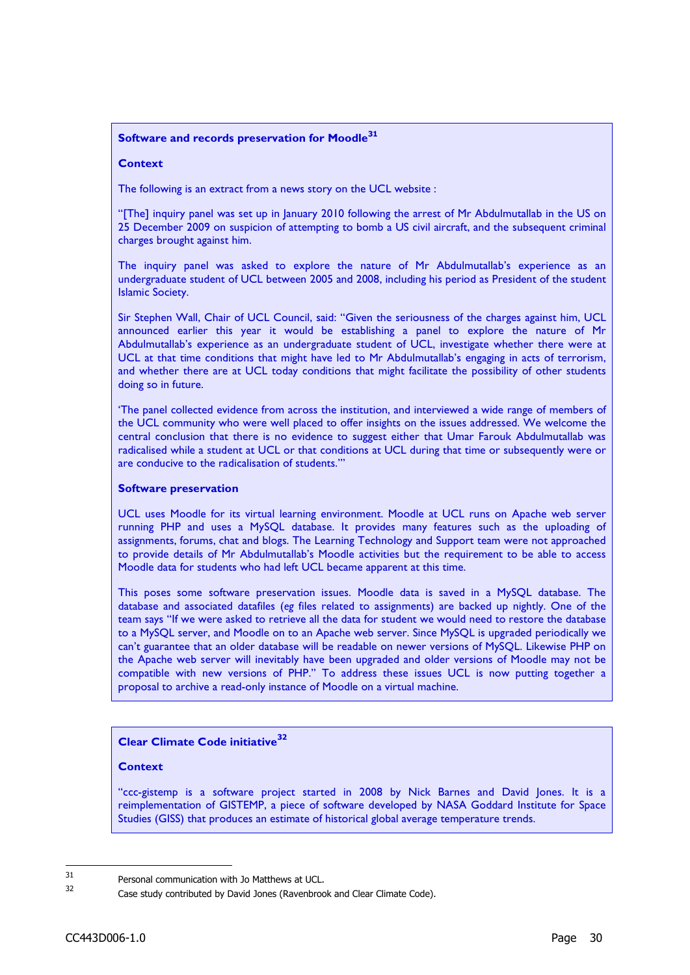## **Software and records preservation for Moodle<sup>31</sup>**

#### **Context**

The following is an extract from a news story on the UCL website :

"[The] inquiry panel was set up in January 2010 following the arrest of Mr Abdulmutallab in the US on 25 December 2009 on suspicion of attempting to bomb a US civil aircraft, and the subsequent criminal charges brought against him.

The inquiry panel was asked to explore the nature of Mr Abdulmutallab's experience as an undergraduate student of UCL between 2005 and 2008, including his period as President of the student Islamic Society.

Sir Stephen Wall, Chair of UCL Council, said: "Given the seriousness of the charges against him, UCL announced earlier this year it would be establishing a panel to explore the nature of Mr Abdulmutallab's experience as an undergraduate student of UCL, investigate whether there were at UCL at that time conditions that might have led to Mr Abdulmutallab's engaging in acts of terrorism, and whether there are at UCL today conditions that might facilitate the possibility of other students doing so in future.

'The panel collected evidence from across the institution, and interviewed a wide range of members of the UCL community who were well placed to offer insights on the issues addressed. We welcome the central conclusion that there is no evidence to suggest either that Umar Farouk Abdulmutallab was radicalised while a student at UCL or that conditions at UCL during that time or subsequently were or are conducive to the radicalisation of students.'"

#### **Software preservation**

UCL uses Moodle for its virtual learning environment. Moodle at UCL runs on Apache web server running PHP and uses a MySQL database. It provides many features such as the uploading of assignments, forums, chat and blogs. The Learning Technology and Support team were not approached to provide details of Mr Abdulmutallab's Moodle activities but the requirement to be able to access Moodle data for students who had left UCL became apparent at this time.

This poses some software preservation issues. Moodle data is saved in a MySQL database. The database and associated datafiles (*eg* files related to assignments) are backed up nightly. One of the team says "If we were asked to retrieve all the data for student we would need to restore the database to a MySQL server, and Moodle on to an Apache web server. Since MySQL is upgraded periodically we can't guarantee that an older database will be readable on newer versions of MySQL. Likewise PHP on the Apache web server will inevitably have been upgraded and older versions of Moodle may not be compatible with new versions of PHP." To address these issues UCL is now putting together a proposal to archive a read-only instance of Moodle on a virtual machine.

## **Clear Climate Code initiative<sup>32</sup>**

#### **Context**

"ccc-gistemp is a software project started in 2008 by Nick Barnes and David Jones. It is a reimplementation of GISTEMP, a piece of software developed by NASA Goddard Institute for Space Studies (GISS) that produces an estimate of historical global average temperature trends.

 $\frac{1}{31}$  Personal communication with Jo Matthews at UCL. 32

Case study contributed by David Jones (Ravenbrook and Clear Climate Code).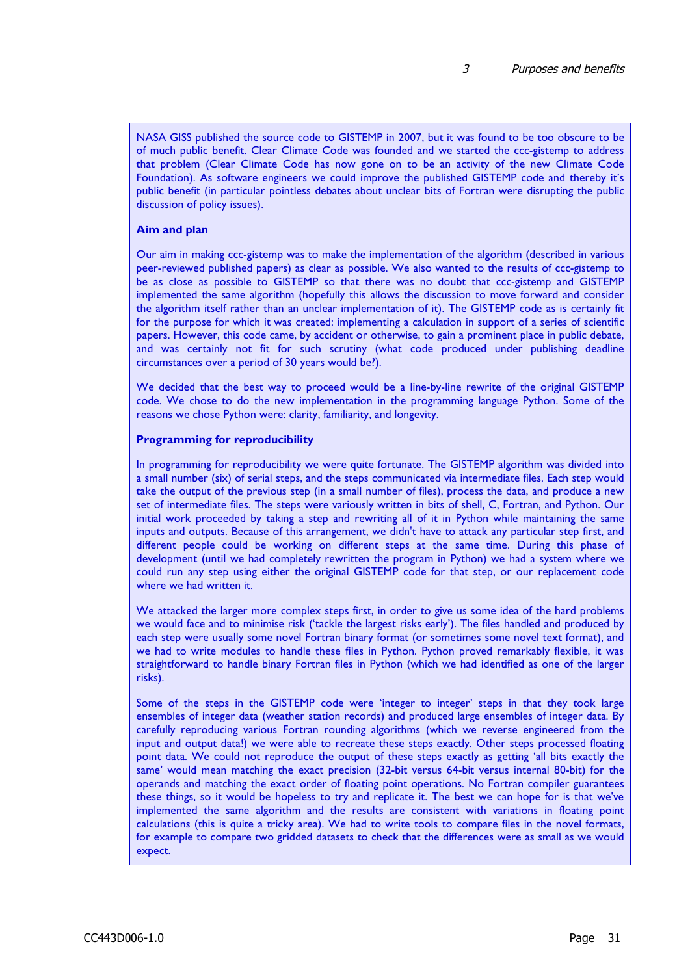NASA GISS published the source code to GISTEMP in 2007, but it was found to be too obscure to be of much public benefit. Clear Climate Code was founded and we started the ccc-gistemp to address that problem (Clear Climate Code has now gone on to be an activity of the new Climate Code Foundation). As software engineers we could improve the published GISTEMP code and thereby it's public benefit (in particular pointless debates about unclear bits of Fortran were disrupting the public discussion of policy issues).

#### **Aim and plan**

Our aim in making ccc-gistemp was to make the implementation of the algorithm (described in various peer-reviewed published papers) as clear as possible. We also wanted to the results of ccc-gistemp to be as close as possible to GISTEMP so that there was no doubt that ccc-gistemp and GISTEMP implemented the same algorithm (hopefully this allows the discussion to move forward and consider the algorithm itself rather than an unclear implementation of it). The GISTEMP code as is certainly fit for the purpose for which it was created: implementing a calculation in support of a series of scientific papers. However, this code came, by accident or otherwise, to gain a prominent place in public debate, and was certainly not fit for such scrutiny (what code produced under publishing deadline circumstances over a period of 30 years would be?).

We decided that the best way to proceed would be a line-by-line rewrite of the original GISTEMP code. We chose to do the new implementation in the programming language Python. Some of the reasons we chose Python were: clarity, familiarity, and longevity.

#### **Programming for reproducibility**

In programming for reproducibility we were quite fortunate. The GISTEMP algorithm was divided into a small number (six) of serial steps, and the steps communicated via intermediate files. Each step would take the output of the previous step (in a small number of files), process the data, and produce a new set of intermediate files. The steps were variously written in bits of shell, C, Fortran, and Python. Our initial work proceeded by taking a step and rewriting all of it in Python while maintaining the same inputs and outputs. Because of this arrangement, we didn't have to attack any particular step first, and different people could be working on different steps at the same time. During this phase of development (until we had completely rewritten the program in Python) we had a system where we could run any step using either the original GISTEMP code for that step, or our replacement code where we had written it.

We attacked the larger more complex steps first, in order to give us some idea of the hard problems we would face and to minimise risk ('tackle the largest risks early'). The files handled and produced by each step were usually some novel Fortran binary format (or sometimes some novel text format), and we had to write modules to handle these files in Python. Python proved remarkably flexible, it was straightforward to handle binary Fortran files in Python (which we had identified as one of the larger risks).

Some of the steps in the GISTEMP code were 'integer to integer' steps in that they took large ensembles of integer data (weather station records) and produced large ensembles of integer data. By carefully reproducing various Fortran rounding algorithms (which we reverse engineered from the input and output data!) we were able to recreate these steps exactly. Other steps processed floating point data. We could not reproduce the output of these steps exactly as getting 'all bits exactly the same' would mean matching the exact precision (32-bit versus 64-bit versus internal 80-bit) for the operands and matching the exact order of floating point operations. No Fortran compiler guarantees these things, so it would be hopeless to try and replicate it. The best we can hope for is that we've implemented the same algorithm and the results are consistent with variations in floating point calculations (this is quite a tricky area). We had to write tools to compare files in the novel formats, for example to compare two gridded datasets to check that the differences were as small as we would expect.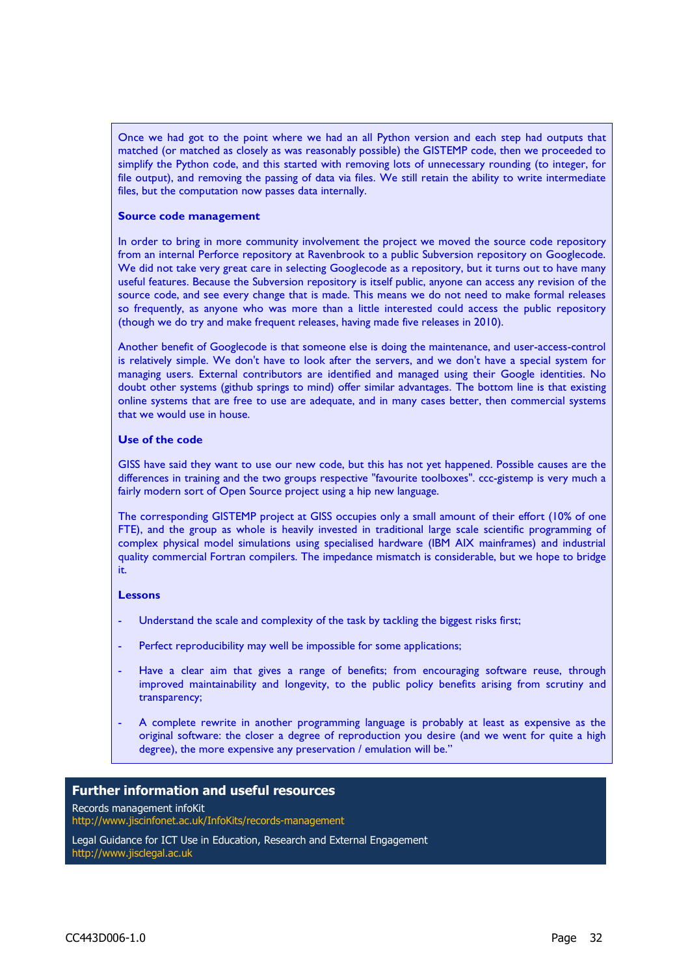Once we had got to the point where we had an all Python version and each step had outputs that matched (or matched as closely as was reasonably possible) the GISTEMP code, then we proceeded to simplify the Python code, and this started with removing lots of unnecessary rounding (to integer, for file output), and removing the passing of data via files. We still retain the ability to write intermediate files, but the computation now passes data internally.

#### **Source code management**

In order to bring in more community involvement the project we moved the source code repository from an internal Perforce repository at Ravenbrook to a public Subversion repository on Googlecode. We did not take very great care in selecting Googlecode as a repository, but it turns out to have many useful features. Because the Subversion repository is itself public, anyone can access any revision of the source code, and see every change that is made. This means we do not need to make formal releases so frequently, as anyone who was more than a little interested could access the public repository (though we do try and make frequent releases, having made five releases in 2010).

Another benefit of Googlecode is that someone else is doing the maintenance, and user-access-control is relatively simple. We don't have to look after the servers, and we don't have a special system for managing users. External contributors are identified and managed using their Google identities. No doubt other systems (github springs to mind) offer similar advantages. The bottom line is that existing online systems that are free to use are adequate, and in many cases better, then commercial systems that we would use in house.

#### **Use of the code**

GISS have said they want to use our new code, but this has not yet happened. Possible causes are the differences in training and the two groups respective "favourite toolboxes". ccc-gistemp is very much a fairly modern sort of Open Source project using a hip new language.

The corresponding GISTEMP project at GISS occupies only a small amount of their effort (10% of one FTE), and the group as whole is heavily invested in traditional large scale scientific programming of complex physical model simulations using specialised hardware (IBM AIX mainframes) and industrial quality commercial Fortran compilers. The impedance mismatch is considerable, but we hope to bridge it.

#### **Lessons**

- Understand the scale and complexity of the task by tackling the biggest risks first;
- Perfect reproducibility may well be impossible for some applications;
- Have a clear aim that gives a range of benefits; from encouraging software reuse, through improved maintainability and longevity, to the public policy benefits arising from scrutiny and transparency;
- A complete rewrite in another programming language is probably at least as expensive as the original software: the closer a degree of reproduction you desire (and we went for quite a high degree), the more expensive any preservation / emulation will be."

#### **Further information and useful resources**

Records management infoKit

http://www.jiscinfonet.ac.uk/InfoKits/records-management

Legal Guidance for ICT Use in Education, Research and External Engagement http://www.jisclegal.ac.uk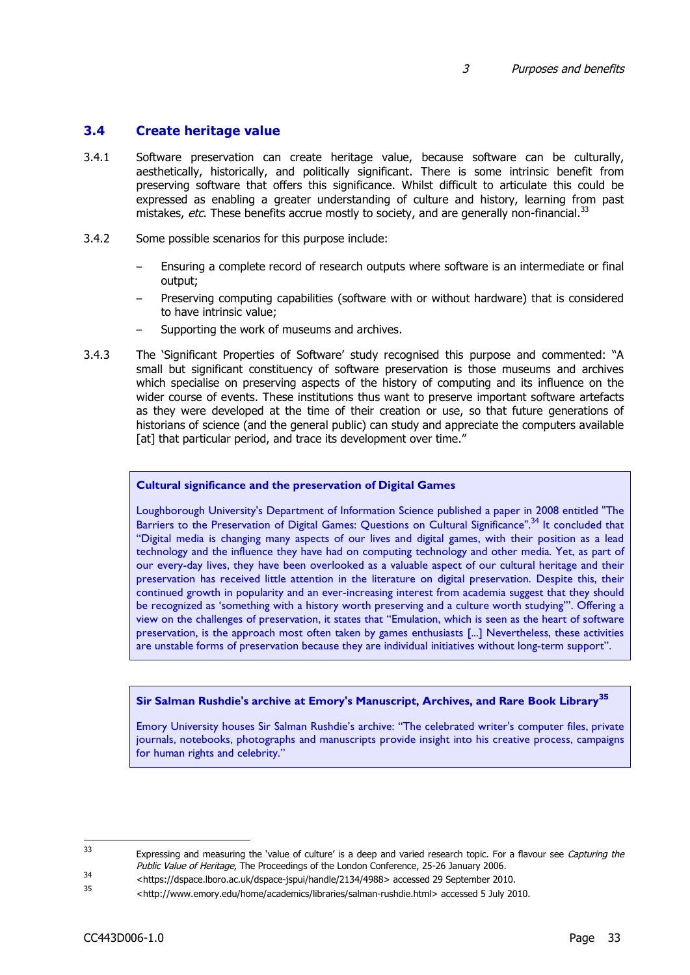### **3.4 Create heritage value**

- 3.4.1 Software preservation can create heritage value, because software can be culturally, aesthetically, historically, and politically significant. There is some intrinsic benefit from preserving software that offers this significance. Whilst difficult to articulate this could be expressed as enabling a greater understanding of culture and history, learning from past mistakes, etc. These benefits accrue mostly to society, and are generally non-financial.<sup>33</sup>
- 3.4.2 Some possible scenarios for this purpose include:
	- Ensuring a complete record of research outputs where software is an intermediate or final output;
	- Preserving computing capabilities (software with or without hardware) that is considered to have intrinsic value;
	- Supporting the work of museums and archives.
- 3.4.3 The 'Significant Properties of Software' study recognised this purpose and commented: "A small but significant constituency of software preservation is those museums and archives which specialise on preserving aspects of the history of computing and its influence on the wider course of events. These institutions thus want to preserve important software artefacts as they were developed at the time of their creation or use, so that future generations of historians of science (and the general public) can study and appreciate the computers available [at] that particular period, and trace its development over time."

#### **Cultural significance and the preservation of Digital Games**

Loughborough University's Department of Information Science published a paper in 2008 entitled "The Barriers to the Preservation of Digital Games: Questions on Cultural Significance".<sup>34</sup> It concluded that "Digital media is changing many aspects of our lives and digital games, with their position as a lead technology and the influence they have had on computing technology and other media. Yet, as part of our every-day lives, they have been overlooked as a valuable aspect of our cultural heritage and their preservation has received little attention in the literature on digital preservation. Despite this, their continued growth in popularity and an ever-increasing interest from academia suggest that they should be recognized as 'something with a history worth preserving and a culture worth studying'". Offering a view on the challenges of preservation, it states that "Emulation, which is seen as the heart of software preservation, is the approach most often taken by games enthusiasts [...] Nevertheless, these activities are unstable forms of preservation because they are individual initiatives without long-term support".

#### **Sir Salman Rushdie's archive at Emory's Manuscript, Archives, and Rare Book Library<sup>35</sup>**

Emory University houses Sir Salman Rushdie's archive: "The celebrated writer's computer files, private journals, notebooks, photographs and manuscripts provide insight into his creative process, campaigns for human rights and celebrity."

 $\frac{1}{33}$ Expressing and measuring the 'value of culture' is a deep and varied research topic. For a flavour see Capturing the Public Value of Heritage, The Proceedings of the London Conference, 25-26 January 2006.

<sup>34</sup> <https://dspace.lboro.ac.uk/dspace-jspui/handle/2134/4988> accessed 29 September 2010.

<sup>35</sup> <http://www.emory.edu/home/academics/libraries/salman-rushdie.html> accessed 5 July 2010.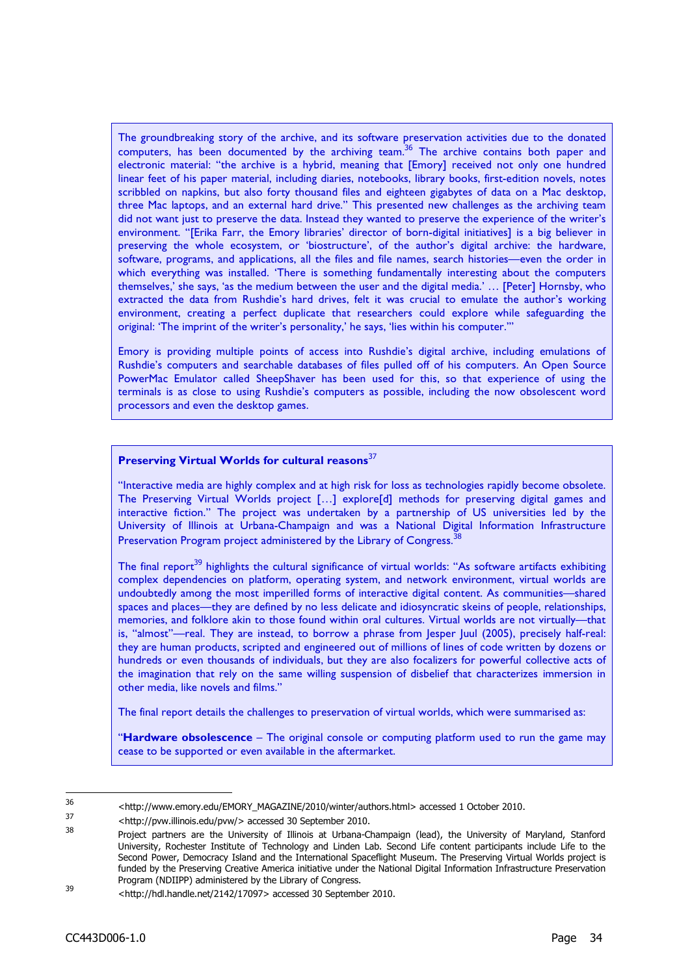The groundbreaking story of the archive, and its software preservation activities due to the donated computers, has been documented by the archiving team.<sup>36</sup> The archive contains both paper and electronic material: "the archive is a hybrid, meaning that [Emory] received not only one hundred linear feet of his paper material, including diaries, notebooks, library books, first-edition novels, notes scribbled on napkins, but also forty thousand files and eighteen gigabytes of data on a Mac desktop, three Mac laptops, and an external hard drive." This presented new challenges as the archiving team did not want just to preserve the data. Instead they wanted to preserve the experience of the writer's environment. "[Erika Farr, the Emory libraries' director of born-digital initiatives] is a big believer in preserving the whole ecosystem, or 'biostructure', of the author's digital archive: the hardware, software, programs, and applications, all the files and file names, search histories—even the order in which everything was installed. 'There is something fundamentally interesting about the computers themselves,' she says, 'as the medium between the user and the digital media.' … [Peter] Hornsby, who extracted the data from Rushdie's hard drives, felt it was crucial to emulate the author's working environment, creating a perfect duplicate that researchers could explore while safeguarding the original: 'The imprint of the writer's personality,' he says, 'lies within his computer.'"

Emory is providing multiple points of access into Rushdie's digital archive, including emulations of Rushdie's computers and searchable databases of files pulled off of his computers. An Open Source PowerMac Emulator called SheepShaver has been used for this, so that experience of using the terminals is as close to using Rushdie's computers as possible, including the now obsolescent word processors and even the desktop games.

#### **Preserving Virtual Worlds for cultural reasons**<sup>37</sup>

"Interactive media are highly complex and at high risk for loss as technologies rapidly become obsolete. The Preserving Virtual Worlds project […] explore[d] methods for preserving digital games and interactive fiction." The project was undertaken by a partnership of US universities led by the University of Illinois at Urbana-Champaign and was a National Digital Information Infrastructure Preservation Program project administered by the Library of Congress.<sup>38</sup>

The final report<sup>39</sup> highlights the cultural significance of virtual worlds: "As software artifacts exhibiting complex dependencies on platform, operating system, and network environment, virtual worlds are undoubtedly among the most imperilled forms of interactive digital content. As communities—shared spaces and places—they are defined by no less delicate and idiosyncratic skeins of people, relationships, memories, and folklore akin to those found within oral cultures. Virtual worlds are not virtually—that is, "almost"—real. They are instead, to borrow a phrase from Jesper Juul (2005), precisely half-real: they are human products, scripted and engineered out of millions of lines of code written by dozens or hundreds or even thousands of individuals, but they are also focalizers for powerful collective acts of the imagination that rely on the same willing suspension of disbelief that characterizes immersion in other media, like novels and films."

The final report details the challenges to preservation of virtual worlds, which were summarised as:

"**Hardware obsolescence** – The original console or computing platform used to run the game may cease to be supported or even available in the aftermarket.

 $\frac{1}{36}$ 

 <sup>&</sup>lt;http://www.emory.edu/EMORY\_MAGAZINE/2010/winter/authors.html> accessed 1 October 2010.

<sup>37</sup> <http://pvw.illinois.edu/pvw/> accessed 30 September 2010.

<sup>38</sup> Project partners are the University of Illinois at Urbana-Champaign (lead), the University of Maryland, Stanford University, Rochester Institute of Technology and Linden Lab. Second Life content participants include Life to the Second Power, Democracy Island and the International Spaceflight Museum. The Preserving Virtual Worlds project is funded by the Preserving Creative America initiative under the National Digital Information Infrastructure Preservation Program (NDIIPP) administered by the Library of Congress.

<sup>39</sup> <http://hdl.handle.net/2142/17097> accessed 30 September 2010.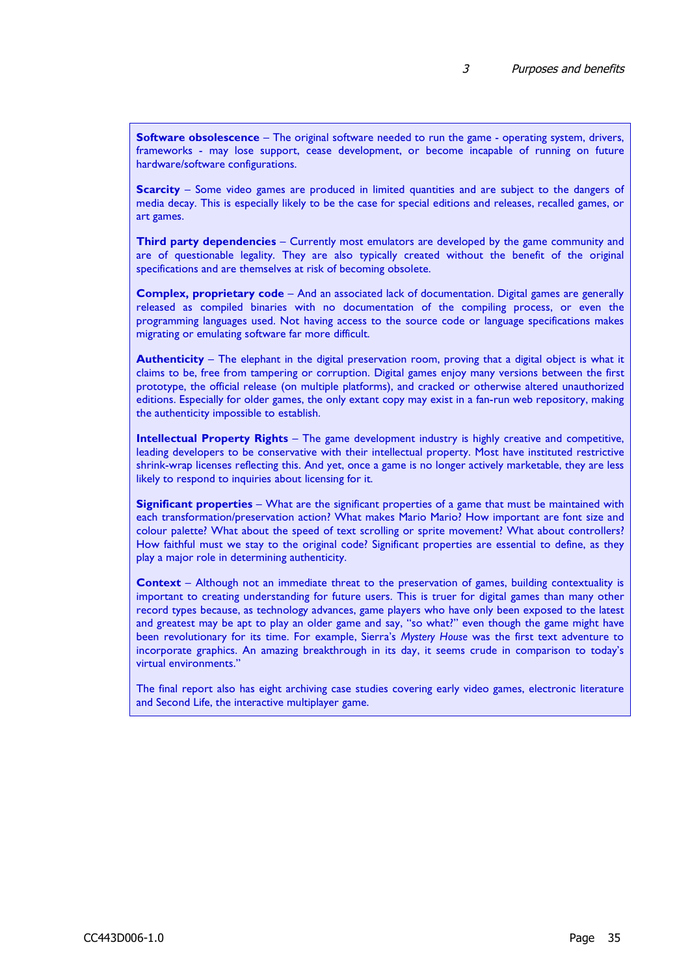**Software obsolescence** – The original software needed to run the game - operating system, drivers, frameworks - may lose support, cease development, or become incapable of running on future hardware/software configurations.

**Scarcity** – Some video games are produced in limited quantities and are subject to the dangers of media decay. This is especially likely to be the case for special editions and releases, recalled games, or art games.

**Third party dependencies** – Currently most emulators are developed by the game community and are of questionable legality. They are also typically created without the benefit of the original specifications and are themselves at risk of becoming obsolete.

**Complex, proprietary code** – And an associated lack of documentation. Digital games are generally released as compiled binaries with no documentation of the compiling process, or even the programming languages used. Not having access to the source code or language specifications makes migrating or emulating software far more difficult.

**Authenticity** – The elephant in the digital preservation room, proving that a digital object is what it claims to be, free from tampering or corruption. Digital games enjoy many versions between the first prototype, the official release (on multiple platforms), and cracked or otherwise altered unauthorized editions. Especially for older games, the only extant copy may exist in a fan-run web repository, making the authenticity impossible to establish.

**Intellectual Property Rights** – The game development industry is highly creative and competitive, leading developers to be conservative with their intellectual property. Most have instituted restrictive shrink-wrap licenses reflecting this. And yet, once a game is no longer actively marketable, they are less likely to respond to inquiries about licensing for it.

**Significant properties** – What are the significant properties of a game that must be maintained with each transformation/preservation action? What makes Mario Mario? How important are font size and colour palette? What about the speed of text scrolling or sprite movement? What about controllers? How faithful must we stay to the original code? Significant properties are essential to define, as they play a major role in determining authenticity.

**Context** – Although not an immediate threat to the preservation of games, building contextuality is important to creating understanding for future users. This is truer for digital games than many other record types because, as technology advances, game players who have only been exposed to the latest and greatest may be apt to play an older game and say, "so what?" even though the game might have been revolutionary for its time. For example, Sierra's *Mystery House* was the first text adventure to incorporate graphics. An amazing breakthrough in its day, it seems crude in comparison to today's virtual environments."

The final report also has eight archiving case studies covering early video games, electronic literature and Second Life, the interactive multiplayer game.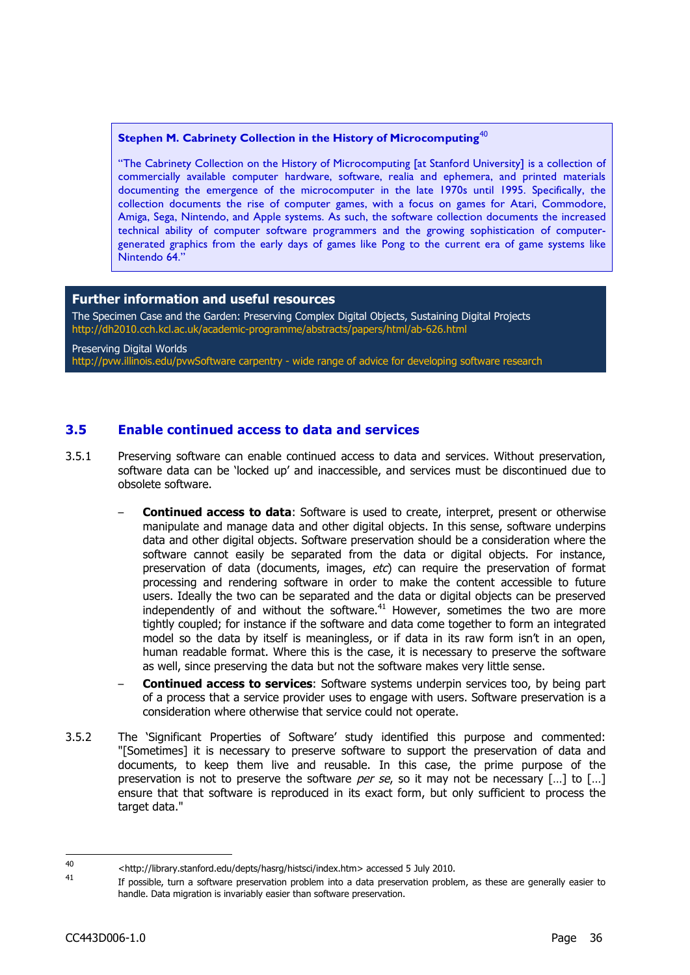#### **Stephen M. Cabrinety Collection in the History of Microcomputing**<sup>40</sup>

"The Cabrinety Collection on the History of Microcomputing [at Stanford University] is a collection of commercially available computer hardware, software, realia and ephemera, and printed materials documenting the emergence of the microcomputer in the late 1970s until 1995. Specifically, the collection documents the rise of computer games, with a focus on games for Atari, Commodore, Amiga, Sega, Nintendo, and Apple systems. As such, the software collection documents the increased technical ability of computer software programmers and the growing sophistication of computergenerated graphics from the early days of games like Pong to the current era of game systems like Nintendo 64."

#### **Further information and useful resources**

The Specimen Case and the Garden: Preserving Complex Digital Objects, Sustaining Digital Projects http://dh2010.cch.kcl.ac.uk/academic-programme/abstracts/papers/html/ab-626.html

Preserving Digital Worlds http://pvw.illinois.edu/pvwSoftware carpentry - wide range of advice for developing software research

## **3.5 Enable continued access to data and services**

- 3.5.1 Preserving software can enable continued access to data and services. Without preservation, software data can be 'locked up' and inaccessible, and services must be discontinued due to obsolete software.
	- **Continued access to data**: Software is used to create, interpret, present or otherwise manipulate and manage data and other digital objects. In this sense, software underpins data and other digital objects. Software preservation should be a consideration where the software cannot easily be separated from the data or digital objects. For instance, preservation of data (documents, images, etc) can require the preservation of format processing and rendering software in order to make the content accessible to future users. Ideally the two can be separated and the data or digital objects can be preserved independently of and without the software. $41$  However, sometimes the two are more tightly coupled; for instance if the software and data come together to form an integrated model so the data by itself is meaningless, or if data in its raw form isn't in an open, human readable format. Where this is the case, it is necessary to preserve the software as well, since preserving the data but not the software makes very little sense.
	- **Continued access to services**: Software systems underpin services too, by being part of a process that a service provider uses to engage with users. Software preservation is a consideration where otherwise that service could not operate.
- 3.5.2 The 'Significant Properties of Software' study identified this purpose and commented: "[Sometimes] it is necessary to preserve software to support the preservation of data and documents, to keep them live and reusable. In this case, the prime purpose of the preservation is not to preserve the software per se, so it may not be necessary [...] to [...] ensure that that software is reproduced in its exact form, but only sufficient to process the target data."

 $\frac{1}{40}$ <http://library.stanford.edu/depts/hasrg/histsci/index.htm> accessed 5 July 2010.

<sup>41</sup> If possible, turn a software preservation problem into a data preservation problem, as these are generally easier to handle. Data migration is invariably easier than software preservation.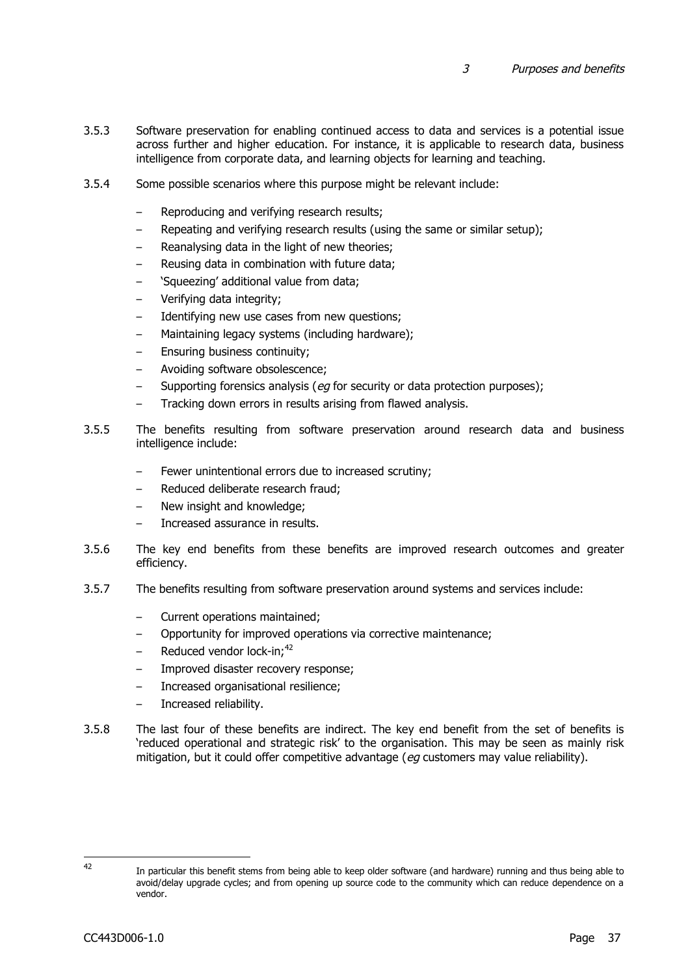- 3.5.3 Software preservation for enabling continued access to data and services is a potential issue across further and higher education. For instance, it is applicable to research data, business intelligence from corporate data, and learning objects for learning and teaching.
- 3.5.4 Some possible scenarios where this purpose might be relevant include:
	- Reproducing and verifying research results;
	- Repeating and verifying research results (using the same or similar setup);
	- Reanalysing data in the light of new theories;
	- Reusing data in combination with future data;
	- 'Squeezing' additional value from data;
	- Verifying data integrity;
	- Identifying new use cases from new questions;
	- Maintaining legacy systems (including hardware);
	- Ensuring business continuity;
	- Avoiding software obsolescence;
	- Supporting forensics analysis (eg for security or data protection purposes);
	- Tracking down errors in results arising from flawed analysis.
- 3.5.5 The benefits resulting from software preservation around research data and business intelligence include:
	- Fewer unintentional errors due to increased scrutiny;
	- Reduced deliberate research fraud;
	- New insight and knowledge;
	- Increased assurance in results.
- 3.5.6 The key end benefits from these benefits are improved research outcomes and greater efficiency.
- 3.5.7 The benefits resulting from software preservation around systems and services include:
	- Current operations maintained;
	- Opportunity for improved operations via corrective maintenance;
	- $-$  Reduced vendor lock-in;<sup>42</sup>
	- Improved disaster recovery response;
	- Increased organisational resilience;
	- Increased reliability.
- 3.5.8 The last four of these benefits are indirect. The key end benefit from the set of benefits is 'reduced operational and strategic risk' to the organisation. This may be seen as mainly risk mitigation, but it could offer competitive advantage ( $eq$  customers may value reliability).

 $\frac{1}{42}$ 

In particular this benefit stems from being able to keep older software (and hardware) running and thus being able to avoid/delay upgrade cycles; and from opening up source code to the community which can reduce dependence on a vendor.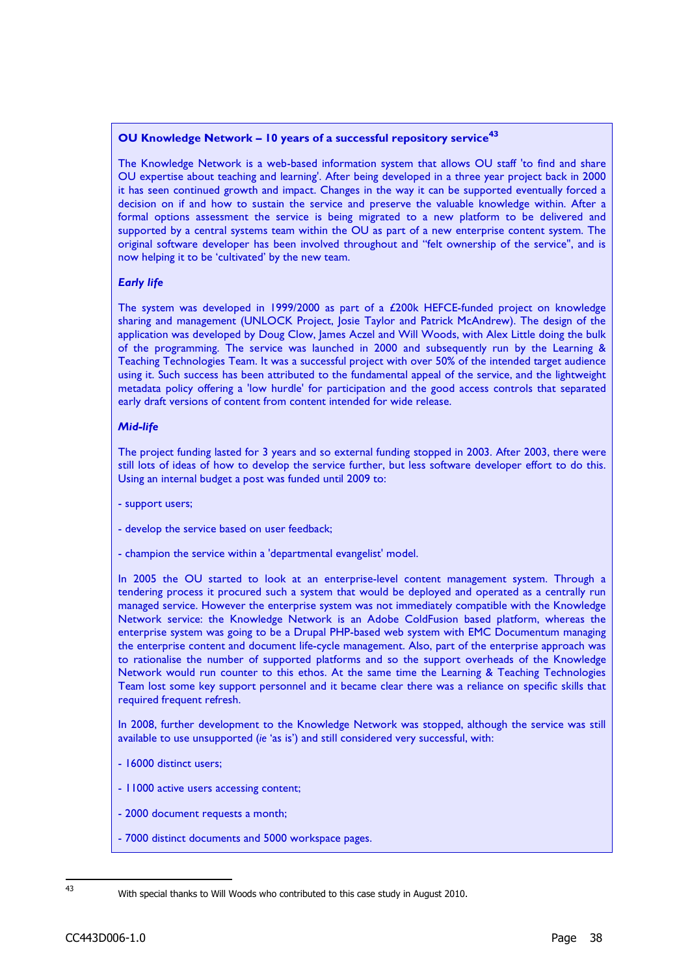### **OU Knowledge Network – 10 years of a successful repository service<sup>43</sup>**

The Knowledge Network is a web-based information system that allows OU staff 'to find and share OU expertise about teaching and learning'. After being developed in a three year project back in 2000 it has seen continued growth and impact. Changes in the way it can be supported eventually forced a decision on if and how to sustain the service and preserve the valuable knowledge within. After a formal options assessment the service is being migrated to a new platform to be delivered and supported by a central systems team within the OU as part of a new enterprise content system. The original software developer has been involved throughout and "felt ownership of the service", and is now helping it to be 'cultivated' by the new team.

### *Early life*

The system was developed in 1999/2000 as part of a £200k HEFCE-funded project on knowledge sharing and management (UNLOCK Project, Josie Taylor and Patrick McAndrew). The design of the application was developed by Doug Clow, James Aczel and Will Woods, with Alex Little doing the bulk of the programming. The service was launched in 2000 and subsequently run by the Learning & Teaching Technologies Team. It was a successful project with over 50% of the intended target audience using it. Such success has been attributed to the fundamental appeal of the service, and the lightweight metadata policy offering a 'low hurdle' for participation and the good access controls that separated early draft versions of content from content intended for wide release.

### *Mid-life*

The project funding lasted for 3 years and so external funding stopped in 2003. After 2003, there were still lots of ideas of how to develop the service further, but less software developer effort to do this. Using an internal budget a post was funded until 2009 to:

- support users;
- develop the service based on user feedback;
- champion the service within a 'departmental evangelist' model.

In 2005 the OU started to look at an enterprise-level content management system. Through a tendering process it procured such a system that would be deployed and operated as a centrally run managed service. However the enterprise system was not immediately compatible with the Knowledge Network service: the Knowledge Network is an Adobe ColdFusion based platform, whereas the enterprise system was going to be a Drupal PHP-based web system with EMC Documentum managing the enterprise content and document life-cycle management. Also, part of the enterprise approach was to rationalise the number of supported platforms and so the support overheads of the Knowledge Network would run counter to this ethos. At the same time the Learning & Teaching Technologies Team lost some key support personnel and it became clear there was a reliance on specific skills that required frequent refresh.

In 2008, further development to the Knowledge Network was stopped, although the service was still available to use unsupported (*ie* 'as is') and still considered very successful, with:

- 16000 distinct users;
- 11000 active users accessing content;
- 2000 document requests a month;
- 7000 distinct documents and 5000 workspace pages.

 $\frac{1}{43}$ 

With special thanks to Will Woods who contributed to this case study in August 2010.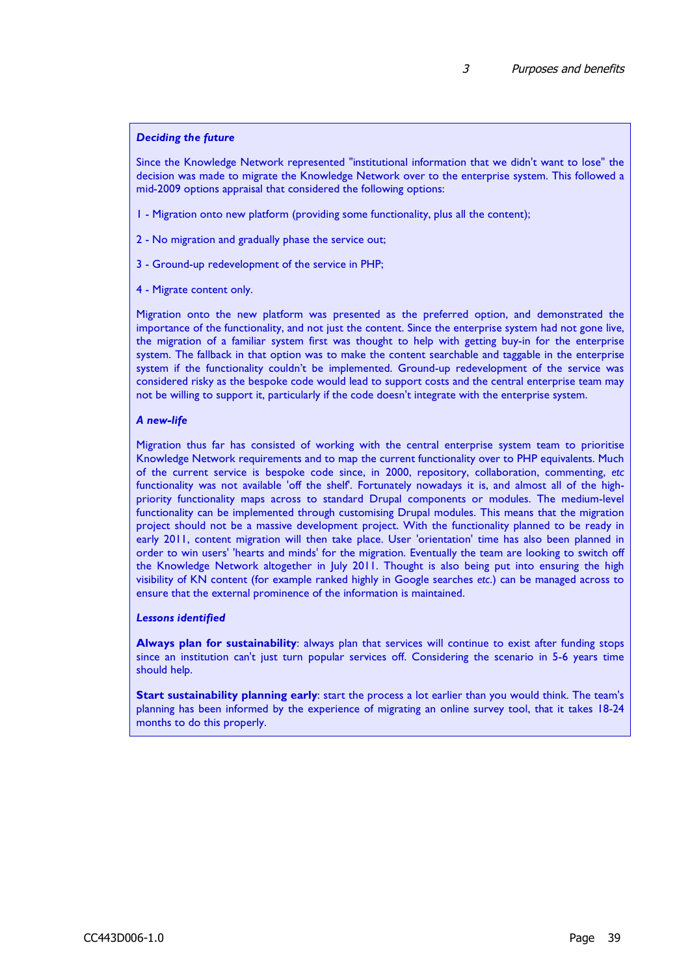#### *Deciding the future*

Since the Knowledge Network represented "institutional information that we didn't want to lose" the decision was made to migrate the Knowledge Network over to the enterprise system. This followed a mid-2009 options appraisal that considered the following options:

- 1 Migration onto new platform (providing some functionality, plus all the content);
- 2 No migration and gradually phase the service out;
- 3 Ground-up redevelopment of the service in PHP;
- 4 Migrate content only.

Migration onto the new platform was presented as the preferred option, and demonstrated the importance of the functionality, and not just the content. Since the enterprise system had not gone live, the migration of a familiar system first was thought to help with getting buy-in for the enterprise system. The fallback in that option was to make the content searchable and taggable in the enterprise system if the functionality couldn't be implemented. Ground-up redevelopment of the service was considered risky as the bespoke code would lead to support costs and the central enterprise team may not be willing to support it, particularly if the code doesn't integrate with the enterprise system.

#### *A new-life*

Migration thus far has consisted of working with the central enterprise system team to prioritise Knowledge Network requirements and to map the current functionality over to PHP equivalents. Much of the current service is bespoke code since, in 2000, repository, collaboration, commenting, *etc* functionality was not available 'off the shelf'. Fortunately nowadays it is, and almost all of the highpriority functionality maps across to standard Drupal components or modules. The medium-level functionality can be implemented through customising Drupal modules. This means that the migration project should not be a massive development project. With the functionality planned to be ready in early 2011, content migration will then take place. User 'orientation' time has also been planned in order to win users' 'hearts and minds' for the migration. Eventually the team are looking to switch off the Knowledge Network altogether in July 2011. Thought is also being put into ensuring the high visibility of KN content (for example ranked highly in Google searches *etc*.) can be managed across to ensure that the external prominence of the information is maintained.

#### *Lessons identified*

**Always plan for sustainability**: always plan that services will continue to exist after funding stops since an institution can't just turn popular services off. Considering the scenario in 5-6 years time should help.

**Start sustainability planning early**: start the process a lot earlier than you would think. The team's planning has been informed by the experience of migrating an online survey tool, that it takes 18-24 months to do this properly.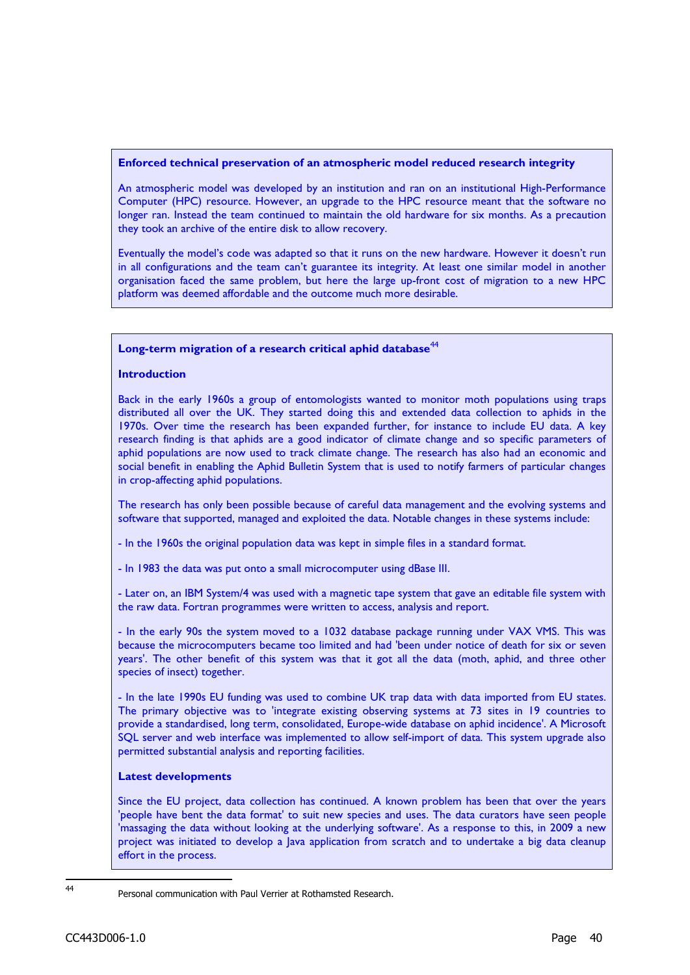#### **Enforced technical preservation of an atmospheric model reduced research integrity**

An atmospheric model was developed by an institution and ran on an institutional High-Performance Computer (HPC) resource. However, an upgrade to the HPC resource meant that the software no longer ran. Instead the team continued to maintain the old hardware for six months. As a precaution they took an archive of the entire disk to allow recovery.

Eventually the model's code was adapted so that it runs on the new hardware. However it doesn't run in all configurations and the team can't guarantee its integrity. At least one similar model in another organisation faced the same problem, but here the large up-front cost of migration to a new HPC platform was deemed affordable and the outcome much more desirable.

### Long-term migration of a research critical aphid database<sup>44</sup>

#### **Introduction**

Back in the early 1960s a group of entomologists wanted to monitor moth populations using traps distributed all over the UK. They started doing this and extended data collection to aphids in the 1970s. Over time the research has been expanded further, for instance to include EU data. A key research finding is that aphids are a good indicator of climate change and so specific parameters of aphid populations are now used to track climate change. The research has also had an economic and social benefit in enabling the Aphid Bulletin System that is used to notify farmers of particular changes in crop-affecting aphid populations.

The research has only been possible because of careful data management and the evolving systems and software that supported, managed and exploited the data. Notable changes in these systems include:

- In the 1960s the original population data was kept in simple files in a standard format.

- In 1983 the data was put onto a small microcomputer using dBase III.

- Later on, an IBM System/4 was used with a magnetic tape system that gave an editable file system with the raw data. Fortran programmes were written to access, analysis and report.

- In the early 90s the system moved to a 1032 database package running under VAX VMS. This was because the microcomputers became too limited and had 'been under notice of death for six or seven years'. The other benefit of this system was that it got all the data (moth, aphid, and three other species of insect) together.

- In the late 1990s EU funding was used to combine UK trap data with data imported from EU states. The primary objective was to 'integrate existing observing systems at 73 sites in 19 countries to provide a standardised, long term, consolidated, Europe-wide database on aphid incidence'. A Microsoft SQL server and web interface was implemented to allow self-import of data. This system upgrade also permitted substantial analysis and reporting facilities.

#### **Latest developments**

Since the EU project, data collection has continued. A known problem has been that over the years 'people have bent the data format' to suit new species and uses. The data curators have seen people 'massaging the data without looking at the underlying software'. As a response to this, in 2009 a new project was initiated to develop a Java application from scratch and to undertake a big data cleanup effort in the process.

 $\frac{1}{44}$ 

Personal communication with Paul Verrier at Rothamsted Research.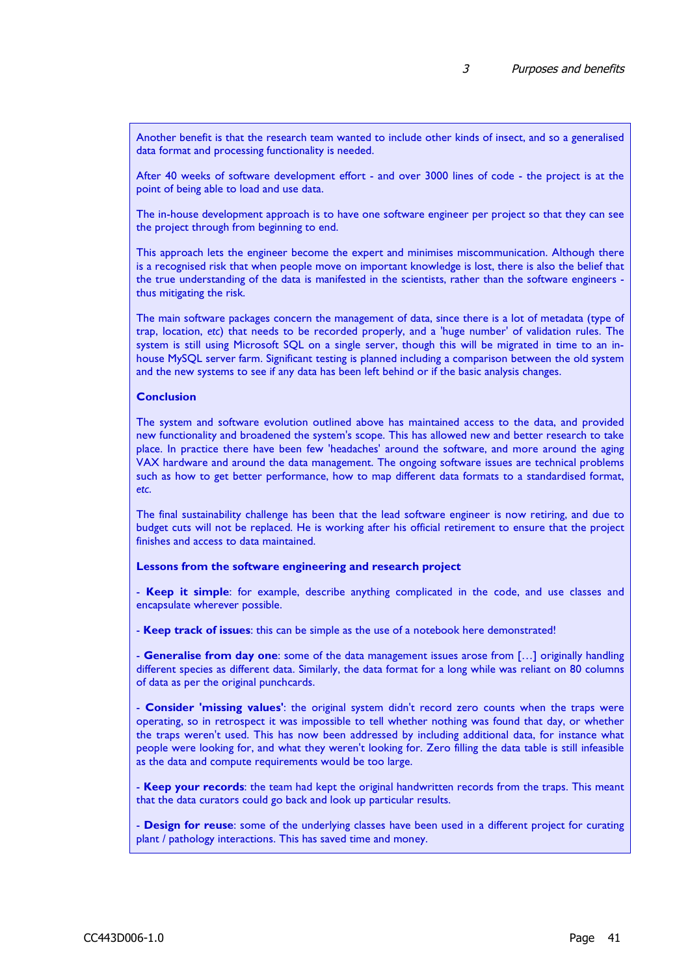Another benefit is that the research team wanted to include other kinds of insect, and so a generalised data format and processing functionality is needed.

After 40 weeks of software development effort - and over 3000 lines of code - the project is at the point of being able to load and use data.

The in-house development approach is to have one software engineer per project so that they can see the project through from beginning to end.

This approach lets the engineer become the expert and minimises miscommunication. Although there is a recognised risk that when people move on important knowledge is lost, there is also the belief that the true understanding of the data is manifested in the scientists, rather than the software engineers thus mitigating the risk.

The main software packages concern the management of data, since there is a lot of metadata (type of trap, location, *etc*) that needs to be recorded properly, and a 'huge number' of validation rules. The system is still using Microsoft SQL on a single server, though this will be migrated in time to an inhouse MySQL server farm. Significant testing is planned including a comparison between the old system and the new systems to see if any data has been left behind or if the basic analysis changes.

#### **Conclusion**

The system and software evolution outlined above has maintained access to the data, and provided new functionality and broadened the system's scope. This has allowed new and better research to take place. In practice there have been few 'headaches' around the software, and more around the aging VAX hardware and around the data management. The ongoing software issues are technical problems such as how to get better performance, how to map different data formats to a standardised format, *etc*.

The final sustainability challenge has been that the lead software engineer is now retiring, and due to budget cuts will not be replaced. He is working after his official retirement to ensure that the project finishes and access to data maintained.

**Lessons from the software engineering and research project** 

- **Keep it simple**: for example, describe anything complicated in the code, and use classes and encapsulate wherever possible.

- **Keep track of issues**: this can be simple as the use of a notebook here demonstrated!

- **Generalise from day one**: some of the data management issues arose from […] originally handling different species as different data. Similarly, the data format for a long while was reliant on 80 columns of data as per the original punchcards.

- **Consider 'missing values'**: the original system didn't record zero counts when the traps were operating, so in retrospect it was impossible to tell whether nothing was found that day, or whether the traps weren't used. This has now been addressed by including additional data, for instance what people were looking for, and what they weren't looking for. Zero filling the data table is still infeasible as the data and compute requirements would be too large.

- **Keep your records**: the team had kept the original handwritten records from the traps. This meant that the data curators could go back and look up particular results.

- **Design for reuse**: some of the underlying classes have been used in a different project for curating plant / pathology interactions. This has saved time and money.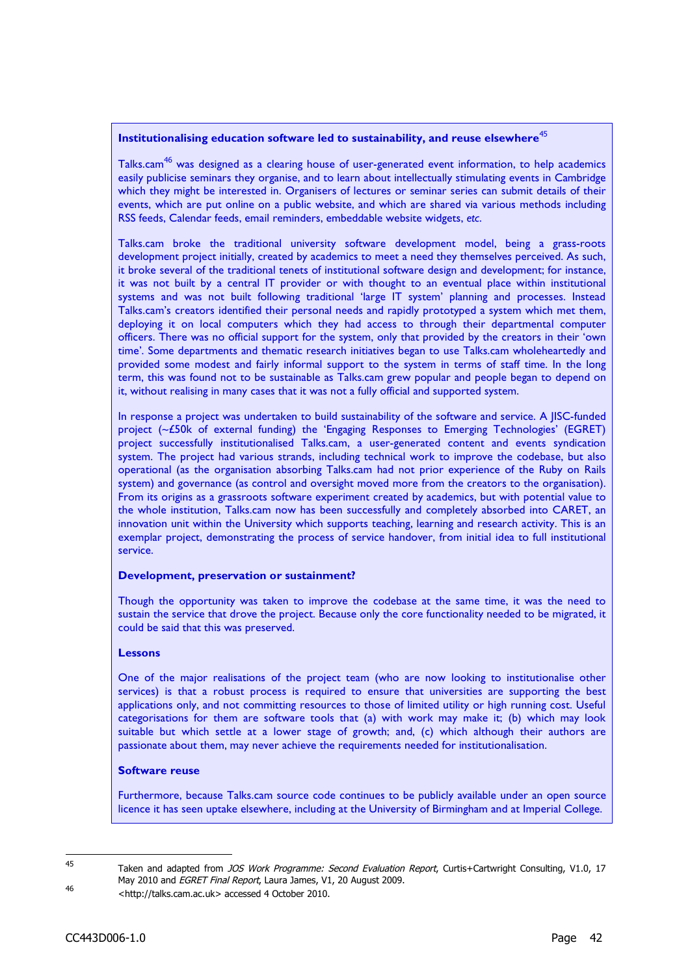### **Institutionalising education software led to sustainability, and reuse elsewhere**<sup>45</sup>

Talks.cam<sup>46</sup> was designed as a clearing house of user-generated event information, to help academics easily publicise seminars they organise, and to learn about intellectually stimulating events in Cambridge which they might be interested in. Organisers of lectures or seminar series can submit details of their events, which are put online on a public website, and which are shared via various methods including RSS feeds, Calendar feeds, email reminders, embeddable website widgets, *etc*.

Talks.cam broke the traditional university software development model, being a grass-roots development project initially, created by academics to meet a need they themselves perceived. As such, it broke several of the traditional tenets of institutional software design and development; for instance, it was not built by a central IT provider or with thought to an eventual place within institutional systems and was not built following traditional 'large IT system' planning and processes. Instead Talks.cam's creators identified their personal needs and rapidly prototyped a system which met them, deploying it on local computers which they had access to through their departmental computer officers. There was no official support for the system, only that provided by the creators in their 'own time'. Some departments and thematic research initiatives began to use Talks.cam wholeheartedly and provided some modest and fairly informal support to the system in terms of staff time. In the long term, this was found not to be sustainable as Talks.cam grew popular and people began to depend on it, without realising in many cases that it was not a fully official and supported system.

In response a project was undertaken to build sustainability of the software and service. A JISC-funded project (~£50k of external funding) the 'Engaging Responses to Emerging Technologies' (EGRET) project successfully institutionalised Talks.cam, a user-generated content and events syndication system. The project had various strands, including technical work to improve the codebase, but also operational (as the organisation absorbing Talks.cam had not prior experience of the Ruby on Rails system) and governance (as control and oversight moved more from the creators to the organisation). From its origins as a grassroots software experiment created by academics, but with potential value to the whole institution, Talks.cam now has been successfully and completely absorbed into CARET, an innovation unit within the University which supports teaching, learning and research activity. This is an exemplar project, demonstrating the process of service handover, from initial idea to full institutional service.

#### **Development, preservation or sustainment?**

Though the opportunity was taken to improve the codebase at the same time, it was the need to sustain the service that drove the project. Because only the core functionality needed to be migrated, it could be said that this was preserved.

#### **Lessons**

One of the major realisations of the project team (who are now looking to institutionalise other services) is that a robust process is required to ensure that universities are supporting the best applications only, and not committing resources to those of limited utility or high running cost. Useful categorisations for them are software tools that (a) with work may make it; (b) which may look suitable but which settle at a lower stage of growth; and, (c) which although their authors are passionate about them, may never achieve the requirements needed for institutionalisation.

#### **Software reuse**

Furthermore, because Talks.cam source code continues to be publicly available under an open source licence it has seen uptake elsewhere, including at the University of Birmingham and at Imperial College.

<sup>—&</sup>lt;br>45 46

Taken and adapted from JOS Work Programme: Second Evaluation Report, Curtis+Cartwright Consulting, V1.0, 17 May 2010 and EGRET Final Report, Laura James, V1, 20 August 2009.

 <sup>&</sup>lt;http://talks.cam.ac.uk> accessed 4 October 2010.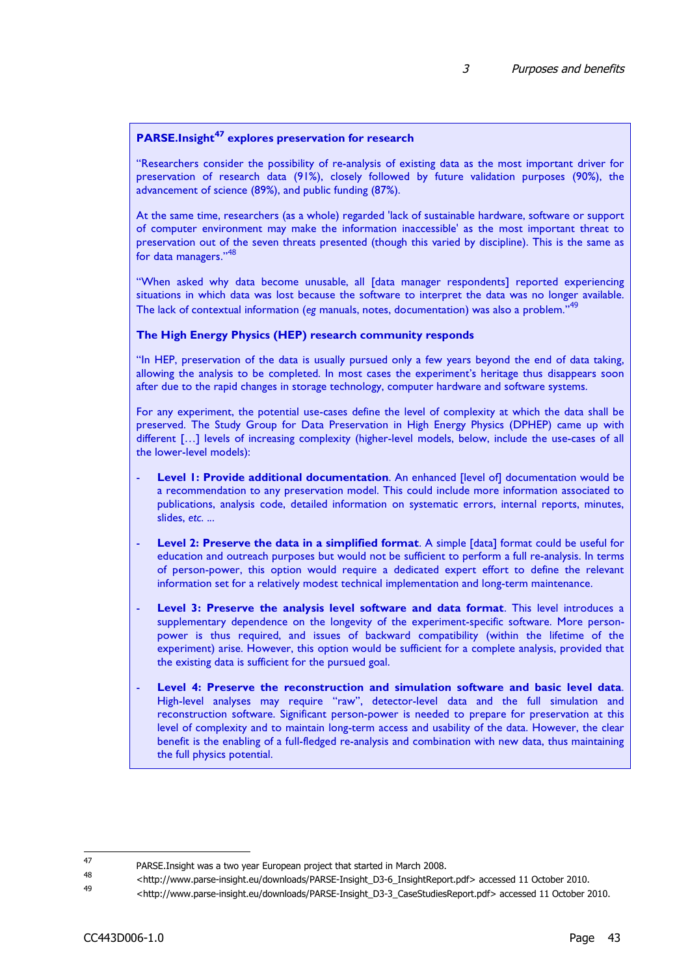### **PARSE.Insight<sup>47</sup> explores preservation for research**

"Researchers consider the possibility of re-analysis of existing data as the most important driver for preservation of research data (91%), closely followed by future validation purposes (90%), the advancement of science (89%), and public funding (87%).

At the same time, researchers (as a whole) regarded 'lack of sustainable hardware, software or support of computer environment may make the information inaccessible' as the most important threat to preservation out of the seven threats presented (though this varied by discipline). This is the same as for data managers."<sup>48</sup>

"When asked why data become unusable, all [data manager respondents] reported experiencing situations in which data was lost because the software to interpret the data was no longer available. The lack of contextual information (*eg* manuals, notes, documentation) was also a problem."<sup>49</sup>

#### **The High Energy Physics (HEP) research community responds**

"In HEP, preservation of the data is usually pursued only a few years beyond the end of data taking, allowing the analysis to be completed. In most cases the experiment's heritage thus disappears soon after due to the rapid changes in storage technology, computer hardware and software systems.

For any experiment, the potential use-cases define the level of complexity at which the data shall be preserved. The Study Group for Data Preservation in High Energy Physics (DPHEP) came up with different […] levels of increasing complexity (higher-level models, below, include the use-cases of all the lower-level models):

- **Level I: Provide additional documentation**. An enhanced [level of] documentation would be a recommendation to any preservation model. This could include more information associated to publications, analysis code, detailed information on systematic errors, internal reports, minutes, slides, *etc*. ...
- Level 2: Preserve the data in a simplified format. A simple [data] format could be useful for education and outreach purposes but would not be sufficient to perform a full re-analysis. In terms of person-power, this option would require a dedicated expert effort to define the relevant information set for a relatively modest technical implementation and long-term maintenance.
- Level 3: Preserve the analysis level software and data format. This level introduces a supplementary dependence on the longevity of the experiment-specific software. More personpower is thus required, and issues of backward compatibility (within the lifetime of the experiment) arise. However, this option would be sufficient for a complete analysis, provided that the existing data is sufficient for the pursued goal.
- Level 4: Preserve the reconstruction and simulation software and basic level data. High-level analyses may require "raw", detector-level data and the full simulation and reconstruction software. Significant person-power is needed to prepare for preservation at this level of complexity and to maintain long-term access and usability of the data. However, the clear benefit is the enabling of a full-fledged re-analysis and combination with new data, thus maintaining the full physics potential.

 $\frac{1}{47}$ PARSE.Insight was a two year European project that started in March 2008.

<sup>48</sup> <http://www.parse-insight.eu/downloads/PARSE-Insight\_D3-6\_InsightReport.pdf> accessed 11 October 2010.

<sup>49</sup> <http://www.parse-insight.eu/downloads/PARSE-Insight\_D3-3\_CaseStudiesReport.pdf> accessed 11 October 2010.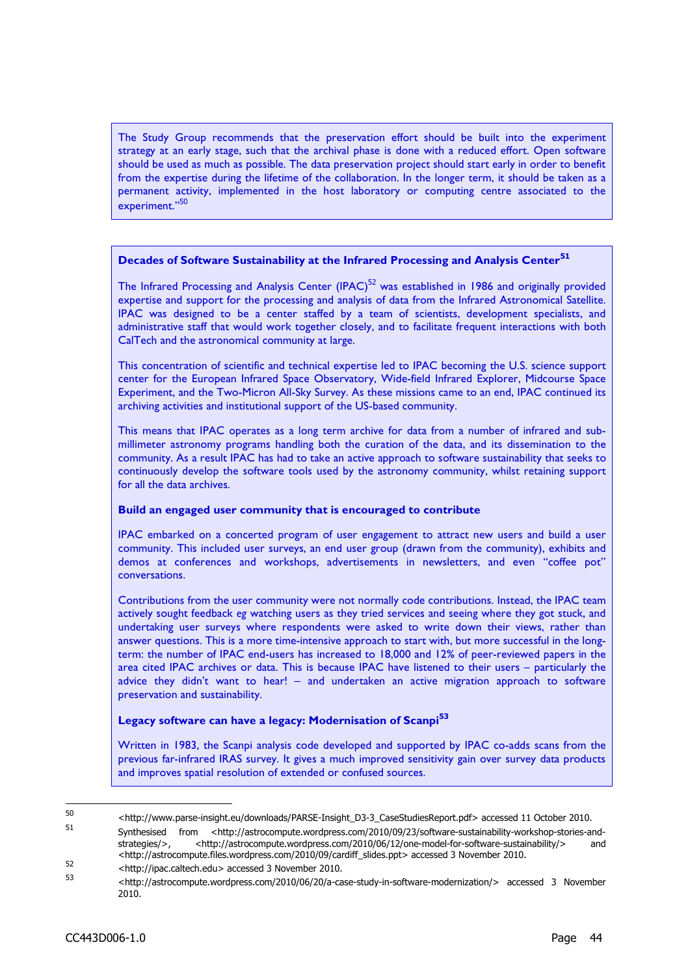The Study Group recommends that the preservation effort should be built into the experiment strategy at an early stage, such that the archival phase is done with a reduced effort. Open software should be used as much as possible. The data preservation project should start early in order to benefit from the expertise during the lifetime of the collaboration. In the longer term, it should be taken as a permanent activity, implemented in the host laboratory or computing centre associated to the experiment."<sup>50</sup>

### **Decades of Software Sustainability at the Infrared Processing and Analysis Center<sup>51</sup>**

The Infrared Processing and Analysis Center (IPAC)<sup>52</sup> was established in 1986 and originally provided expertise and support for the processing and analysis of data from the Infrared Astronomical Satellite. IPAC was designed to be a center staffed by a team of scientists, development specialists, and administrative staff that would work together closely, and to facilitate frequent interactions with both CalTech and the astronomical community at large.

This concentration of scientific and technical expertise led to IPAC becoming the U.S. science support center for the European Infrared Space Observatory, Wide-field Infrared Explorer, Midcourse Space Experiment, and the Two-Micron All-Sky Survey. As these missions came to an end, IPAC continued its archiving activities and institutional support of the US-based community.

This means that IPAC operates as a long term archive for data from a number of infrared and submillimeter astronomy programs handling both the curation of the data, and its dissemination to the community. As a result IPAC has had to take an active approach to software sustainability that seeks to continuously develop the software tools used by the astronomy community, whilst retaining support for all the data archives.

#### **Build an engaged user community that is encouraged to contribute**

IPAC embarked on a concerted program of user engagement to attract new users and build a user community. This included user surveys, an end user group (drawn from the community), exhibits and demos at conferences and workshops, advertisements in newsletters, and even "coffee pot" conversations.

Contributions from the user community were not normally code contributions. Instead, the IPAC team actively sought feedback *eg* watching users as they tried services and seeing where they got stuck, and undertaking user surveys where respondents were asked to write down their views, rather than answer questions. This is a more time-intensive approach to start with, but more successful in the longterm: the number of IPAC end-users has increased to 18,000 and 12% of peer-reviewed papers in the area cited IPAC archives or data. This is because IPAC have listened to their users – particularly the advice they didn't want to hear! – and undertaken an active migration approach to software preservation and sustainability.

### **Legacy software can have a legacy: Modernisation of Scanpi<sup>53</sup>**

Written in 1983, the Scanpi analysis code developed and supported by IPAC co-adds scans from the previous far-infrared IRAS survey. It gives a much improved sensitivity gain over survey data products and improves spatial resolution of extended or confused sources.

52 <http://ipac.caltech.edu> accessed 3 November 2010.

 $\frac{1}{50}$ 51

<sup>&</sup>lt;http://www.parse-insight.eu/downloads/PARSE-Insight\_D3-3\_CaseStudiesReport.pdf> accessed 11 October 2010.

Synthesised from <http://astrocompute.wordpress.com/2010/09/23/software-sustainability-workshop-stories-andstrategies/>, <http://astrocompute.wordpress.com/2010/06/12/one-model-for-software-sustainability/> and <http://astrocompute.files.wordpress.com/2010/09/cardiff\_slides.ppt> accessed 3 November 2010.

<sup>53</sup> <http://astrocompute.wordpress.com/2010/06/20/a-case-study-in-software-modernization/> accessed 3 November 2010.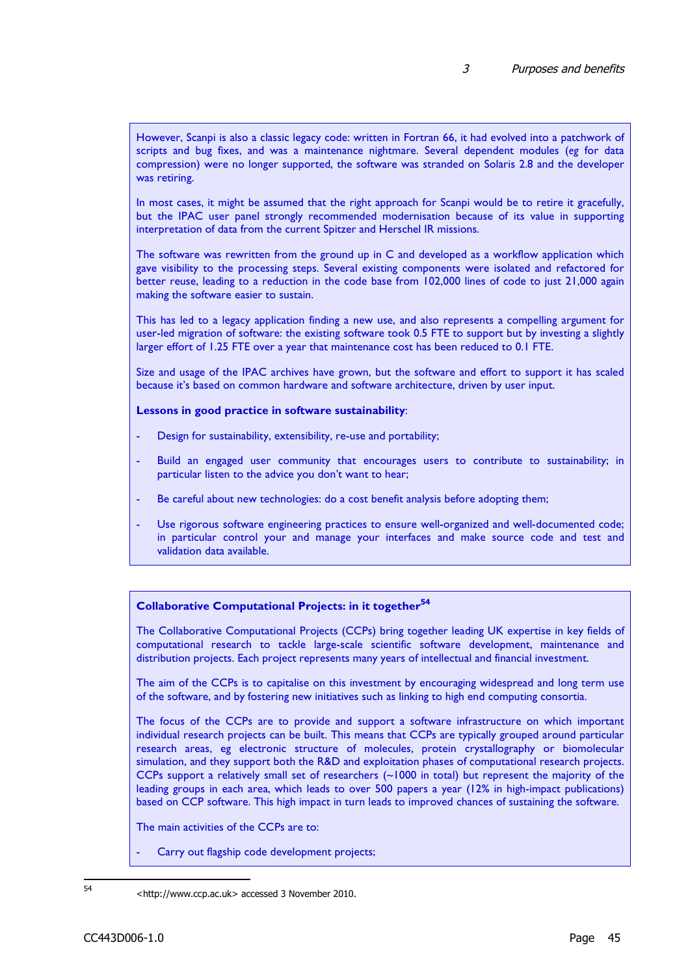However, Scanpi is also a classic legacy code: written in Fortran 66, it had evolved into a patchwork of scripts and bug fixes, and was a maintenance nightmare. Several dependent modules (*eg* for data compression) were no longer supported, the software was stranded on Solaris 2.8 and the developer was retiring.

In most cases, it might be assumed that the right approach for Scanpi would be to retire it gracefully, but the IPAC user panel strongly recommended modernisation because of its value in supporting interpretation of data from the current Spitzer and Herschel IR missions.

The software was rewritten from the ground up in C and developed as a workflow application which gave visibility to the processing steps. Several existing components were isolated and refactored for better reuse, leading to a reduction in the code base from 102,000 lines of code to just 21,000 again making the software easier to sustain.

This has led to a legacy application finding a new use, and also represents a compelling argument for user-led migration of software: the existing software took 0.5 FTE to support but by investing a slightly larger effort of 1.25 FTE over a year that maintenance cost has been reduced to 0.1 FTE.

Size and usage of the IPAC archives have grown, but the software and effort to support it has scaled because it's based on common hardware and software architecture, driven by user input.

#### **Lessons in good practice in software sustainability**:

- Design for sustainability, extensibility, re-use and portability;
- Build an engaged user community that encourages users to contribute to sustainability; in particular listen to the advice you don't want to hear;
- Be careful about new technologies: do a cost benefit analysis before adopting them;
- Use rigorous software engineering practices to ensure well-organized and well-documented code; in particular control your and manage your interfaces and make source code and test and validation data available.

### **Collaborative Computational Projects: in it together<sup>54</sup>**

The Collaborative Computational Projects (CCPs) bring together leading UK expertise in key fields of computational research to tackle large-scale scientific software development, maintenance and distribution projects. Each project represents many years of intellectual and financial investment.

The aim of the CCPs is to capitalise on this investment by encouraging widespread and long term use of the software, and by fostering new initiatives such as linking to high end computing consortia.

The focus of the CCPs are to provide and support a software infrastructure on which important individual research projects can be built. This means that CCPs are typically grouped around particular research areas, eg electronic structure of molecules, protein crystallography or biomolecular simulation, and they support both the R&D and exploitation phases of computational research projects. CCPs support a relatively small set of researchers (~1000 in total) but represent the majority of the leading groups in each area, which leads to over 500 papers a year (12% in high-impact publications) based on CCP software. This high impact in turn leads to improved chances of sustaining the software.

The main activities of the CCPs are to:

Carry out flagship code development projects;

—<br>54

 <sup>&</sup>lt;http://www.ccp.ac.uk> accessed 3 November 2010.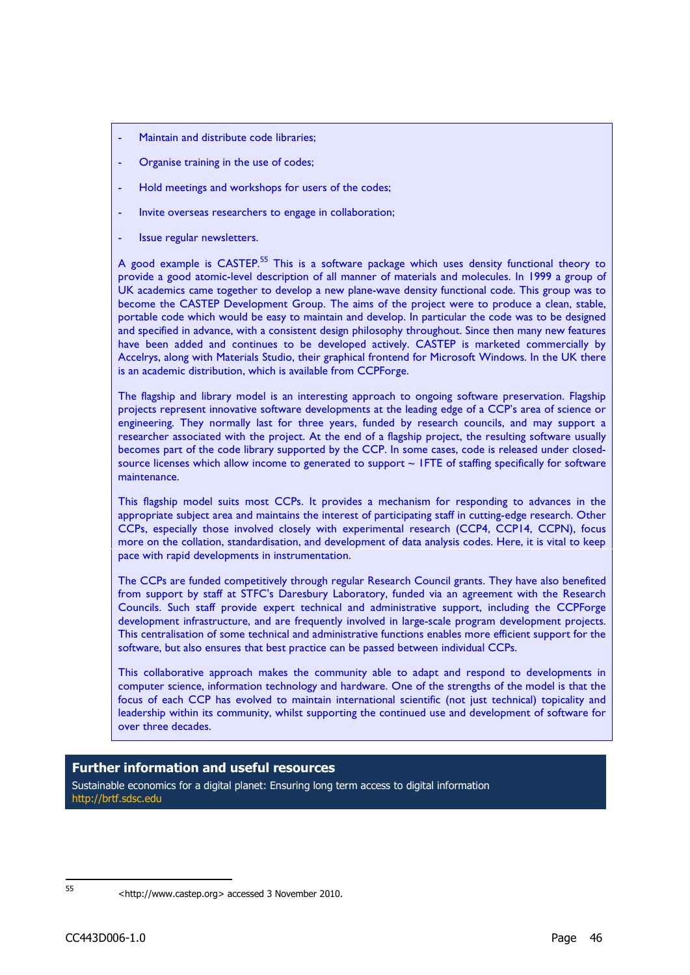- Maintain and distribute code libraries;
- Organise training in the use of codes;
- Hold meetings and workshops for users of the codes;
- Invite overseas researchers to engage in collaboration;
- Issue regular newsletters.

A good example is CASTEP.<sup>55</sup> This is a software package which uses density functional theory to provide a good atomic-level description of all manner of materials and molecules. In 1999 a group of UK academics came together to develop a new plane-wave density functional code. This group was to become the CASTEP Development Group. The aims of the project were to produce a clean, stable, portable code which would be easy to maintain and develop. In particular the code was to be designed and specified in advance, with a consistent design philosophy throughout. Since then many new features have been added and continues to be developed actively. CASTEP is marketed commercially by Accelrys, along with Materials Studio, their graphical frontend for Microsoft Windows. In the UK there is an academic distribution, which is available from CCPForge.

The flagship and library model is an interesting approach to ongoing software preservation. Flagship projects represent innovative software developments at the leading edge of a CCP's area of science or engineering. They normally last for three years, funded by research councils, and may support a researcher associated with the project. At the end of a flagship project, the resulting software usually becomes part of the code library supported by the CCP. In some cases, code is released under closedsource licenses which allow income to generated to support  $\sim$  1FTE of staffing specifically for software maintenance.

This flagship model suits most CCPs. It provides a mechanism for responding to advances in the appropriate subject area and maintains the interest of participating staff in cutting-edge research. Other CCPs, especially those involved closely with experimental research (CCP4, CCP14, CCPN), focus more on the collation, standardisation, and development of data analysis codes. Here, it is vital to keep pace with rapid developments in instrumentation.

The CCPs are funded competitively through regular Research Council grants. They have also benefited from support by staff at STFC's Daresbury Laboratory, funded via an agreement with the Research Councils. Such staff provide expert technical and administrative support, including the CCPForge development infrastructure, and are frequently involved in large-scale program development projects. This centralisation of some technical and administrative functions enables more efficient support for the software, but also ensures that best practice can be passed between individual CCPs.

This collaborative approach makes the community able to adapt and respond to developments in computer science, information technology and hardware. One of the strengths of the model is that the focus of each CCP has evolved to maintain international scientific (not just technical) topicality and leadership within its community, whilst supporting the continued use and development of software for over three decades.

### **Further information and useful resources**

Sustainable economics for a digital planet: Ensuring long term access to digital information http://brtf.sdsc.edu

<sup>—&</sup>lt;br>55

 <sup>&</sup>lt;http://www.castep.org> accessed 3 November 2010.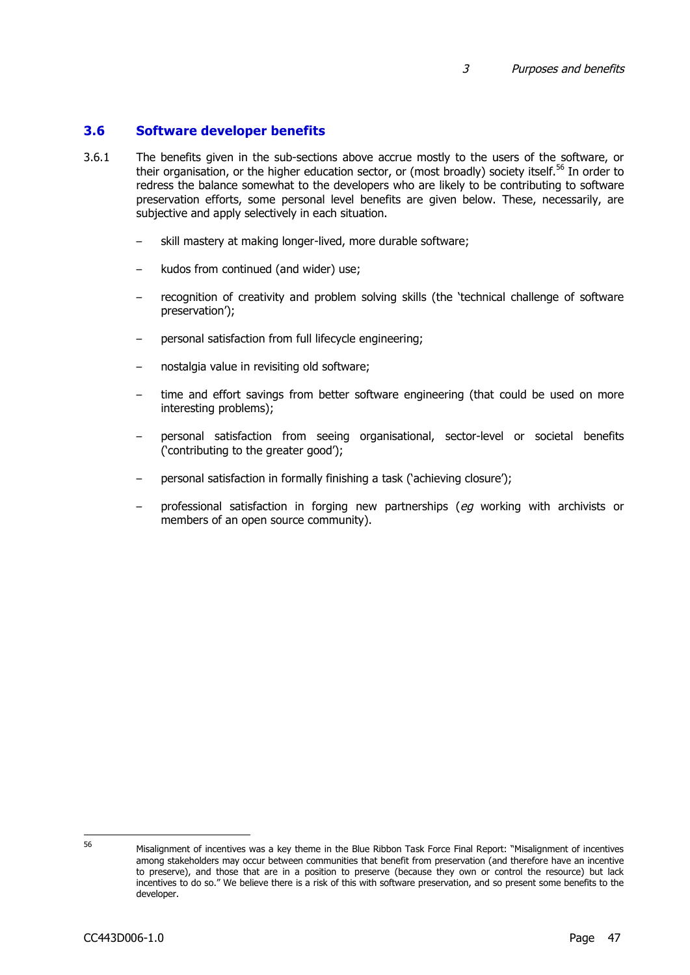# **3.6 Software developer benefits**

- 3.6.1 The benefits given in the sub-sections above accrue mostly to the users of the software, or their organisation, or the higher education sector, or (most broadly) society itself.<sup>56</sup> In order to redress the balance somewhat to the developers who are likely to be contributing to software preservation efforts, some personal level benefits are given below. These, necessarily, are subjective and apply selectively in each situation.
	- skill mastery at making longer-lived, more durable software;
	- kudos from continued (and wider) use;
	- recognition of creativity and problem solving skills (the 'technical challenge of software preservation');
	- personal satisfaction from full lifecycle engineering;
	- nostalgia value in revisiting old software;
	- time and effort savings from better software engineering (that could be used on more interesting problems);
	- personal satisfaction from seeing organisational, sector-level or societal benefits ('contributing to the greater good');
	- personal satisfaction in formally finishing a task ('achieving closure');
	- professional satisfaction in forging new partnerships (eq working with archivists or members of an open source community).

 $\frac{1}{56}$ 

Misalignment of incentives was a key theme in the Blue Ribbon Task Force Final Report: "Misalignment of incentives among stakeholders may occur between communities that benefit from preservation (and therefore have an incentive to preserve), and those that are in a position to preserve (because they own or control the resource) but lack incentives to do so." We believe there is a risk of this with software preservation, and so present some benefits to the developer.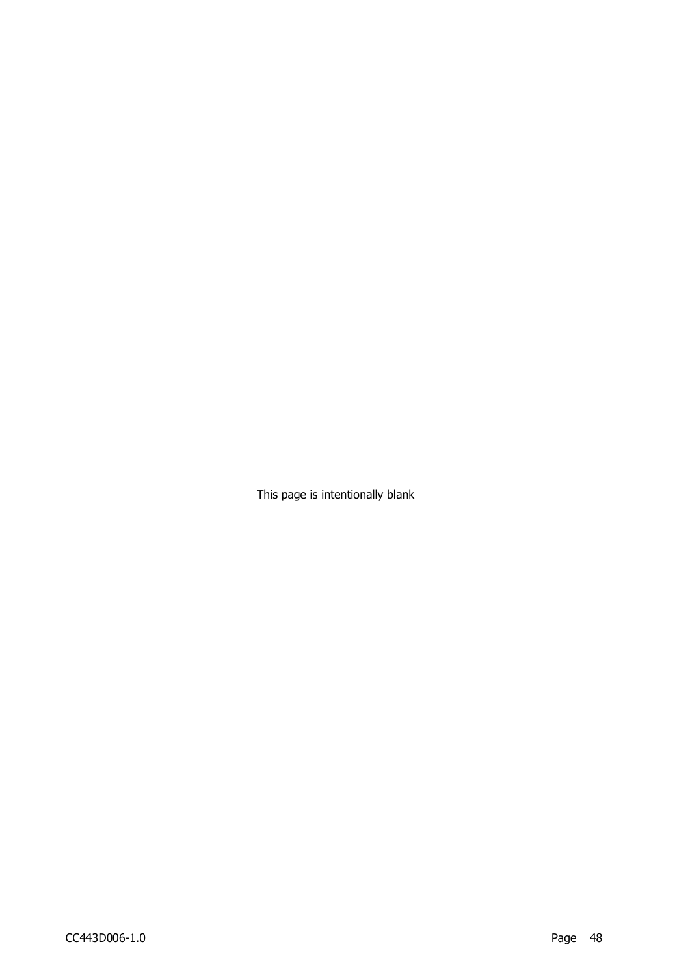This page is intentionally blank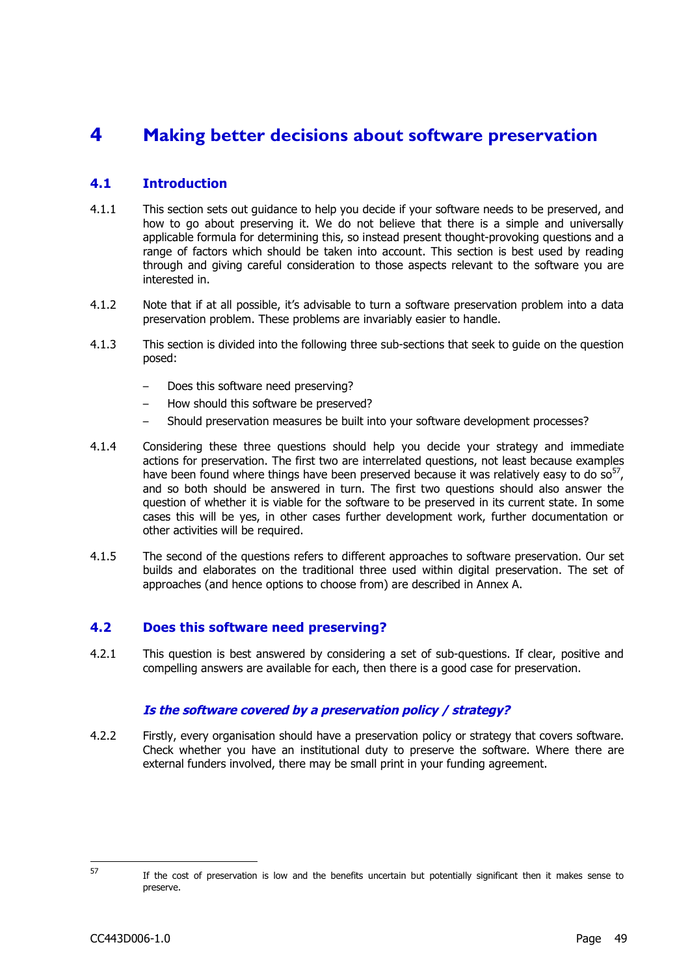# **4 Making better decisions about software preservation**

# **4.1 Introduction**

- 4.1.1 This section sets out guidance to help you decide if your software needs to be preserved, and how to go about preserving it. We do not believe that there is a simple and universally applicable formula for determining this, so instead present thought-provoking questions and a range of factors which should be taken into account. This section is best used by reading through and giving careful consideration to those aspects relevant to the software you are interested in.
- 4.1.2 Note that if at all possible, it's advisable to turn a software preservation problem into a data preservation problem. These problems are invariably easier to handle.
- 4.1.3 This section is divided into the following three sub-sections that seek to guide on the question posed:
	- Does this software need preserving?
	- How should this software be preserved?
	- Should preservation measures be built into your software development processes?
- 4.1.4 Considering these three questions should help you decide your strategy and immediate actions for preservation. The first two are interrelated questions, not least because examples have been found where things have been preserved because it was relatively easy to do so $^{57}$ , and so both should be answered in turn. The first two questions should also answer the question of whether it is viable for the software to be preserved in its current state. In some cases this will be yes, in other cases further development work, further documentation or other activities will be required.
- 4.1.5 The second of the questions refers to different approaches to software preservation. Our set builds and elaborates on the traditional three used within digital preservation. The set of approaches (and hence options to choose from) are described in Annex A.

# **4.2 Does this software need preserving?**

4.2.1 This question is best answered by considering a set of sub-questions. If clear, positive and compelling answers are available for each, then there is a good case for preservation.

# **Is the software covered by a preservation policy / strategy?**

4.2.2 Firstly, every organisation should have a preservation policy or strategy that covers software. Check whether you have an institutional duty to preserve the software. Where there are external funders involved, there may be small print in your funding agreement.

 $\frac{1}{57}$ 

If the cost of preservation is low and the benefits uncertain but potentially significant then it makes sense to preserve.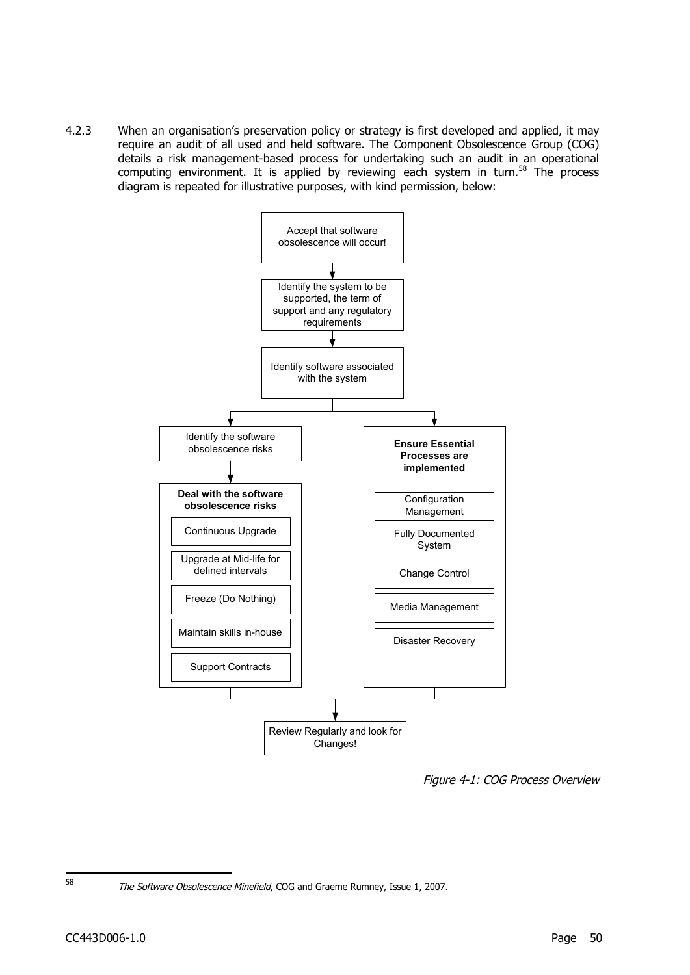4.2.3 When an organisation's preservation policy or strategy is first developed and applied, it may require an audit of all used and held software. The Component Obsolescence Group (COG) details a risk management-based process for undertaking such an audit in an operational computing environment. It is applied by reviewing each system in turn.<sup>58</sup> The process diagram is repeated for illustrative purposes, with kind permission, below:



Figure 4-1: COG Process Overview

 $\frac{1}{58}$ 

The Software Obsolescence Minefield, COG and Graeme Rumney, Issue 1, 2007.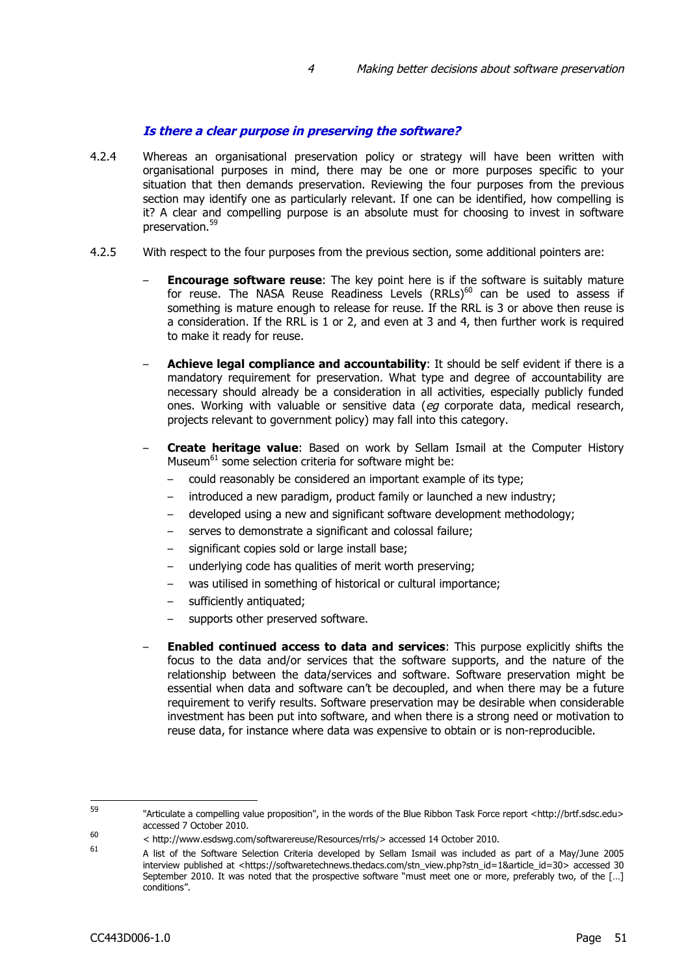### **Is there a clear purpose in preserving the software?**

- 4.2.4 Whereas an organisational preservation policy or strategy will have been written with organisational purposes in mind, there may be one or more purposes specific to your situation that then demands preservation. Reviewing the four purposes from the previous section may identify one as particularly relevant. If one can be identified, how compelling is it? A clear and compelling purpose is an absolute must for choosing to invest in software preservation.<sup>59</sup>
- 4.2.5 With respect to the four purposes from the previous section, some additional pointers are:
	- **Encourage software reuse:** The key point here is if the software is suitably mature for reuse. The NASA Reuse Readiness Levels  $(RRLs)^{60}$  can be used to assess if something is mature enough to release for reuse. If the RRL is 3 or above then reuse is a consideration. If the RRL is 1 or 2, and even at 3 and 4, then further work is required to make it ready for reuse.
	- **Achieve legal compliance and accountability**: It should be self evident if there is a mandatory requirement for preservation. What type and degree of accountability are necessary should already be a consideration in all activities, especially publicly funded ones. Working with valuable or sensitive data (eq corporate data, medical research, projects relevant to government policy) may fall into this category.
	- **Create heritage value**: Based on work by Sellam Ismail at the Computer History Museum<sup>61</sup> some selection criteria for software might be:
		- could reasonably be considered an important example of its type;
		- introduced a new paradigm, product family or launched a new industry;
		- developed using a new and significant software development methodology;
		- serves to demonstrate a significant and colossal failure;
		- significant copies sold or large install base;
		- underlying code has qualities of merit worth preserving;
		- was utilised in something of historical or cultural importance;
		- sufficiently antiquated;
		- supports other preserved software.
	- **Enabled continued access to data and services**: This purpose explicitly shifts the focus to the data and/or services that the software supports, and the nature of the relationship between the data/services and software. Software preservation might be essential when data and software can't be decoupled, and when there may be a future requirement to verify results. Software preservation may be desirable when considerable investment has been put into software, and when there is a strong need or motivation to reuse data, for instance where data was expensive to obtain or is non-reproducible.

<sup>—&</sup>lt;br>59 "Articulate a compelling value proposition", in the words of the Blue Ribbon Task Force report <http://brtf.sdsc.edu> accessed 7 October 2010.

<sup>60</sup> < http://www.esdswg.com/softwarereuse/Resources/rrls/> accessed 14 October 2010.

<sup>61</sup> A list of the Software Selection Criteria developed by Sellam Ismail was included as part of a May/June 2005 interview published at <https://softwaretechnews.thedacs.com/stn\_view.php?stn\_id=1&article\_id=30> accessed 30 September 2010. It was noted that the prospective software "must meet one or more, preferably two, of the […] conditions".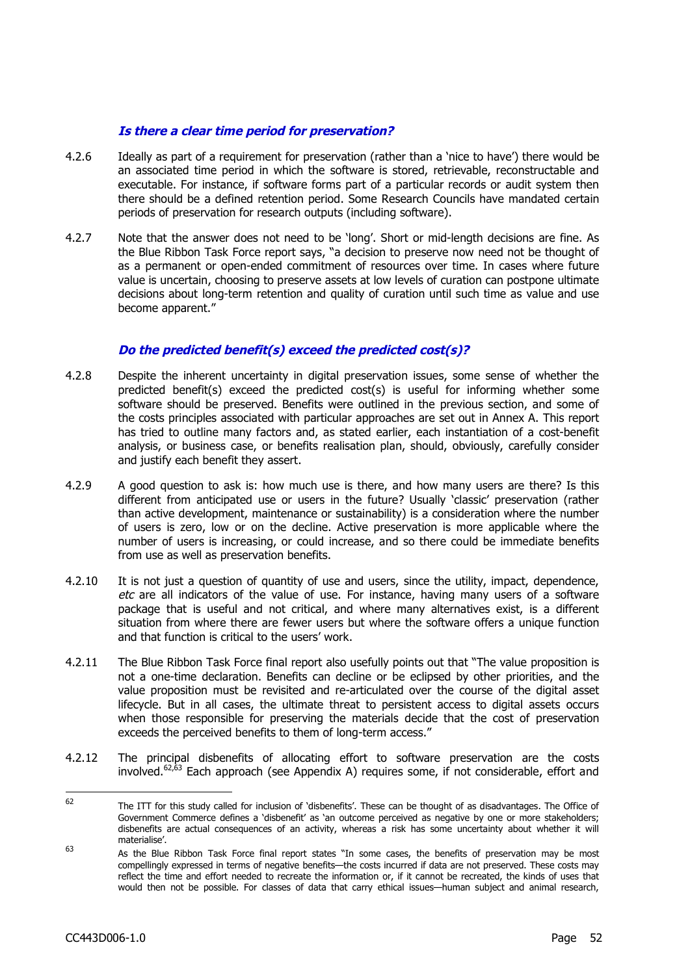### **Is there a clear time period for preservation?**

- 4.2.6 Ideally as part of a requirement for preservation (rather than a 'nice to have') there would be an associated time period in which the software is stored, retrievable, reconstructable and executable. For instance, if software forms part of a particular records or audit system then there should be a defined retention period. Some Research Councils have mandated certain periods of preservation for research outputs (including software).
- 4.2.7 Note that the answer does not need to be 'long'. Short or mid-length decisions are fine. As the Blue Ribbon Task Force report says, "a decision to preserve now need not be thought of as a permanent or open-ended commitment of resources over time. In cases where future value is uncertain, choosing to preserve assets at low levels of curation can postpone ultimate decisions about long-term retention and quality of curation until such time as value and use become apparent."

# **Do the predicted benefit(s) exceed the predicted cost(s)?**

- 4.2.8 Despite the inherent uncertainty in digital preservation issues, some sense of whether the predicted benefit(s) exceed the predicted cost(s) is useful for informing whether some software should be preserved. Benefits were outlined in the previous section, and some of the costs principles associated with particular approaches are set out in Annex A. This report has tried to outline many factors and, as stated earlier, each instantiation of a cost-benefit analysis, or business case, or benefits realisation plan, should, obviously, carefully consider and justify each benefit they assert.
- 4.2.9 A good question to ask is: how much use is there, and how many users are there? Is this different from anticipated use or users in the future? Usually 'classic' preservation (rather than active development, maintenance or sustainability) is a consideration where the number of users is zero, low or on the decline. Active preservation is more applicable where the number of users is increasing, or could increase, and so there could be immediate benefits from use as well as preservation benefits.
- 4.2.10 It is not just a question of quantity of use and users, since the utility, impact, dependence, etc are all indicators of the value of use. For instance, having many users of a software package that is useful and not critical, and where many alternatives exist, is a different situation from where there are fewer users but where the software offers a unique function and that function is critical to the users' work.
- 4.2.11 The Blue Ribbon Task Force final report also usefully points out that "The value proposition is not a one-time declaration. Benefits can decline or be eclipsed by other priorities, and the value proposition must be revisited and re-articulated over the course of the digital asset lifecycle. But in all cases, the ultimate threat to persistent access to digital assets occurs when those responsible for preserving the materials decide that the cost of preservation exceeds the perceived benefits to them of long-term access."
- 4.2.12 The principal disbenefits of allocating effort to software preservation are the costs involved.<sup>62,63</sup> Each approach (see Appendix A) requires some, if not considerable, effort and

 $\frac{1}{62}$  The ITT for this study called for inclusion of 'disbenefits'. These can be thought of as disadvantages. The Office of Government Commerce defines a 'disbenefit' as 'an outcome perceived as negative by one or more stakeholders; disbenefits are actual consequences of an activity, whereas a risk has some uncertainty about whether it will materialise'.

<sup>63</sup> As the Blue Ribbon Task Force final report states "In some cases, the benefits of preservation may be most compellingly expressed in terms of negative benefits—the costs incurred if data are not preserved. These costs may reflect the time and effort needed to recreate the information or, if it cannot be recreated, the kinds of uses that would then not be possible. For classes of data that carry ethical issues—human subject and animal research,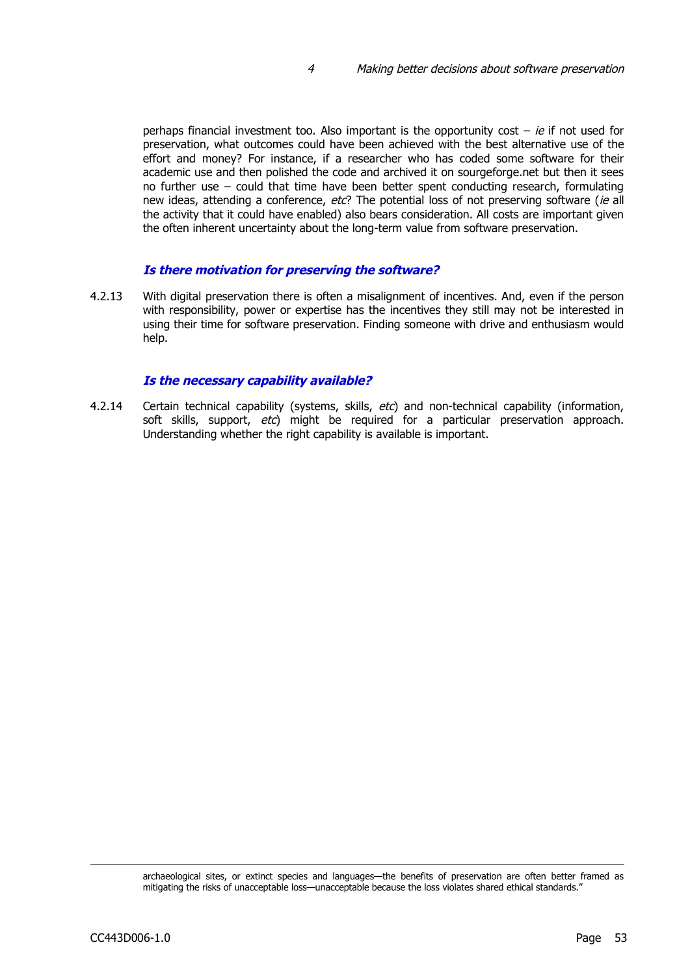perhaps financial investment too. Also important is the opportunity cost  $-$  *ie* if not used for preservation, what outcomes could have been achieved with the best alternative use of the effort and money? For instance, if a researcher who has coded some software for their academic use and then polished the code and archived it on sourgeforge.net but then it sees no further use – could that time have been better spent conducting research, formulating new ideas, attending a conference,  $etc$ ? The potential loss of not preserving software (ie all the activity that it could have enabled) also bears consideration. All costs are important given the often inherent uncertainty about the long-term value from software preservation.

### **Is there motivation for preserving the software?**

4.2.13 With digital preservation there is often a misalignment of incentives. And, even if the person with responsibility, power or expertise has the incentives they still may not be interested in using their time for software preservation. Finding someone with drive and enthusiasm would help.

### **Is the necessary capability available?**

4.2.14 Certain technical capability (systems, skills, etc) and non-technical capability (information, soft skills, support, etc) might be required for a particular preservation approach. Understanding whether the right capability is available is important.

archaeological sites, or extinct species and languages—the benefits of preservation are often better framed as mitigating the risks of unacceptable loss—unacceptable because the loss violates shared ethical standards."

-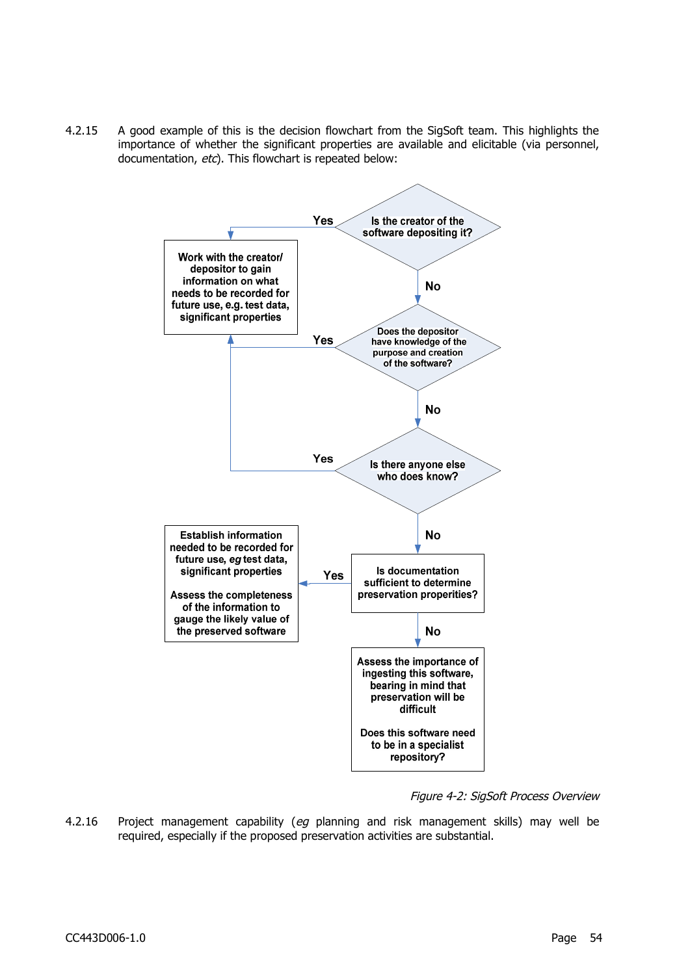4.2.15 A good example of this is the decision flowchart from the SigSoft team. This highlights the importance of whether the significant properties are available and elicitable (via personnel, documentation, etc). This flowchart is repeated below:



Figure 4-2: SigSoft Process Overview

4.2.16 Project management capability (eq planning and risk management skills) may well be required, especially if the proposed preservation activities are substantial.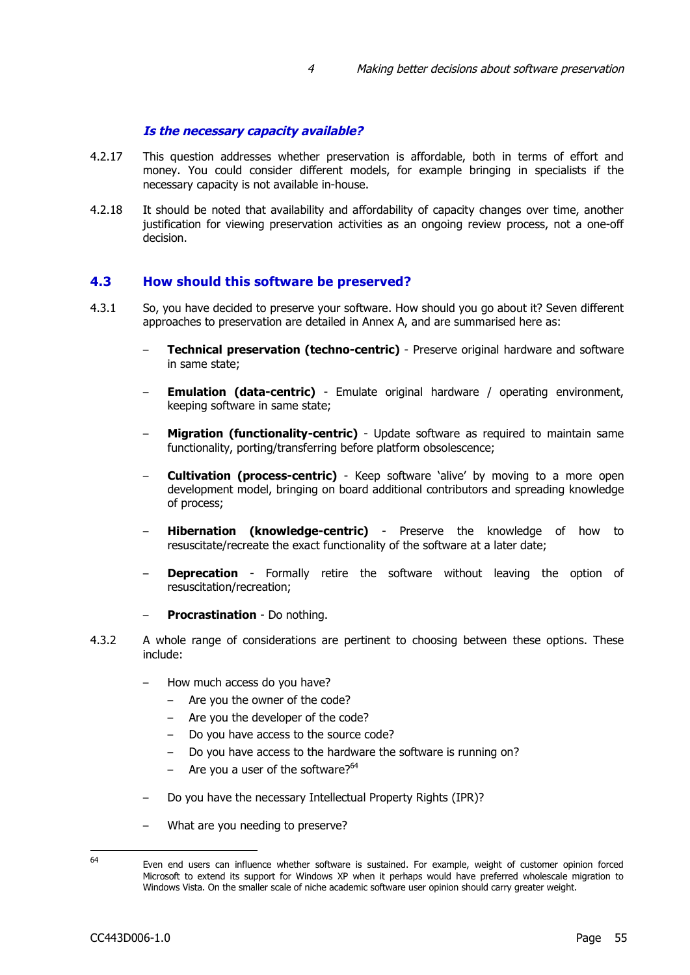### **Is the necessary capacity available?**

- 4.2.17 This question addresses whether preservation is affordable, both in terms of effort and money. You could consider different models, for example bringing in specialists if the necessary capacity is not available in-house.
- 4.2.18 It should be noted that availability and affordability of capacity changes over time, another justification for viewing preservation activities as an ongoing review process, not a one-off decision.

# **4.3 How should this software be preserved?**

- 4.3.1 So, you have decided to preserve your software. How should you go about it? Seven different approaches to preservation are detailed in Annex A, and are summarised here as:
	- **Technical preservation (techno-centric)** Preserve original hardware and software in same state;
	- **Emulation (data-centric)** Emulate original hardware / operating environment, keeping software in same state;
	- **Migration (functionality-centric)** Update software as required to maintain same functionality, porting/transferring before platform obsolescence;
	- **Cultivation (process-centric)** Keep software 'alive' by moving to a more open development model, bringing on board additional contributors and spreading knowledge of process;
	- **Hibernation (knowledge-centric)** Preserve the knowledge of how to resuscitate/recreate the exact functionality of the software at a later date;
	- **Deprecation** Formally retire the software without leaving the option of resuscitation/recreation;
	- **Procrastination** Do nothing.
- 4.3.2 A whole range of considerations are pertinent to choosing between these options. These include:
	- How much access do you have?
		- Are you the owner of the code?
		- Are you the developer of the code?
		- Do you have access to the source code?
		- Do you have access to the hardware the software is running on?
		- Are you a user of the software? $64$
	- Do you have the necessary Intellectual Property Rights (IPR)?
	- What are you needing to preserve?

 $\frac{1}{64}$ 

Even end users can influence whether software is sustained. For example, weight of customer opinion forced Microsoft to extend its support for Windows XP when it perhaps would have preferred wholescale migration to Windows Vista. On the smaller scale of niche academic software user opinion should carry greater weight.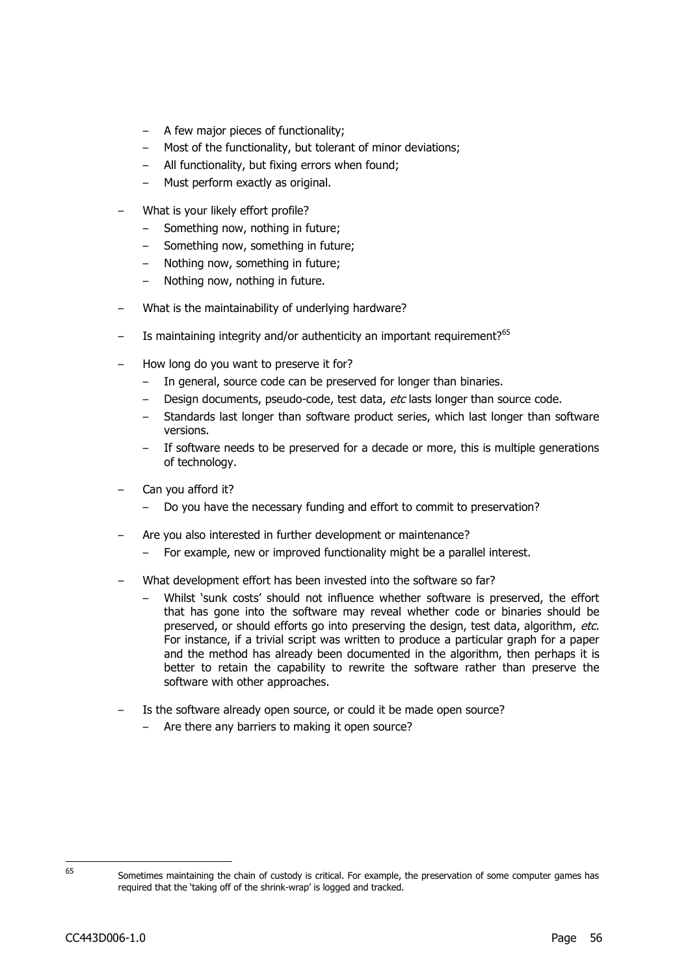- A few major pieces of functionality;
- Most of the functionality, but tolerant of minor deviations;
- All functionality, but fixing errors when found;
- Must perform exactly as original.
- What is your likely effort profile?
	- Something now, nothing in future;
	- Something now, something in future;
	- Nothing now, something in future;
	- Nothing now, nothing in future.
- What is the maintainability of underlying hardware?
- Is maintaining integrity and/or authenticity an important requirement?<sup>65</sup>
- How long do you want to preserve it for?
	- In general, source code can be preserved for longer than binaries.
	- Design documents, pseudo-code, test data, etc lasts longer than source code.
	- Standards last longer than software product series, which last longer than software versions.
	- If software needs to be preserved for a decade or more, this is multiple generations of technology.
- Can you afford it?
	- Do you have the necessary funding and effort to commit to preservation?
- Are you also interested in further development or maintenance?
	- For example, new or improved functionality might be a parallel interest.
- What development effort has been invested into the software so far?
	- Whilst 'sunk costs' should not influence whether software is preserved, the effort that has gone into the software may reveal whether code or binaries should be preserved, or should efforts go into preserving the design, test data, algorithm, etc. For instance, if a trivial script was written to produce a particular graph for a paper and the method has already been documented in the algorithm, then perhaps it is better to retain the capability to rewrite the software rather than preserve the software with other approaches.
- Is the software already open source, or could it be made open source?
	- Are there any barriers to making it open source?

<sup>—&</sup>lt;br>65

Sometimes maintaining the chain of custody is critical. For example, the preservation of some computer games has required that the 'taking off of the shrink-wrap' is logged and tracked.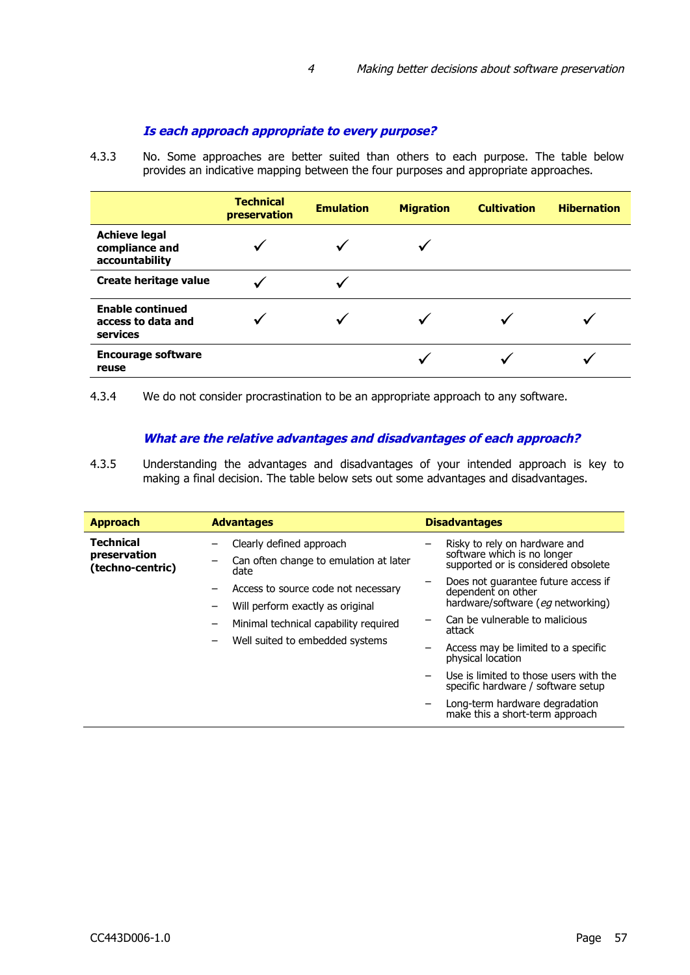# **Is each approach appropriate to every purpose?**

4.3.3 No. Some approaches are better suited than others to each purpose. The table below provides an indicative mapping between the four purposes and appropriate approaches.

|                                                           | <b>Technical</b><br>preservation | <b>Emulation</b> | <b>Migration</b> | <b>Cultivation</b> | <b>Hibernation</b> |
|-----------------------------------------------------------|----------------------------------|------------------|------------------|--------------------|--------------------|
| <b>Achieve legal</b><br>compliance and<br>accountability  |                                  |                  |                  |                    |                    |
| <b>Create heritage value</b>                              |                                  |                  |                  |                    |                    |
| <b>Enable continued</b><br>access to data and<br>services |                                  |                  |                  |                    |                    |
| <b>Encourage software</b><br>reuse                        |                                  |                  |                  |                    |                    |

4.3.4 We do not consider procrastination to be an appropriate approach to any software.

### **What are the relative advantages and disadvantages of each approach?**

4.3.5 Understanding the advantages and disadvantages of your intended approach is key to making a final decision. The table below sets out some advantages and disadvantages.

| <b>Approach</b>                                      | <b>Advantages</b>                              | <b>Disadvantages</b>                                                              |
|------------------------------------------------------|------------------------------------------------|-----------------------------------------------------------------------------------|
| <b>Technical</b><br>preservation<br>(techno-centric) | Clearly defined approach                       | Risky to rely on hardware and                                                     |
|                                                      | Can often change to emulation at later<br>date | software which is no longer<br>supported or is considered obsolete                |
|                                                      | Access to source code not necessary            | Does not guarantee future access if<br>dependent on other                         |
|                                                      | Will perform exactly as original               | hardware/software (eg networking)                                                 |
|                                                      | Minimal technical capability required          | Can be vulnerable to malicious<br>attack                                          |
|                                                      | Well suited to embedded systems                | Access may be limited to a specific<br>-<br>physical location                     |
|                                                      |                                                | Use is limited to those users with the<br>—<br>specific hardware / software setup |
|                                                      |                                                | Long-term hardware degradation<br>make this a short-term approach                 |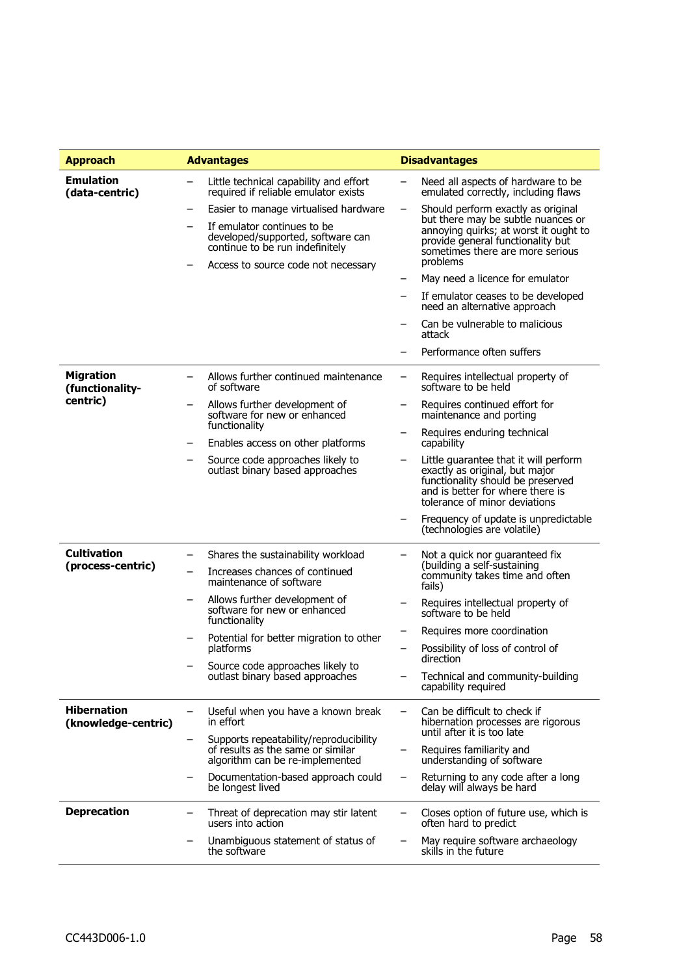| <b>Approach</b>                                 | <b>Advantages</b>                                                                                              | <b>Disadvantages</b>                                                                                                                                                              |  |  |
|-------------------------------------------------|----------------------------------------------------------------------------------------------------------------|-----------------------------------------------------------------------------------------------------------------------------------------------------------------------------------|--|--|
| <b>Emulation</b><br>(data-centric)              | Little technical capability and effort<br>$\overline{\phantom{0}}$<br>required if reliable emulator exists     | Need all aspects of hardware to be<br>emulated correctly, including flaws                                                                                                         |  |  |
|                                                 | Easier to manage virtualised hardware<br>$\qquad \qquad -$                                                     | Should perform exactly as original                                                                                                                                                |  |  |
|                                                 | If emulator continues to be<br>developed/supported, software can<br>continue to be run indefinitely            | but there may be subtle nuances or<br>annoying quirks; at worst it ought to<br>provide general functionality but<br>sometimes there are more serious                              |  |  |
|                                                 | Access to source code not necessary                                                                            | problems                                                                                                                                                                          |  |  |
|                                                 |                                                                                                                | May need a licence for emulator                                                                                                                                                   |  |  |
|                                                 |                                                                                                                | If emulator ceases to be developed<br>need an alternative approach                                                                                                                |  |  |
|                                                 |                                                                                                                | Can be vulnerable to malicious<br>attack                                                                                                                                          |  |  |
|                                                 |                                                                                                                | Performance often suffers                                                                                                                                                         |  |  |
| <b>Migration</b><br>(functionality-<br>centric) | Allows further continued maintenance<br>of software                                                            | Requires intellectual property of<br>-<br>software to be held                                                                                                                     |  |  |
|                                                 | Allows further development of<br>software for new or enhanced                                                  | Requires continued effort for<br>maintenance and porting                                                                                                                          |  |  |
|                                                 | functionality<br>Enables access on other platforms                                                             | Requires enduring technical<br>-<br>capability                                                                                                                                    |  |  |
|                                                 | Source code approaches likely to<br>outlast binary based approaches                                            | Little quarantee that it will perform<br>exactly as original, but major<br>functionality should be preserved<br>and is better for where there is<br>tolerance of minor deviations |  |  |
|                                                 |                                                                                                                | Frequency of update is unpredictable<br>(technologies are volatile)                                                                                                               |  |  |
| <b>Cultivation</b><br>(process-centric)         | Shares the sustainability workload<br>—                                                                        | Not a quick nor guaranteed fix                                                                                                                                                    |  |  |
|                                                 | Increases chances of continued<br>maintenance of software                                                      | (building a self-sustaining<br>community takes time and often<br>fails)                                                                                                           |  |  |
|                                                 | Allows further development of<br>$\qquad \qquad -$<br>software for new or enhanced<br>functionality            | Requires intellectual property of<br>software to be held                                                                                                                          |  |  |
|                                                 | Potential for better migration to other                                                                        | Requires more coordination                                                                                                                                                        |  |  |
|                                                 | platforms                                                                                                      | Possibility of loss of control of<br>direction                                                                                                                                    |  |  |
|                                                 | Source code approaches likely to<br>outlast binary based approaches                                            | Technical and community-building<br>capability required                                                                                                                           |  |  |
| <b>Hibernation</b><br>(knowledge-centric)       | Useful when you have a known break<br>in effort                                                                | Can be difficult to check if<br>-<br>hibernation processes are rigorous<br>until after it is too late                                                                             |  |  |
|                                                 | Supports repeatability/reproducibility<br>of results as the same or similar<br>algorithm can be re-implemented | Requires familiarity and<br>understanding of software                                                                                                                             |  |  |
|                                                 | Documentation-based approach could<br>be longest lived                                                         | Returning to any code after a long<br>delay will always be hard                                                                                                                   |  |  |
| <b>Deprecation</b>                              | Threat of deprecation may stir latent<br>users into action                                                     | Closes option of future use, which is<br>—<br>often hard to predict                                                                                                               |  |  |
|                                                 | Unambiguous statement of status of<br>the software                                                             | May require software archaeology<br>skills in the future                                                                                                                          |  |  |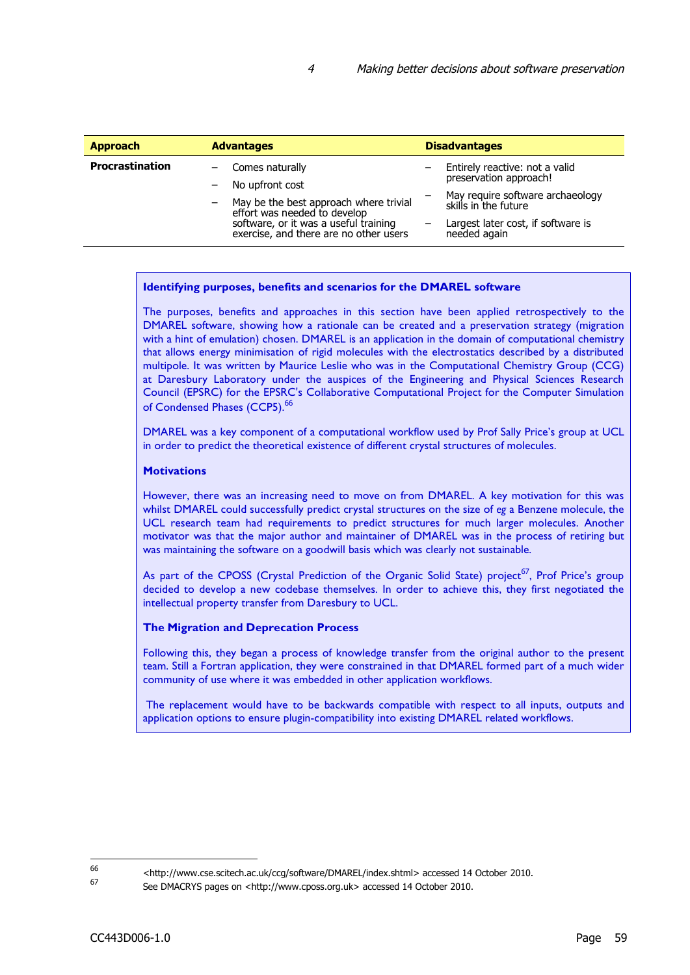| <b>Approach</b>        | <b>Advantages</b>                                                                                                                                                                               | <b>Disadvantages</b>                                                                                                                                                           |
|------------------------|-------------------------------------------------------------------------------------------------------------------------------------------------------------------------------------------------|--------------------------------------------------------------------------------------------------------------------------------------------------------------------------------|
| <b>Procrastination</b> | Comes naturally<br>No upfront cost<br>May be the best approach where trivial<br>effort was needed to develop<br>software, or it was a useful training<br>exercise, and there are no other users | $-$ Entirely reactive: not a valid<br>preservation approach!<br>May require software archaeology<br>skills in the future<br>Largest later cost, if software is<br>needed again |

#### **Identifying purposes, benefits and scenarios for the DMAREL software**

The purposes, benefits and approaches in this section have been applied retrospectively to the DMAREL software, showing how a rationale can be created and a preservation strategy (migration with a hint of emulation) chosen. DMAREL is an application in the domain of computational chemistry that allows energy minimisation of rigid molecules with the electrostatics described by a distributed multipole. It was written by Maurice Leslie who was in the Computational Chemistry Group (CCG) at Daresbury Laboratory under the auspices of the Engineering and Physical Sciences Research Council (EPSRC) for the EPSRC's Collaborative Computational Project for the Computer Simulation of Condensed Phases (CCP5).<sup>66</sup>

DMAREL was a key component of a computational workflow used by Prof Sally Price's group at UCL in order to predict the theoretical existence of different crystal structures of molecules.

#### **Motivations**

However, there was an increasing need to move on from DMAREL. A key motivation for this was whilst DMAREL could successfully predict crystal structures on the size of *eg* a Benzene molecule, the UCL research team had requirements to predict structures for much larger molecules. Another motivator was that the major author and maintainer of DMAREL was in the process of retiring but was maintaining the software on a goodwill basis which was clearly not sustainable.

As part of the CPOSS (Crystal Prediction of the Organic Solid State) project<sup>67</sup>, Prof Price's group decided to develop a new codebase themselves. In order to achieve this, they first negotiated the intellectual property transfer from Daresbury to UCL.

### **The Migration and Deprecation Process**

Following this, they began a process of knowledge transfer from the original author to the present team. Still a Fortran application, they were constrained in that DMAREL formed part of a much wider community of use where it was embedded in other application workflows.

 The replacement would have to be backwards compatible with respect to all inputs, outputs and application options to ensure plugin-compatibility into existing DMAREL related workflows.

<sup>—&</sup>lt;br>66 67

 <sup>&</sup>lt;http://www.cse.scitech.ac.uk/ccg/software/DMAREL/index.shtml> accessed 14 October 2010.

See DMACRYS pages on <http://www.cposs.org.uk> accessed 14 October 2010.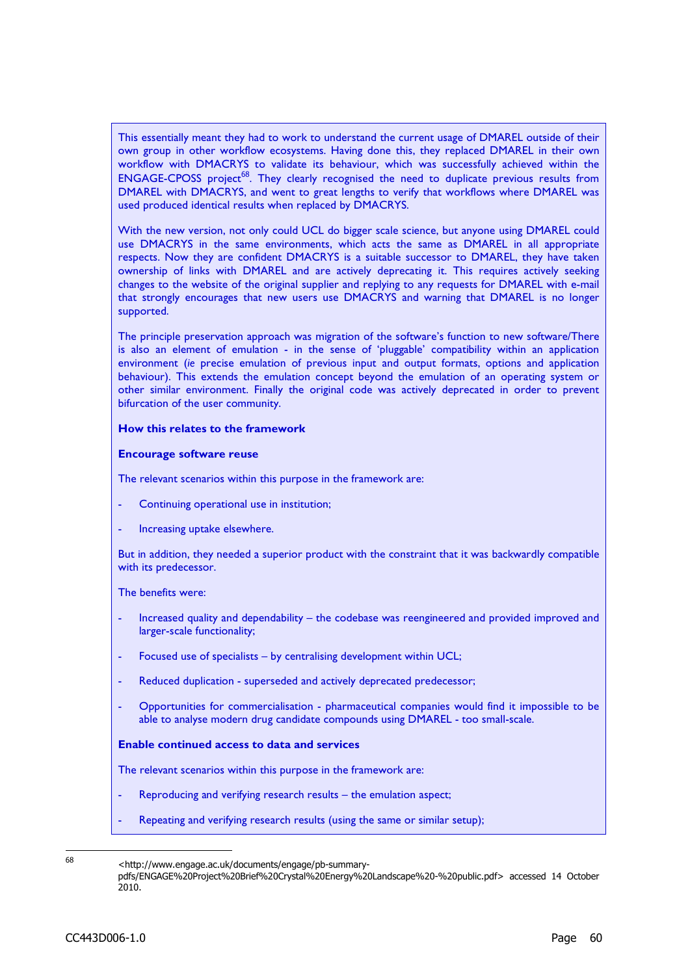This essentially meant they had to work to understand the current usage of DMAREL outside of their own group in other workflow ecosystems. Having done this, they replaced DMAREL in their own workflow with DMACRYS to validate its behaviour, which was successfully achieved within the ENGAGE-CPOSS project<sup>68</sup>. They clearly recognised the need to duplicate previous results from DMAREL with DMACRYS, and went to great lengths to verify that workflows where DMAREL was used produced identical results when replaced by DMACRYS.

With the new version, not only could UCL do bigger scale science, but anyone using DMAREL could use DMACRYS in the same environments, which acts the same as DMAREL in all appropriate respects. Now they are confident DMACRYS is a suitable successor to DMAREL, they have taken ownership of links with DMAREL and are actively deprecating it. This requires actively seeking changes to the website of the original supplier and replying to any requests for DMAREL with e-mail that strongly encourages that new users use DMACRYS and warning that DMAREL is no longer supported.

The principle preservation approach was migration of the software's function to new software/There is also an element of emulation - in the sense of 'pluggable' compatibility within an application environment (*ie* precise emulation of previous input and output formats, options and application behaviour). This extends the emulation concept beyond the emulation of an operating system or other similar environment. Finally the original code was actively deprecated in order to prevent bifurcation of the user community.

#### **How this relates to the framework**

#### **Encourage software reuse**

The relevant scenarios within this purpose in the framework are:

- Continuing operational use in institution;
- Increasing uptake elsewhere.

But in addition, they needed a superior product with the constraint that it was backwardly compatible with its predecessor.

The benefits were:

- Increased quality and dependability the codebase was reengineered and provided improved and larger-scale functionality;
- Focused use of specialists  $-$  by centralising development within UCL;
- Reduced duplication superseded and actively deprecated predecessor;
- Opportunities for commercialisation pharmaceutical companies would find it impossible to be able to analyse modern drug candidate compounds using DMAREL - too small-scale.

#### **Enable continued access to data and services**

The relevant scenarios within this purpose in the framework are:

- Reproducing and verifying research results  $-$  the emulation aspect;
- Repeating and verifying research results (using the same or similar setup);

-68

 <sup>&</sup>lt;http://www.engage.ac.uk/documents/engage/pb-summary-

pdfs/ENGAGE%20Project%20Brief%20Crystal%20Energy%20Landscape%20-%20public.pdf> accessed 14 October 2010.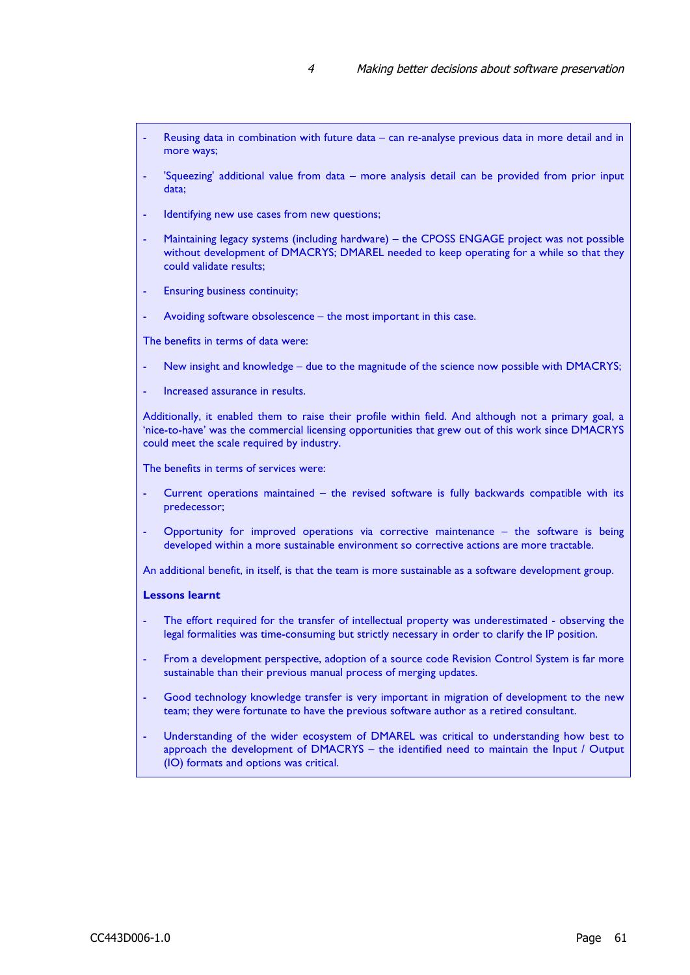- Reusing data in combination with future data can re-analyse previous data in more detail and in more ways;
- 'Squeezing' additional value from data more analysis detail can be provided from prior input data;
- Identifying new use cases from new questions;
- Maintaining legacy systems (including hardware) the CPOSS ENGAGE project was not possible without development of DMACRYS; DMAREL needed to keep operating for a while so that they could validate results;
- Ensuring business continuity;
- Avoiding software obsolescence the most important in this case.

The benefits in terms of data were:

- New insight and knowledge due to the magnitude of the science now possible with DMACRYS;
- Increased assurance in results.

Additionally, it enabled them to raise their profile within field. And although not a primary goal, a 'nice-to-have' was the commercial licensing opportunities that grew out of this work since DMACRYS could meet the scale required by industry.

The benefits in terms of services were:

- Current operations maintained the revised software is fully backwards compatible with its predecessor;
- Opportunity for improved operations via corrective maintenance  $-$  the software is being developed within a more sustainable environment so corrective actions are more tractable.

An additional benefit, in itself, is that the team is more sustainable as a software development group.

#### **Lessons learnt**

- The effort required for the transfer of intellectual property was underestimated observing the legal formalities was time-consuming but strictly necessary in order to clarify the IP position.
- From a development perspective, adoption of a source code Revision Control System is far more sustainable than their previous manual process of merging updates.
- Good technology knowledge transfer is very important in migration of development to the new team; they were fortunate to have the previous software author as a retired consultant.
- Understanding of the wider ecosystem of DMAREL was critical to understanding how best to approach the development of DMACRYS – the identified need to maintain the Input / Output (IO) formats and options was critical.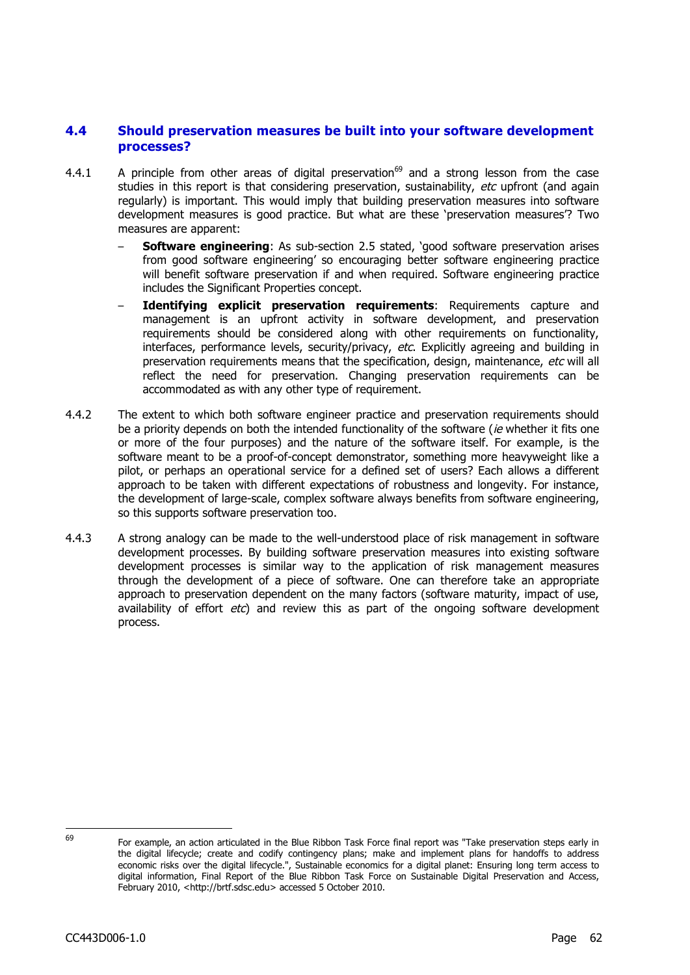# **4.4 Should preservation measures be built into your software development processes?**

- 4.4.1 A principle from other areas of digital preservation<sup>69</sup> and a strong lesson from the case studies in this report is that considering preservation, sustainability, etc upfront (and again regularly) is important. This would imply that building preservation measures into software development measures is good practice. But what are these 'preservation measures'? Two measures are apparent:
	- **Software engineering**: As sub-section 2.5 stated, 'good software preservation arises from good software engineering' so encouraging better software engineering practice will benefit software preservation if and when required. Software engineering practice includes the Significant Properties concept.
	- **Identifying explicit preservation requirements**: Requirements capture and management is an upfront activity in software development, and preservation requirements should be considered along with other requirements on functionality, interfaces, performance levels, security/privacy, etc. Explicitly agreeing and building in preservation requirements means that the specification, design, maintenance, etc will all reflect the need for preservation. Changing preservation requirements can be accommodated as with any other type of requirement.
- 4.4.2 The extent to which both software engineer practice and preservation requirements should be a priority depends on both the intended functionality of the software *(ie* whether it fits one or more of the four purposes) and the nature of the software itself. For example, is the software meant to be a proof-of-concept demonstrator, something more heavyweight like a pilot, or perhaps an operational service for a defined set of users? Each allows a different approach to be taken with different expectations of robustness and longevity. For instance, the development of large-scale, complex software always benefits from software engineering, so this supports software preservation too.
- 4.4.3 A strong analogy can be made to the well-understood place of risk management in software development processes. By building software preservation measures into existing software development processes is similar way to the application of risk management measures through the development of a piece of software. One can therefore take an appropriate approach to preservation dependent on the many factors (software maturity, impact of use, availability of effort  $etc$ ) and review this as part of the ongoing software development process.

<sup>—&</sup>lt;br>69

For example, an action articulated in the Blue Ribbon Task Force final report was "Take preservation steps early in the digital lifecycle; create and codify contingency plans; make and implement plans for handoffs to address economic risks over the digital lifecycle.", Sustainable economics for a digital planet: Ensuring long term access to digital information, Final Report of the Blue Ribbon Task Force on Sustainable Digital Preservation and Access, February 2010, <http://brtf.sdsc.edu> accessed 5 October 2010.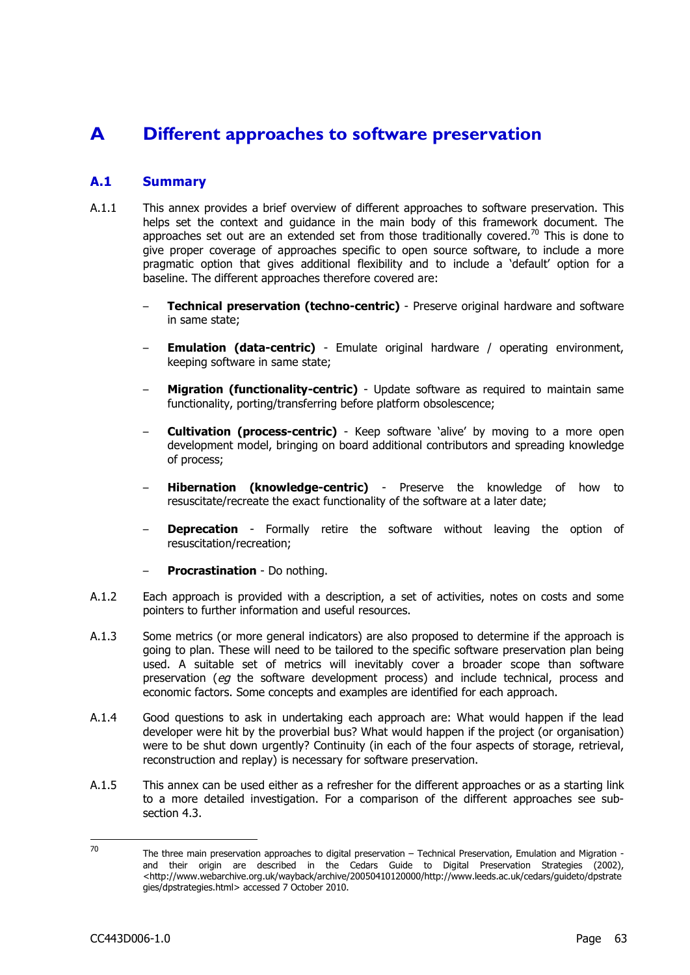# **A Different approaches to software preservation**

# **A.1 Summary**

- A.1.1 This annex provides a brief overview of different approaches to software preservation. This helps set the context and guidance in the main body of this framework document. The approaches set out are an extended set from those traditionally covered.<sup>70</sup> This is done to give proper coverage of approaches specific to open source software, to include a more pragmatic option that gives additional flexibility and to include a 'default' option for a baseline. The different approaches therefore covered are:
	- **Technical preservation (techno-centric)** Preserve original hardware and software in same state;
	- **Emulation (data-centric)** Emulate original hardware / operating environment, keeping software in same state;
	- **Migration (functionality-centric)** Update software as required to maintain same functionality, porting/transferring before platform obsolescence;
	- **Cultivation (process-centric)** Keep software 'alive' by moving to a more open development model, bringing on board additional contributors and spreading knowledge of process;
	- **Hibernation (knowledge-centric)** Preserve the knowledge of how to resuscitate/recreate the exact functionality of the software at a later date;
	- **Deprecation** Formally retire the software without leaving the option of resuscitation/recreation;
	- **Procrastination** Do nothing.
- A.1.2 Each approach is provided with a description, a set of activities, notes on costs and some pointers to further information and useful resources.
- A.1.3 Some metrics (or more general indicators) are also proposed to determine if the approach is going to plan. These will need to be tailored to the specific software preservation plan being used. A suitable set of metrics will inevitably cover a broader scope than software preservation (eg the software development process) and include technical, process and economic factors. Some concepts and examples are identified for each approach.
- A.1.4 Good questions to ask in undertaking each approach are: What would happen if the lead developer were hit by the proverbial bus? What would happen if the project (or organisation) were to be shut down urgently? Continuity (in each of the four aspects of storage, retrieval, reconstruction and replay) is necessary for software preservation.
- A.1.5 This annex can be used either as a refresher for the different approaches or as a starting link to a more detailed investigation. For a comparison of the different approaches see subsection 4.3.

 $\frac{1}{70}$ The three main preservation approaches to digital preservation - Technical Preservation, Emulation and Migration and their origin are described in the Cedars Guide to Digital Preservation Strategies (2002), <http://www.webarchive.org.uk/wayback/archive/20050410120000/http://www.leeds.ac.uk/cedars/guideto/dpstrate gies/dpstrategies.html> accessed 7 October 2010.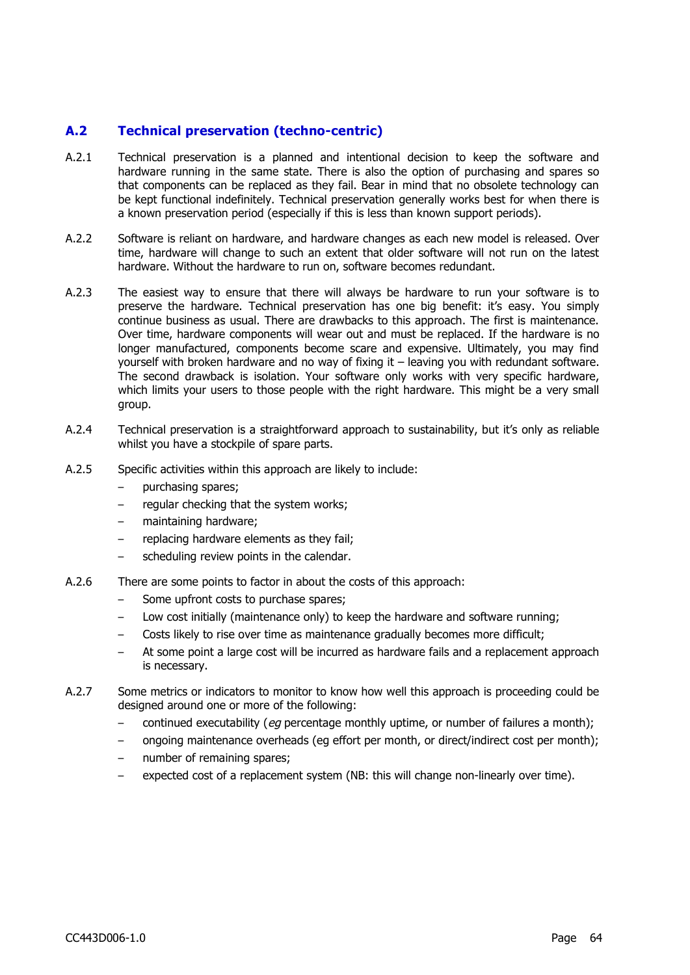# **A.2 Technical preservation (techno-centric)**

- A.2.1 Technical preservation is a planned and intentional decision to keep the software and hardware running in the same state. There is also the option of purchasing and spares so that components can be replaced as they fail. Bear in mind that no obsolete technology can be kept functional indefinitely. Technical preservation generally works best for when there is a known preservation period (especially if this is less than known support periods).
- A.2.2 Software is reliant on hardware, and hardware changes as each new model is released. Over time, hardware will change to such an extent that older software will not run on the latest hardware. Without the hardware to run on, software becomes redundant.
- A.2.3 The easiest way to ensure that there will always be hardware to run your software is to preserve the hardware. Technical preservation has one big benefit: it's easy. You simply continue business as usual. There are drawbacks to this approach. The first is maintenance. Over time, hardware components will wear out and must be replaced. If the hardware is no longer manufactured, components become scare and expensive. Ultimately, you may find yourself with broken hardware and no way of fixing it – leaving you with redundant software. The second drawback is isolation. Your software only works with very specific hardware, which limits your users to those people with the right hardware. This might be a very small group.
- A.2.4 Technical preservation is a straightforward approach to sustainability, but it's only as reliable whilst you have a stockpile of spare parts.
- A.2.5 Specific activities within this approach are likely to include:
	- purchasing spares;
	- regular checking that the system works;
	- maintaining hardware;
	- replacing hardware elements as they fail;
	- scheduling review points in the calendar.
- A.2.6 There are some points to factor in about the costs of this approach:
	- Some upfront costs to purchase spares;
	- Low cost initially (maintenance only) to keep the hardware and software running;
	- Costs likely to rise over time as maintenance gradually becomes more difficult;
	- At some point a large cost will be incurred as hardware fails and a replacement approach is necessary.
- A.2.7 Some metrics or indicators to monitor to know how well this approach is proceeding could be designed around one or more of the following:
	- continued executability (eq percentage monthly uptime, or number of failures a month);
	- ongoing maintenance overheads (eg effort per month, or direct/indirect cost per month);
	- number of remaining spares;
	- expected cost of a replacement system (NB: this will change non-linearly over time).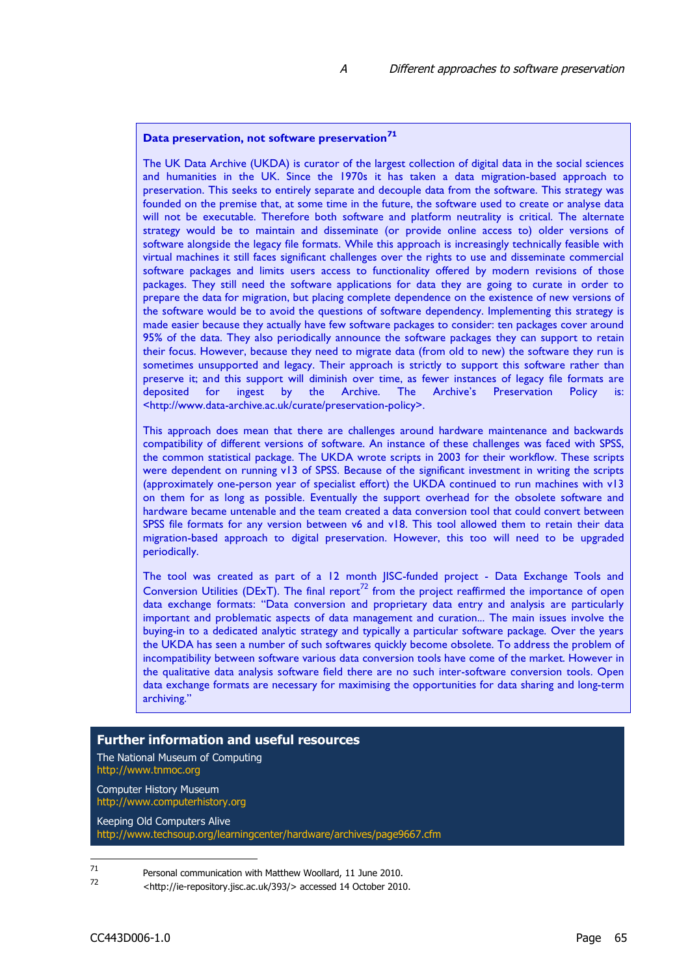### **Data preservation, not software preservation<sup>71</sup>**

The UK Data Archive (UKDA) is curator of the largest collection of digital data in the social sciences and humanities in the UK. Since the 1970s it has taken a data migration-based approach to preservation. This seeks to entirely separate and decouple data from the software. This strategy was founded on the premise that, at some time in the future, the software used to create or analyse data will not be executable. Therefore both software and platform neutrality is critical. The alternate strategy would be to maintain and disseminate (or provide online access to) older versions of software alongside the legacy file formats. While this approach is increasingly technically feasible with virtual machines it still faces significant challenges over the rights to use and disseminate commercial software packages and limits users access to functionality offered by modern revisions of those packages. They still need the software applications for data they are going to curate in order to prepare the data for migration, but placing complete dependence on the existence of new versions of the software would be to avoid the questions of software dependency. Implementing this strategy is made easier because they actually have few software packages to consider: ten packages cover around 95% of the data. They also periodically announce the software packages they can support to retain their focus. However, because they need to migrate data (from old to new) the software they run is sometimes unsupported and legacy. Their approach is strictly to support this software rather than preserve it; and this support will diminish over time, as fewer instances of legacy file formats are deposited for ingest by the Archive. The Archive's Preservation Policy is: <http://www.data-archive.ac.uk/curate/preservation-policy>.

This approach does mean that there are challenges around hardware maintenance and backwards compatibility of different versions of software. An instance of these challenges was faced with SPSS, the common statistical package. The UKDA wrote scripts in 2003 for their workflow. These scripts were dependent on running v13 of SPSS. Because of the significant investment in writing the scripts (approximately one-person year of specialist effort) the UKDA continued to run machines with v13 on them for as long as possible. Eventually the support overhead for the obsolete software and hardware became untenable and the team created a data conversion tool that could convert between SPSS file formats for any version between v6 and v18. This tool allowed them to retain their data migration-based approach to digital preservation. However, this too will need to be upgraded periodically.

The tool was created as part of a 12 month JISC-funded project - Data Exchange Tools and Conversion Utilities (DExT). The final report<sup>72</sup> from the project reaffirmed the importance of open data exchange formats: "Data conversion and proprietary data entry and analysis are particularly important and problematic aspects of data management and curation... The main issues involve the buying-in to a dedicated analytic strategy and typically a particular software package. Over the years the UKDA has seen a number of such softwares quickly become obsolete. To address the problem of incompatibility between software various data conversion tools have come of the market. However in the qualitative data analysis software field there are no such inter-software conversion tools. Open data exchange formats are necessary for maximising the opportunities for data sharing and long-term archiving."

### **Further information and useful resources**

The National Museum of Computing http://www.tnmoc.org

Computer History Museum http://www.computerhistory.org

Keeping Old Computers Alive http://www.techsoup.org/learningcenter/hardware/archives/page9667.cfm

 $\frac{1}{71}$  Personal communication with Matthew Woollard, 11 June 2010. 72

 <sup>&</sup>lt;http://ie-repository.jisc.ac.uk/393/> accessed 14 October 2010.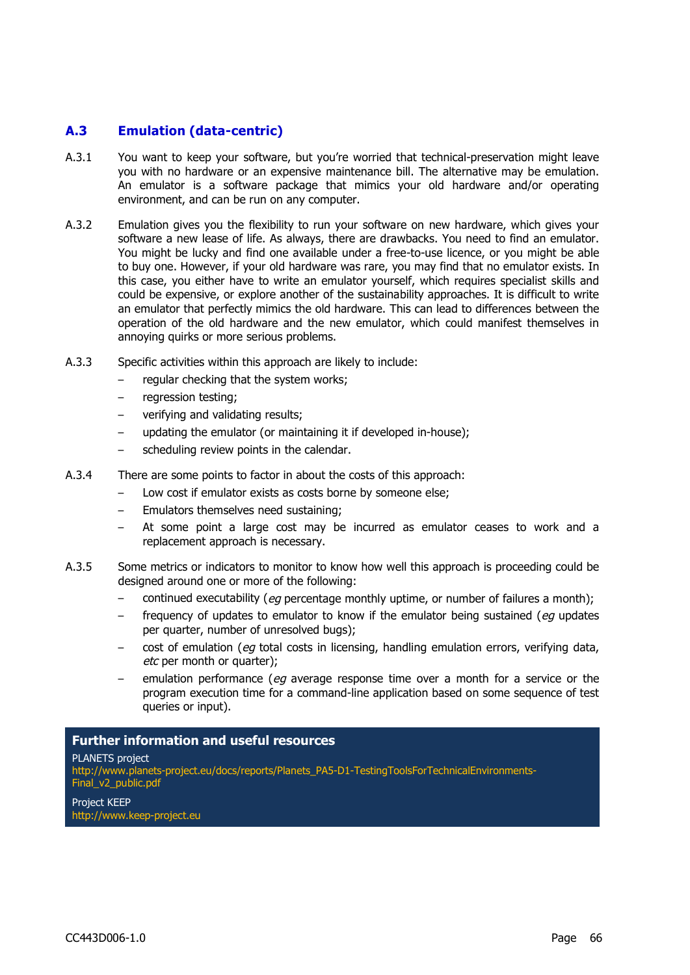# **A.3 Emulation (data-centric)**

- A.3.1 You want to keep your software, but you're worried that technical-preservation might leave you with no hardware or an expensive maintenance bill. The alternative may be emulation. An emulator is a software package that mimics your old hardware and/or operating environment, and can be run on any computer.
- A.3.2 Emulation gives you the flexibility to run your software on new hardware, which gives your software a new lease of life. As always, there are drawbacks. You need to find an emulator. You might be lucky and find one available under a free-to-use licence, or you might be able to buy one. However, if your old hardware was rare, you may find that no emulator exists. In this case, you either have to write an emulator yourself, which requires specialist skills and could be expensive, or explore another of the sustainability approaches. It is difficult to write an emulator that perfectly mimics the old hardware. This can lead to differences between the operation of the old hardware and the new emulator, which could manifest themselves in annoying quirks or more serious problems.
- A.3.3 Specific activities within this approach are likely to include:
	- regular checking that the system works;
	- regression testing;
	- verifying and validating results;
	- updating the emulator (or maintaining it if developed in-house);
	- scheduling review points in the calendar.
- A.3.4 There are some points to factor in about the costs of this approach:
	- Low cost if emulator exists as costs borne by someone else;
	- Emulators themselves need sustaining;
	- At some point a large cost may be incurred as emulator ceases to work and a replacement approach is necessary.
- A.3.5 Some metrics or indicators to monitor to know how well this approach is proceeding could be designed around one or more of the following:
	- continued executability (eg percentage monthly uptime, or number of failures a month);
	- $-$  frequency of updates to emulator to know if the emulator being sustained (eq updates per quarter, number of unresolved bugs);
	- cost of emulation (eq total costs in licensing, handling emulation errors, verifying data, etc per month or quarter);
	- emulation performance (eq average response time over a month for a service or the program execution time for a command-line application based on some sequence of test queries or input).

# **Further information and useful resources**

# PI ANFTS project http://www.planets-project.eu/docs/reports/Planets\_PA5-D1-TestingToolsForTechnicalEnvironments-Final\_v2\_public.pdf

Project KEEP http://www.keep-project.eu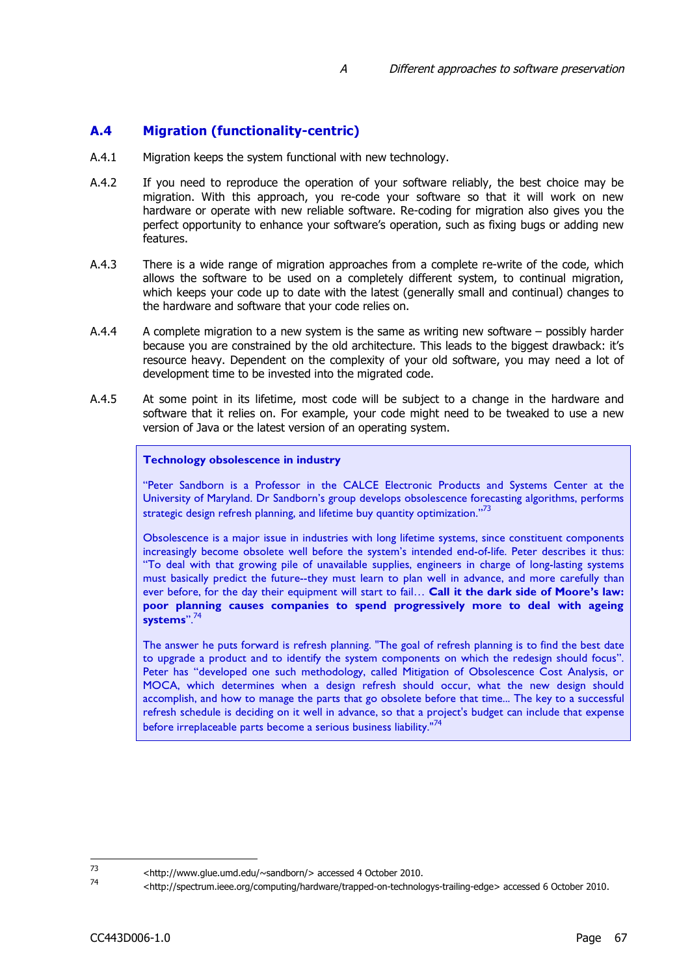# **A.4 Migration (functionality-centric)**

- A.4.1 Migration keeps the system functional with new technology.
- A.4.2 If you need to reproduce the operation of your software reliably, the best choice may be migration. With this approach, you re-code your software so that it will work on new hardware or operate with new reliable software. Re-coding for migration also gives you the perfect opportunity to enhance your software's operation, such as fixing bugs or adding new features.
- A.4.3 There is a wide range of migration approaches from a complete re-write of the code, which allows the software to be used on a completely different system, to continual migration, which keeps your code up to date with the latest (generally small and continual) changes to the hardware and software that your code relies on.
- A.4.4 A complete migration to a new system is the same as writing new software possibly harder because you are constrained by the old architecture. This leads to the biggest drawback: it's resource heavy. Dependent on the complexity of your old software, you may need a lot of development time to be invested into the migrated code.
- A.4.5 At some point in its lifetime, most code will be subject to a change in the hardware and software that it relies on. For example, your code might need to be tweaked to use a new version of Java or the latest version of an operating system.

#### **Technology obsolescence in industry**

"Peter Sandborn is a Professor in the CALCE Electronic Products and Systems Center at the University of Maryland. Dr Sandborn's group develops obsolescence forecasting algorithms, performs strategic design refresh planning, and lifetime buy quantity optimization."<sup>73</sup>

Obsolescence is a major issue in industries with long lifetime systems, since constituent components increasingly become obsolete well before the system's intended end-of-life. Peter describes it thus: "To deal with that growing pile of unavailable supplies, engineers in charge of long-lasting systems must basically predict the future--they must learn to plan well in advance, and more carefully than ever before, for the day their equipment will start to fail… **Call it the dark side of Moore's law: poor planning causes companies to spend progressively more to deal with ageing systems**".<sup>74</sup>

The answer he puts forward is refresh planning. "The goal of refresh planning is to find the best date to upgrade a product and to identify the system components on which the redesign should focus". Peter has "developed one such methodology, called Mitigation of Obsolescence Cost Analysis, or MOCA, which determines when a design refresh should occur, what the new design should accomplish, and how to manage the parts that go obsolete before that time... The key to a successful refresh schedule is deciding on it well in advance, so that a project's budget can include that expense before irreplaceable parts become a serious business liability."<sup>74</sup>

 $\frac{1}{73}$ 

74

 <sup>&</sup>lt;http://www.glue.umd.edu/~sandborn/> accessed 4 October 2010.

<sup>&</sup>lt;http://spectrum.ieee.org/computing/hardware/trapped-on-technologys-trailing-edge> accessed 6 October 2010.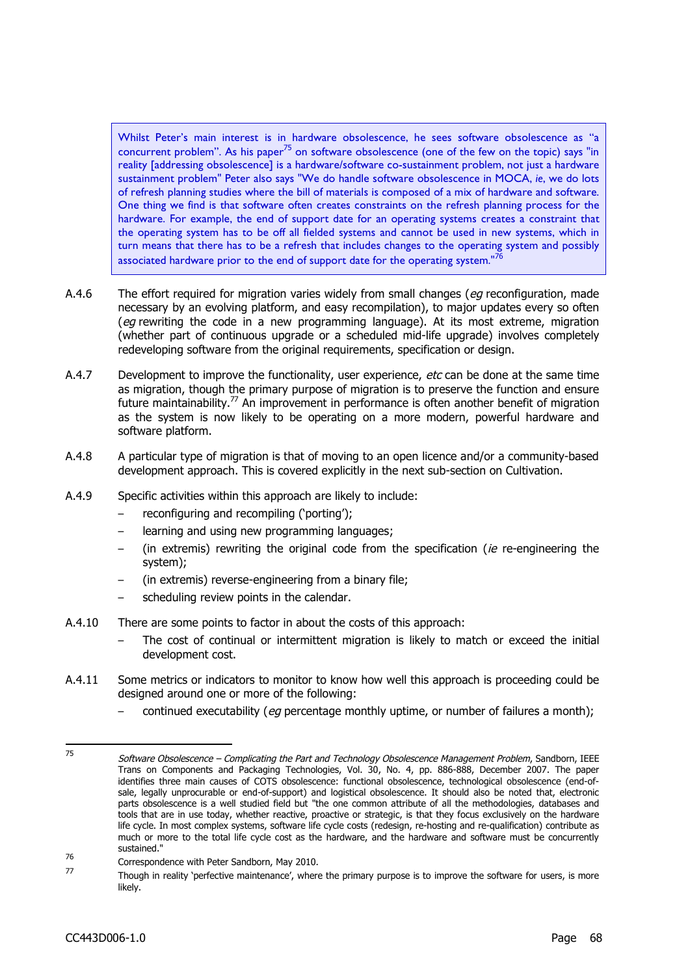Whilst Peter's main interest is in hardware obsolescence, he sees software obsolescence as "a concurrent problem". As his paper<sup>75</sup> on software obsolescence (one of the few on the topic) says "in reality [addressing obsolescence] is a hardware/software co-sustainment problem, not just a hardware sustainment problem" Peter also says "We do handle software obsolescence in MOCA, *ie*, we do lots of refresh planning studies where the bill of materials is composed of a mix of hardware and software. One thing we find is that software often creates constraints on the refresh planning process for the hardware. For example, the end of support date for an operating systems creates a constraint that the operating system has to be off all fielded systems and cannot be used in new systems, which in turn means that there has to be a refresh that includes changes to the operating system and possibly associated hardware prior to the end of support date for the operating system."<sup>76</sup>

- A.4.6 The effort required for migration varies widely from small changes (eg reconfiguration, made necessary by an evolving platform, and easy recompilation), to major updates every so often (eg rewriting the code in a new programming language). At its most extreme, migration (whether part of continuous upgrade or a scheduled mid-life upgrade) involves completely redeveloping software from the original requirements, specification or design.
- A.4.7 Development to improve the functionality, user experience, *etc* can be done at the same time as migration, though the primary purpose of migration is to preserve the function and ensure future maintainability.<sup>77</sup> An improvement in performance is often another benefit of migration as the system is now likely to be operating on a more modern, powerful hardware and software platform.
- A.4.8 A particular type of migration is that of moving to an open licence and/or a community-based development approach. This is covered explicitly in the next sub-section on Cultivation.
- A.4.9 Specific activities within this approach are likely to include:
	- reconfiguring and recompiling ('porting');
	- learning and using new programming languages;
	- (in extremis) rewriting the original code from the specification ( $ie$  re-engineering the system);
	- (in extremis) reverse-engineering from a binary file;
	- scheduling review points in the calendar.
- A.4.10 There are some points to factor in about the costs of this approach:
	- The cost of continual or intermittent migration is likely to match or exceed the initial development cost.
- A.4.11 Some metrics or indicators to monitor to know how well this approach is proceeding could be designed around one or more of the following:
	- continued executability (eq percentage monthly uptime, or number of failures a month);

<sup>—&</sup>lt;br>75 Software Obsolescence – Complicating the Part and Technology Obsolescence Management Problem, Sandborn, IEEE Trans on Components and Packaging Technologies, Vol. 30, No. 4, pp. 886-888, December 2007. The paper identifies three main causes of COTS obsolescence: functional obsolescence, technological obsolescence (end-ofsale, legally unprocurable or end-of-support) and logistical obsolescence. It should also be noted that, electronic parts obsolescence is a well studied field but "the one common attribute of all the methodologies, databases and tools that are in use today, whether reactive, proactive or strategic, is that they focus exclusively on the hardware life cycle. In most complex systems, software life cycle costs (redesign, re-hosting and re-qualification) contribute as much or more to the total life cycle cost as the hardware, and the hardware and software must be concurrently sustained."

<sup>76</sup> Correspondence with Peter Sandborn, May 2010. 77

Though in reality 'perfective maintenance', where the primary purpose is to improve the software for users, is more likely.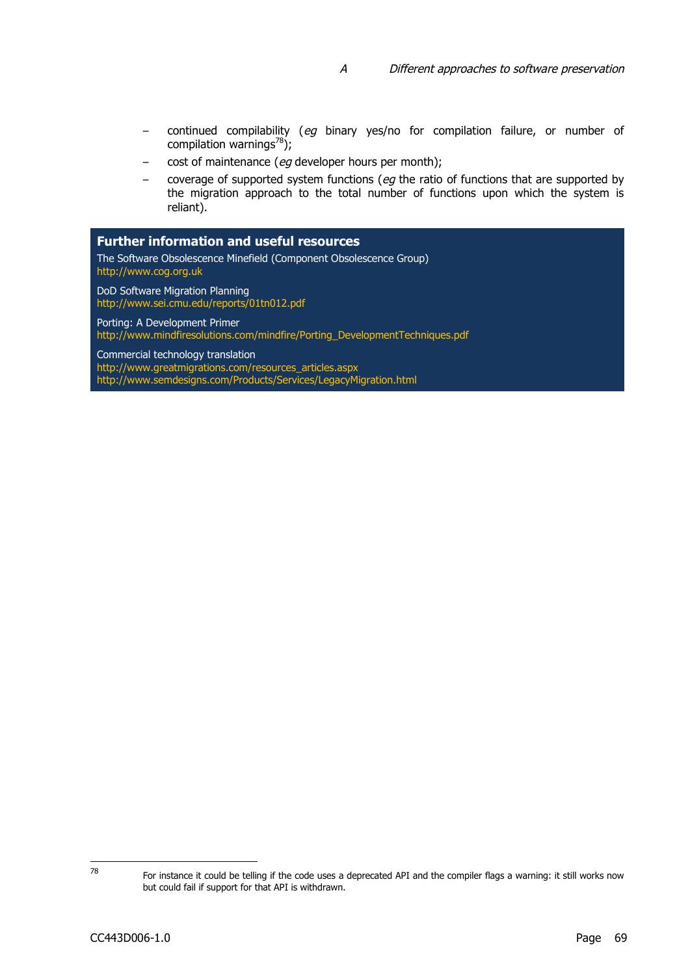- continued compilability (eg binary yes/no for compilation failure, or number of compilation warnings $^{78}$ );
- cost of maintenance (eq developer hours per month);
- coverage of supported system functions (eg the ratio of functions that are supported by the migration approach to the total number of functions upon which the system is reliant).

### **Further information and useful resources**

The Software Obsolescence Minefield (Component Obsolescence Group) http://www.cog.org.uk

DoD Software Migration Planning http://www.sei.cmu.edu/reports/01tn012.pdf

Porting: A Development Primer http://www.mindfiresolutions.com/mindfire/Porting\_DevelopmentTechniques.pdf

Commercial technology translation http://www.greatmigrations.com/resources\_articles.aspx http://www.semdesigns.com/Products/Services/LegacyMigration.html

 $\frac{1}{78}$ 

For instance it could be telling if the code uses a deprecated API and the compiler flags a warning: it still works now but could fail if support for that API is withdrawn.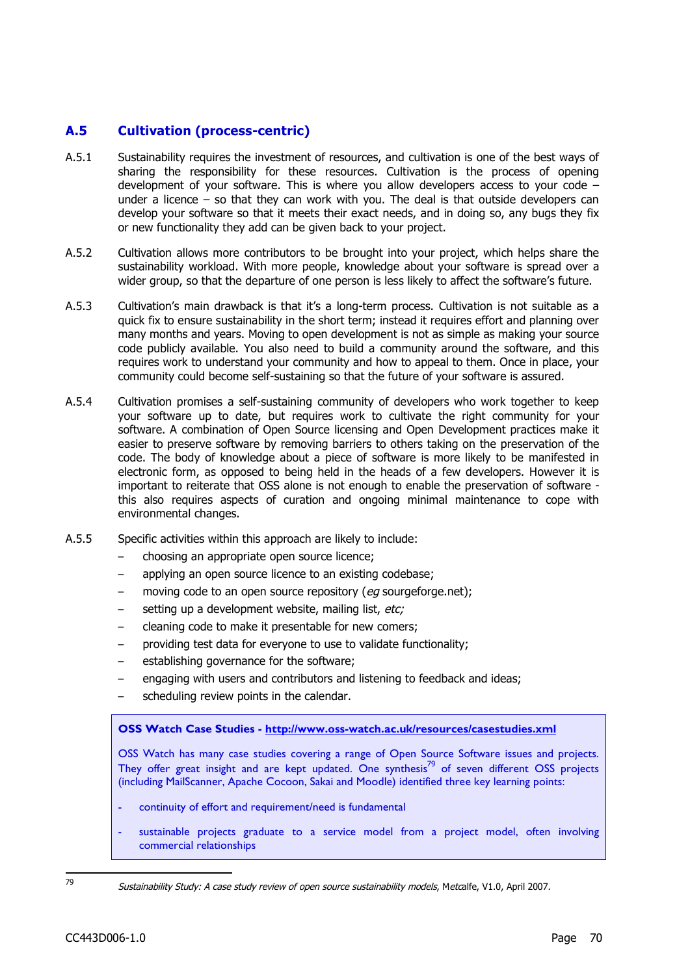# **A.5 Cultivation (process-centric)**

- A.5.1 Sustainability requires the investment of resources, and cultivation is one of the best ways of sharing the responsibility for these resources. Cultivation is the process of opening development of your software. This is where you allow developers access to your code – under a licence – so that they can work with you. The deal is that outside developers can develop your software so that it meets their exact needs, and in doing so, any bugs they fix or new functionality they add can be given back to your project.
- A.5.2 Cultivation allows more contributors to be brought into your project, which helps share the sustainability workload. With more people, knowledge about your software is spread over a wider group, so that the departure of one person is less likely to affect the software's future.
- A.5.3 Cultivation's main drawback is that it's a long-term process. Cultivation is not suitable as a quick fix to ensure sustainability in the short term; instead it requires effort and planning over many months and years. Moving to open development is not as simple as making your source code publicly available. You also need to build a community around the software, and this requires work to understand your community and how to appeal to them. Once in place, your community could become self-sustaining so that the future of your software is assured.
- A.5.4 Cultivation promises a self-sustaining community of developers who work together to keep your software up to date, but requires work to cultivate the right community for your software. A combination of Open Source licensing and Open Development practices make it easier to preserve software by removing barriers to others taking on the preservation of the code. The body of knowledge about a piece of software is more likely to be manifested in electronic form, as opposed to being held in the heads of a few developers. However it is important to reiterate that OSS alone is not enough to enable the preservation of software this also requires aspects of curation and ongoing minimal maintenance to cope with environmental changes.
- A.5.5 Specific activities within this approach are likely to include:
	- choosing an appropriate open source licence;
	- applying an open source licence to an existing codebase;
	- moving code to an open source repository (eq sourgeforge.net);
	- setting up a development website, mailing list, etc;
	- cleaning code to make it presentable for new comers;
	- providing test data for everyone to use to validate functionality;
	- establishing governance for the software;
	- engaging with users and contributors and listening to feedback and ideas;
	- scheduling review points in the calendar.

### **OSS Watch Case Studies - <http://www.oss-watch.ac.uk/resources/casestudies.xml>**

OSS Watch has many case studies covering a range of Open Source Software issues and projects. They offer great insight and are kept updated. One synthesis<sup>79</sup> of seven different OSS projects (including MailScanner, Apache Cocoon, Sakai and Moodle) identified three key learning points:

- continuity of effort and requirement/need is fundamental
- sustainable projects graduate to a service model from a project model, often involving commercial relationships

—<br>79

Sustainability Study: A case study review of open source sustainability models, Metcalfe, V1.0, April 2007.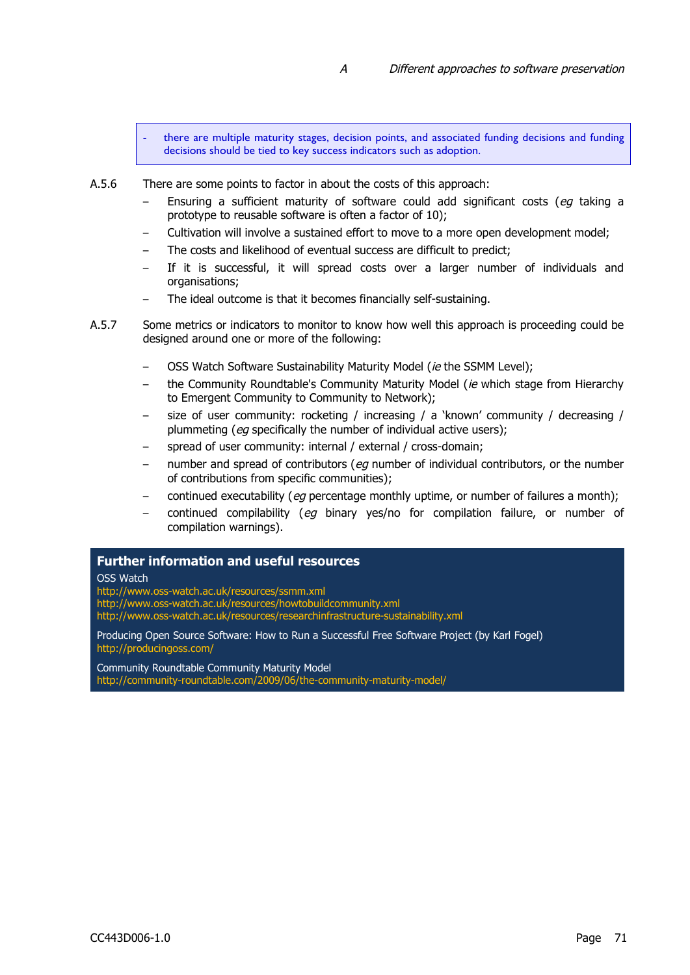- there are multiple maturity stages, decision points, and associated funding decisions and funding decisions should be tied to key success indicators such as adoption.
- A.5.6 There are some points to factor in about the costs of this approach:
	- Ensuring a sufficient maturity of software could add significant costs (eq taking a prototype to reusable software is often a factor of 10);
	- Cultivation will involve a sustained effort to move to a more open development model;
	- The costs and likelihood of eventual success are difficult to predict;
	- If it is successful, it will spread costs over a larger number of individuals and organisations;
	- The ideal outcome is that it becomes financially self-sustaining.
- A.5.7 Some metrics or indicators to monitor to know how well this approach is proceeding could be designed around one or more of the following:
	- OSS Watch Software Sustainability Maturity Model (*ie* the SSMM Level);
	- the Community Roundtable's Community Maturity Model (ie which stage from Hierarchy to Emergent Community to Community to Network);
	- size of user community: rocketing / increasing / a 'known' community / decreasing / plummeting (eg specifically the number of individual active users);
	- spread of user community: internal / external / cross-domain;
	- number and spread of contributors (eq number of individual contributors, or the number of contributions from specific communities);
	- continued executability (eg percentage monthly uptime, or number of failures a month);
	- continued compilability (eq binary yes/no for compilation failure, or number of compilation warnings).

# **Further information and useful resources**

#### OSS Watch

http://www.oss-watch.ac.uk/resources/ssmm.xml http://www.oss-watch.ac.uk/resources/howtobuildcommunity.xml http://www.oss-watch.ac.uk/resources/researchinfrastructure-sustainability.xml

Producing Open Source Software: How to Run a Successful Free Software Project (by Karl Fogel) http://producingoss.com/

Community Roundtable Community Maturity Model http://community-roundtable.com/2009/06/the-community-maturity-model/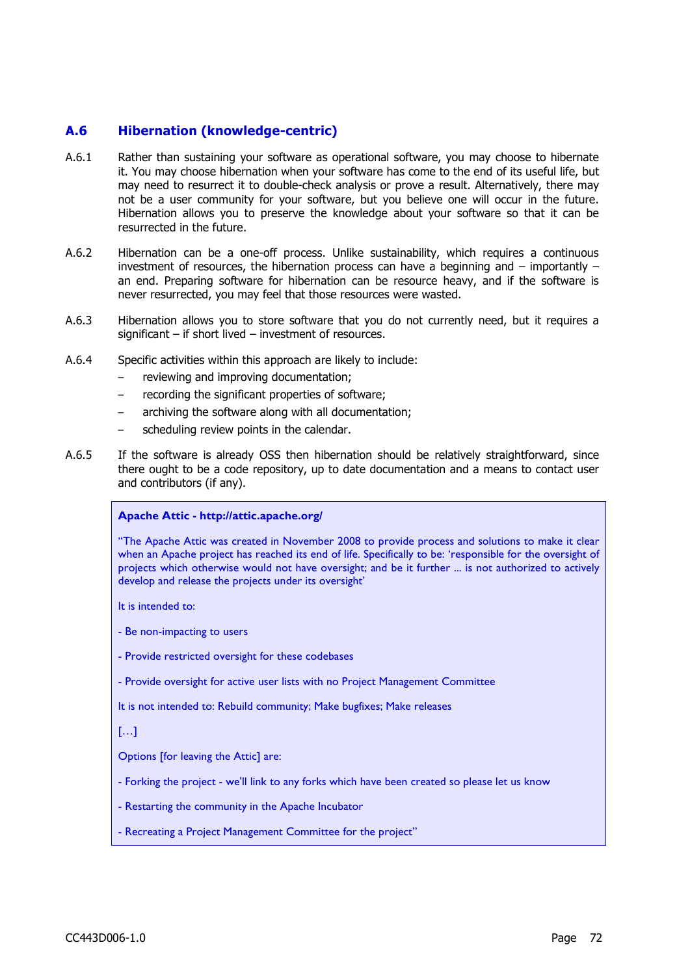# **A.6 Hibernation (knowledge-centric)**

- A.6.1 Rather than sustaining your software as operational software, you may choose to hibernate it. You may choose hibernation when your software has come to the end of its useful life, but may need to resurrect it to double-check analysis or prove a result. Alternatively, there may not be a user community for your software, but you believe one will occur in the future. Hibernation allows you to preserve the knowledge about your software so that it can be resurrected in the future.
- A.6.2 Hibernation can be a one-off process. Unlike sustainability, which requires a continuous investment of resources, the hibernation process can have a beginning and  $-$  importantly  $$ an end. Preparing software for hibernation can be resource heavy, and if the software is never resurrected, you may feel that those resources were wasted.
- A.6.3 Hibernation allows you to store software that you do not currently need, but it requires a significant – if short lived – investment of resources.
- A.6.4 Specific activities within this approach are likely to include:
	- reviewing and improving documentation;
	- recording the significant properties of software;
	- archiving the software along with all documentation;
	- scheduling review points in the calendar.
- A.6.5 If the software is already OSS then hibernation should be relatively straightforward, since there ought to be a code repository, up to date documentation and a means to contact user and contributors (if any).

### **Apache Attic - http://attic.apache.org/**

"The Apache Attic was created in November 2008 to provide process and solutions to make it clear when an Apache project has reached its end of life. Specifically to be: 'responsible for the oversight of projects which otherwise would not have oversight; and be it further ... is not authorized to actively develop and release the projects under its oversight'

It is intended to:

- Be non-impacting to users
- Provide restricted oversight for these codebases
- Provide oversight for active user lists with no Project Management Committee

It is not intended to: Rebuild community; Make bugfixes; Make releases

### […]

Options [for leaving the Attic] are:

- Forking the project we'll link to any forks which have been created so please let us know
- Restarting the community in the Apache Incubator
- Recreating a Project Management Committee for the project"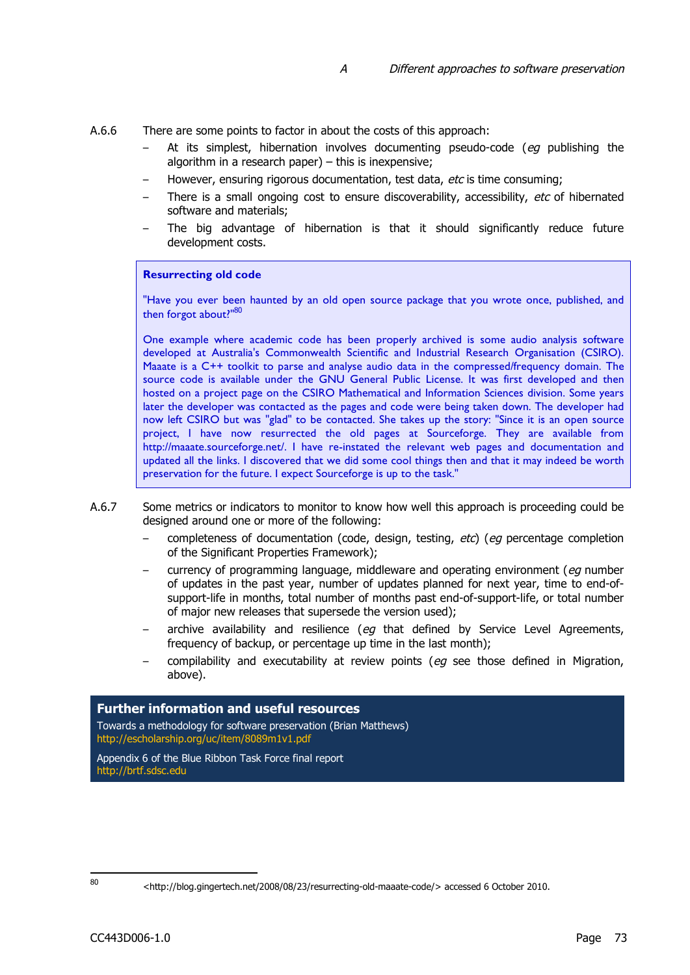- A.6.6 There are some points to factor in about the costs of this approach:
	- At its simplest, hibernation involves documenting pseudo-code (eq publishing the algorithm in a research paper) – this is inexpensive;
	- However, ensuring rigorous documentation, test data, etc is time consuming;
	- There is a small ongoing cost to ensure discoverability, accessibility, etc of hibernated software and materials;
	- The big advantage of hibernation is that it should significantly reduce future development costs.

## **Resurrecting old code**

"Have you ever been haunted by an old open source package that you wrote once, published, and then forgot about?"80

One example where academic code has been properly archived is some audio analysis software developed at Australia's Commonwealth Scientific and Industrial Research Organisation (CSIRO). Maaate is a C++ toolkit to parse and analyse audio data in the compressed/frequency domain. The source code is available under the GNU General Public License. It was first developed and then hosted on a project page on the CSIRO Mathematical and Information Sciences division. Some years later the developer was contacted as the pages and code were being taken down. The developer had now left CSIRO but was "glad" to be contacted. She takes up the story: "Since it is an open source project, I have now resurrected the old pages at Sourceforge. They are available from http://maaate.sourceforge.net/. I have re-instated the relevant web pages and documentation and updated all the links. I discovered that we did some cool things then and that it may indeed be worth preservation for the future. I expect Sourceforge is up to the task."

- A.6.7 Some metrics or indicators to monitor to know how well this approach is proceeding could be designed around one or more of the following:
	- completeness of documentation (code, design, testing, etc) (eg percentage completion of the Significant Properties Framework):
	- currency of programming language, middleware and operating environment (eq number of updates in the past year, number of updates planned for next year, time to end-ofsupport-life in months, total number of months past end-of-support-life, or total number of major new releases that supersede the version used);
	- archive availability and resilience ( $eq$  that defined by Service Level Agreements, frequency of backup, or percentage up time in the last month);
	- compilability and executability at review points ( $eg$  see those defined in Migration, above).

## **Further information and useful resources**

Towards a methodology for software preservation (Brian Matthews) http://escholarship.org/uc/item/8089m1v1.pdf

Appendix 6 of the Blue Ribbon Task Force final report http://brtf.sdsc.edu

 $\frac{1}{80}$ 

 <sup>&</sup>lt;http://blog.gingertech.net/2008/08/23/resurrecting-old-maaate-code/> accessed 6 October 2010.